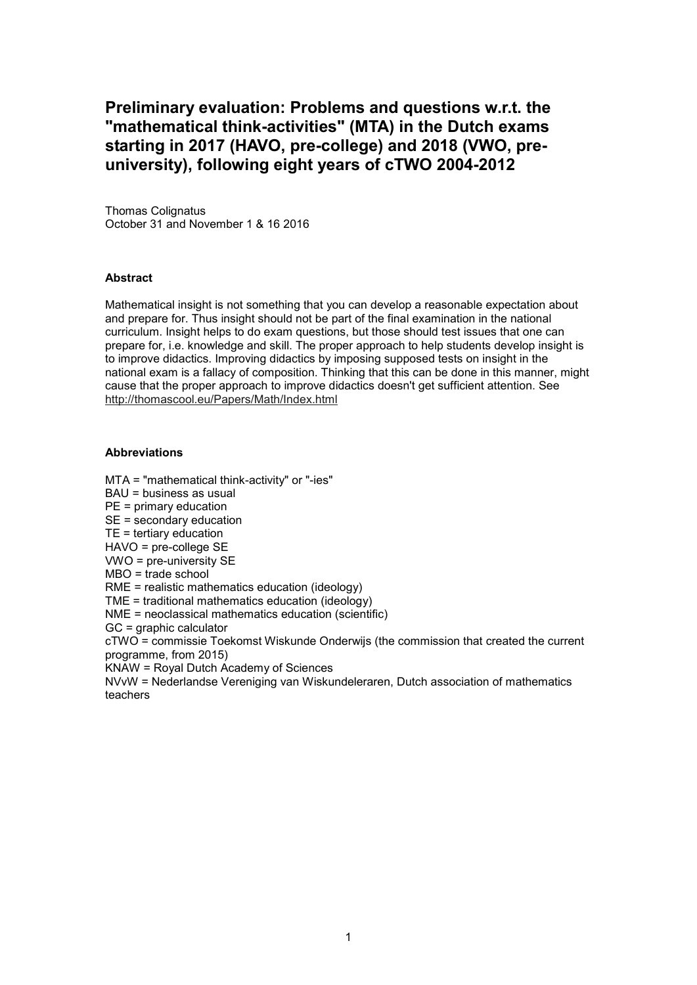## **Preliminary evaluation: Problems and questions w.r.t. the "mathematical think-activities" (MTA) in the Dutch exams starting in 2017 (HAVO, pre-college) and 2018 (VWO, preuniversity), following eight years of cTWO 2004-2012**

Thomas Colignatus October 31 and November 1 & 16 2016

#### **Abstract**

Mathematical insight is not something that you can develop a reasonable expectation about and prepare for. Thus insight should not be part of the final examination in the national curriculum. Insight helps to do exam questions, but those should test issues that one can prepare for, i.e. knowledge and skill. The proper approach to help students develop insight is to improve didactics. Improving didactics by imposing supposed tests on insight in the national exam is a fallacy of composition. Thinking that this can be done in this manner, might cause that the proper approach to improve didactics doesn't get sufficient attention. See http://thomascool.eu/Papers/Math/Index.html

#### **Abbreviations**

MTA = "mathematical think-activity" or "-ies"

BAU = business as usual

PE = primary education

SE = secondary education

TE = tertiary education

HAVO = pre-college SE

VWO = pre-university SE

MBO = trade school

RME = realistic mathematics education (ideology)

TME = traditional mathematics education (ideology)

NME = neoclassical mathematics education (scientific)

GC = graphic calculator

cTWO = commissie Toekomst Wiskunde Onderwijs (the commission that created the current programme, from 2015)

KNAW = Royal Dutch Academy of Sciences

NVvW = Nederlandse Vereniging van Wiskundeleraren, Dutch association of mathematics teachers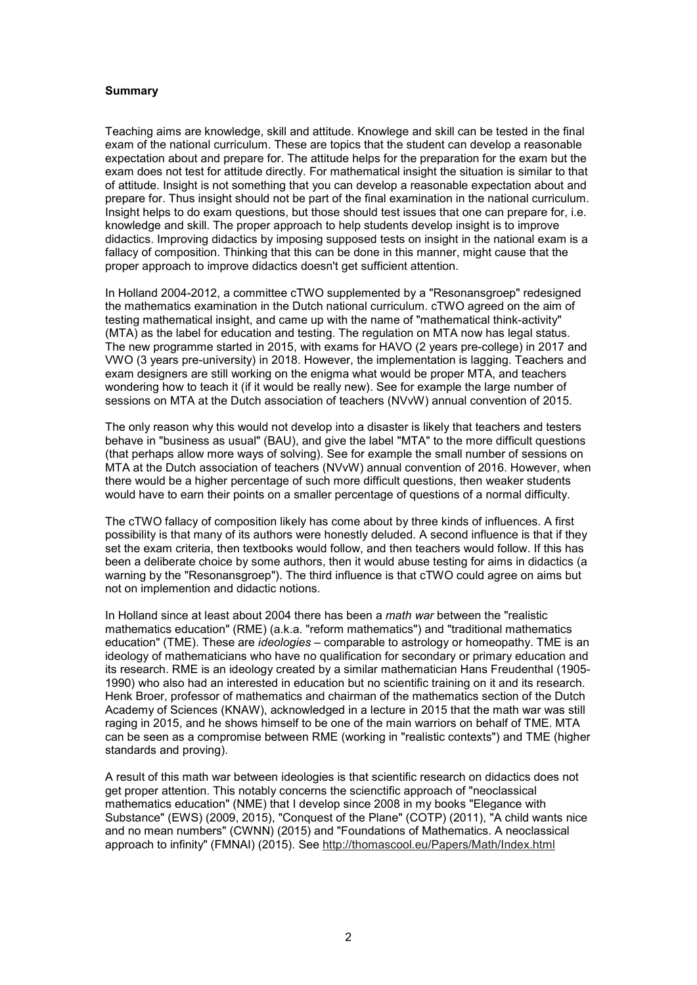#### **Summary**

Teaching aims are knowledge, skill and attitude. Knowlege and skill can be tested in the final exam of the national curriculum. These are topics that the student can develop a reasonable expectation about and prepare for. The attitude helps for the preparation for the exam but the exam does not test for attitude directly. For mathematical insight the situation is similar to that of attitude. Insight is not something that you can develop a reasonable expectation about and prepare for. Thus insight should not be part of the final examination in the national curriculum. Insight helps to do exam questions, but those should test issues that one can prepare for, i.e. knowledge and skill. The proper approach to help students develop insight is to improve didactics. Improving didactics by imposing supposed tests on insight in the national exam is a fallacy of composition. Thinking that this can be done in this manner, might cause that the proper approach to improve didactics doesn't get sufficient attention.

In Holland 2004-2012, a committee cTWO supplemented by a "Resonansgroep" redesigned the mathematics examination in the Dutch national curriculum. cTWO agreed on the aim of testing mathematical insight, and came up with the name of "mathematical think-activity" (MTA) as the label for education and testing. The regulation on MTA now has legal status. The new programme started in 2015, with exams for HAVO (2 years pre-college) in 2017 and VWO (3 years pre-university) in 2018. However, the implementation is lagging. Teachers and exam designers are still working on the enigma what would be proper MTA, and teachers wondering how to teach it (if it would be really new). See for example the large number of sessions on MTA at the Dutch association of teachers (NVvW) annual convention of 2015.

The only reason why this would not develop into a disaster is likely that teachers and testers behave in "business as usual" (BAU), and give the label "MTA" to the more difficult questions (that perhaps allow more ways of solving). See for example the small number of sessions on MTA at the Dutch association of teachers (NVvW) annual convention of 2016. However, when there would be a higher percentage of such more difficult questions, then weaker students would have to earn their points on a smaller percentage of questions of a normal difficulty.

The cTWO fallacy of composition likely has come about by three kinds of influences. A first possibility is that many of its authors were honestly deluded. A second influence is that if they set the exam criteria, then textbooks would follow, and then teachers would follow. If this has been a deliberate choice by some authors, then it would abuse testing for aims in didactics (a warning by the "Resonansgroep"). The third influence is that cTWO could agree on aims but not on implemention and didactic notions.

In Holland since at least about 2004 there has been a *math war* between the "realistic mathematics education" (RME) (a.k.a. "reform mathematics") and "traditional mathematics education" (TME). These are *ideologies* – comparable to astrology or homeopathy. TME is an ideology of mathematicians who have no qualification for secondary or primary education and its research. RME is an ideology created by a similar mathematician Hans Freudenthal (1905- 1990) who also had an interested in education but no scientific training on it and its research. Henk Broer, professor of mathematics and chairman of the mathematics section of the Dutch Academy of Sciences (KNAW), acknowledged in a lecture in 2015 that the math war was still raging in 2015, and he shows himself to be one of the main warriors on behalf of TME. MTA can be seen as a compromise between RME (working in "realistic contexts") and TME (higher standards and proving).

A result of this math war between ideologies is that scientific research on didactics does not get proper attention. This notably concerns the scienctific approach of "neoclassical mathematics education" (NME) that I develop since 2008 in my books "Elegance with Substance" (EWS) (2009, 2015), "Conquest of the Plane" (COTP) (2011), "A child wants nice and no mean numbers" (CWNN) (2015) and "Foundations of Mathematics. A neoclassical approach to infinity" (FMNAI) (2015). See http://thomascool.eu/Papers/Math/Index.html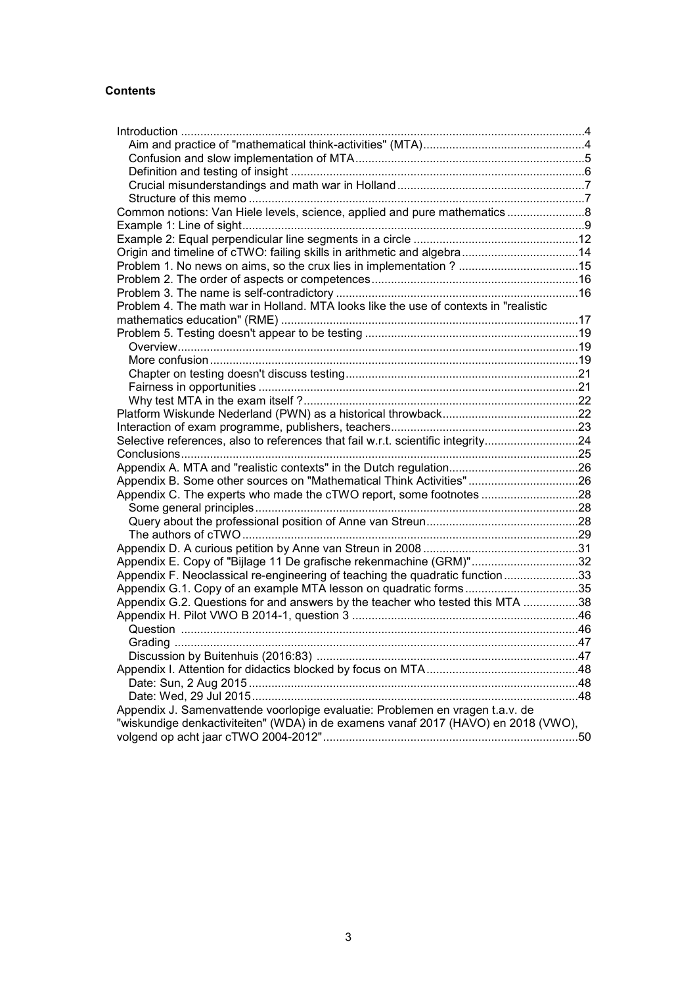## **Contents**

| Common notions: Van Hiele levels, science, applied and pure mathematics8             |  |
|--------------------------------------------------------------------------------------|--|
|                                                                                      |  |
|                                                                                      |  |
| Origin and timeline of cTWO: failing skills in arithmetic and algebra14              |  |
| Problem 1. No news on aims, so the crux lies in implementation ? 15                  |  |
|                                                                                      |  |
|                                                                                      |  |
| Problem 4. The math war in Holland. MTA looks like the use of contexts in "realistic |  |
|                                                                                      |  |
|                                                                                      |  |
|                                                                                      |  |
|                                                                                      |  |
|                                                                                      |  |
|                                                                                      |  |
|                                                                                      |  |
|                                                                                      |  |
|                                                                                      |  |
| Selective references, also to references that fail w.r.t. scientific integrity24     |  |
|                                                                                      |  |
|                                                                                      |  |
| Appendix B. Some other sources on "Mathematical Think Activities"26                  |  |
| Appendix C. The experts who made the cTWO report, some footnotes 28                  |  |
|                                                                                      |  |
|                                                                                      |  |
|                                                                                      |  |
|                                                                                      |  |
| Appendix E. Copy of "Bijlage 11 De grafische rekenmachine (GRM)"32                   |  |
| Appendix F. Neoclassical re-engineering of teaching the quadratic function33         |  |
| Appendix G.1. Copy of an example MTA lesson on quadratic forms35                     |  |
| Appendix G.2. Questions for and answers by the teacher who tested this MTA 38        |  |
|                                                                                      |  |
|                                                                                      |  |
|                                                                                      |  |
|                                                                                      |  |
|                                                                                      |  |
|                                                                                      |  |
|                                                                                      |  |
| Appendix J. Samenvattende voorlopige evaluatie: Problemen en vragen t.a.v. de        |  |
| "wiskundige denkactiviteiten" (WDA) in de examens vanaf 2017 (HAVO) en 2018 (VWO),   |  |
|                                                                                      |  |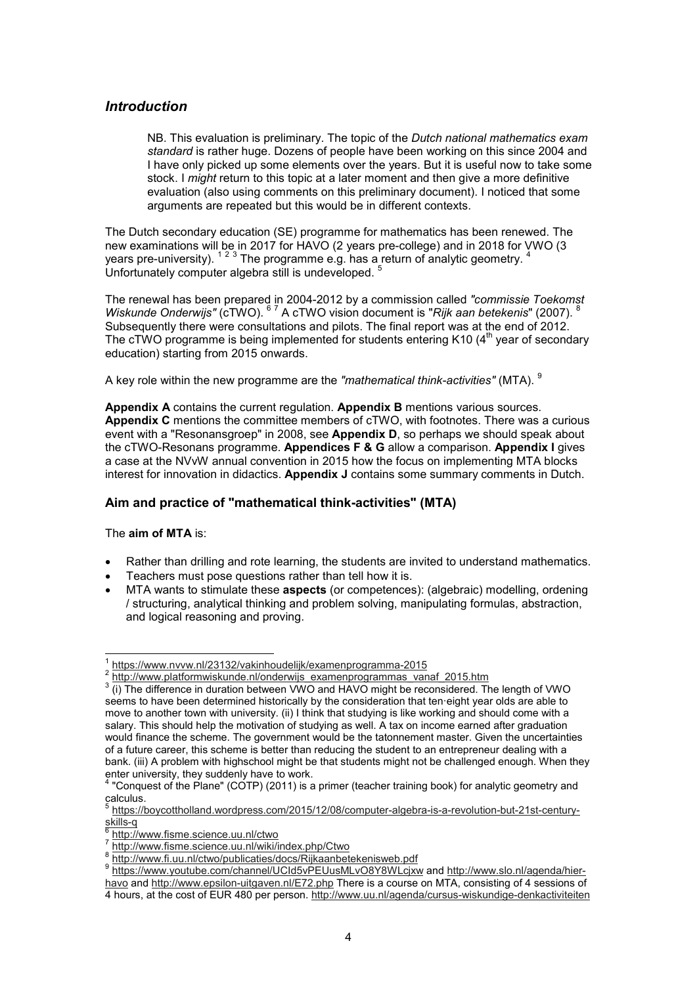## *Introduction*

NB. This evaluation is preliminary. The topic of the *Dutch national mathematics exam standard* is rather huge. Dozens of people have been working on this since 2004 and I have only picked up some elements over the years. But it is useful now to take some stock. I *might* return to this topic at a later moment and then give a more definitive evaluation (also using comments on this preliminary document). I noticed that some arguments are repeated but this would be in different contexts.

The Dutch secondary education (SE) programme for mathematics has been renewed. The new examinations will be in 2017 for HAVO (2 years pre-college) and in 2018 for VWO (3 years pre-university).  $^{\text{1 2 3}}$  The programme e.g. has a return of analytic geometry.  $^{\text{4}}$ Unfortunately computer algebra still is undeveloped.<sup>5</sup>

The renewal has been prepared in 2004-2012 by a commission called *"commissie Toekomst Wiskunde Onderwijs"* (cTWO). <sup>67</sup> A cTWO vision document is "Rijk aan betekenis" (2007). <sup>8</sup> Subsequently there were consultations and pilots. The final report was at the end of 2012. The cTWO programme is being implemented for students entering K10  $(4<sup>th</sup>$  year of secondary education) starting from 2015 onwards.

A key role within the new programme are the *"mathematical think-activities"* (MTA). <sup>9</sup>

**Appendix A** contains the current regulation. **Appendix B** mentions various sources. **Appendix C** mentions the committee members of cTWO, with footnotes. There was a curious event with a "Resonansgroep" in 2008, see **Appendix D**, so perhaps we should speak about the cTWO-Resonans programme. **Appendices F & G** allow a comparison. **Appendix I** gives a case at the NVvW annual convention in 2015 how the focus on implementing MTA blocks interest for innovation in didactics. **Appendix J** contains some summary comments in Dutch.

## **Aim and practice of "mathematical think-activities" (MTA)**

The **aim of MTA** is:

- Rather than drilling and rote learning, the students are invited to understand mathematics.
- Teachers must pose questions rather than tell how it is.
- MTA wants to stimulate these **aspects** (or competences): (algebraic) modelling, ordening / structuring, analytical thinking and problem solving, manipulating formulas, abstraction, and logical reasoning and proving.

 $\overline{\phantom{a}}$ 1 https://www.nvvw.nl/23132/vakinhoudelijk/examenprogramma-2015

 $\frac{2 \text{ http://www. platformwiskunde.nl/onderwijs-examenprogrammas-vanaf-2015.htm}}{3 \cdot (i) \text{ The difference in duration between MMO and HAMO might be reconsidered.}$ 

 <sup>(</sup>i) The difference in duration between VWO and HAVO might be reconsidered. The length of VWO seems to have been determined historically by the consideration that ten·eight year olds are able to move to another town with university. (ii) I think that studying is like working and should come with a salary. This should help the motivation of studying as well. A tax on income earned after graduation would finance the scheme. The government would be the tatonnement master. Given the uncertainties of a future career, this scheme is better than reducing the student to an entrepreneur dealing with a bank. (iii) A problem with highschool might be that students might not be challenged enough. When they enter university, they suddenly have to work.<br><sup>4</sup> "Conquest of the Plane" (COTP) (2011) is a

 <sup>&</sup>quot;Conquest of the Plane" (COTP) (2011) is a primer (teacher training book) for analytic geometry and calculus.<br><sup>5</sup> https://k

https://boycottholland.wordpress.com/2015/12/08/computer-algebra-is-a-revolution-but-21st-centuryskills-q<br><sup>6</sup> http:/

http://www.fisme.science.uu.nl/ctwo

<sup>7</sup> http://www.fisme.science.uu.nl/wiki/index.php/Ctwo

<sup>8</sup> http://www.fi.uu.nl/ctwo/publicaties/docs/Rijkaanbetekenisweb.pdf

<sup>9</sup> https://www.youtube.com/channel/UCId5vPEUusMLvO8Y8WLcjxw and <u>http://www.slo.nl/agenda/hier-</u> havo and http://www.epsilon-uitgaven.nl/E72.php There is a course on MTA, consisting of 4 sessions of 4 hours, at the cost of EUR 480 per person. http://www.uu.nl/agenda/cursus-wiskundige-denkactiviteiten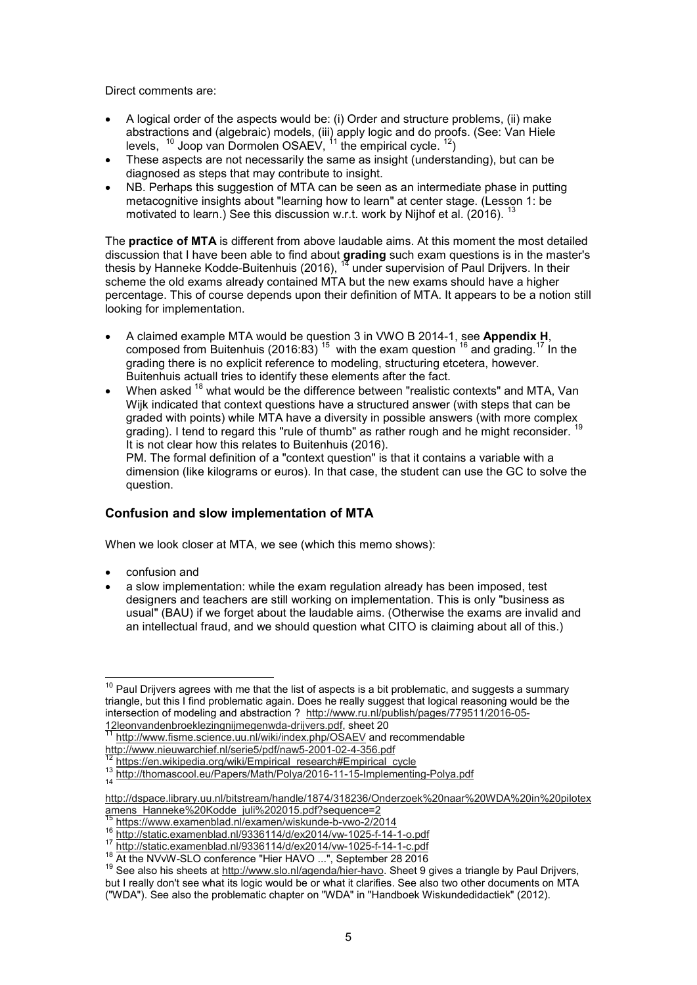Direct comments are:

- A logical order of the aspects would be: (i) Order and structure problems, (ii) make abstractions and (algebraic) models, (iii) apply logic and do proofs. (See: Van Hiele levels,  $^{-10}$  Joop van Dormolen OSAEV,  $^{11}$  the empirical cycle.  $^{12})$
- These aspects are not necessarily the same as insight (understanding), but can be diagnosed as steps that may contribute to insight.
- NB. Perhaps this suggestion of MTA can be seen as an intermediate phase in putting metacognitive insights about "learning how to learn" at center stage. (Lesson 1: be motivated to learn.) See this discussion w.r.t. work by Nijhof et al. (2016).

The **practice of MTA** is different from above laudable aims. At this moment the most detailed discussion that I have been able to find about **grading** such exam questions is in the master's thesis by Hanneke Kodde-Buitenhuis (2016), <sup>14</sup> under supervision of Paul Drijvers. In their scheme the old exams already contained MTA but the new exams should have a higher percentage. This of course depends upon their definition of MTA. It appears to be a notion still looking for implementation.

- A claimed example MTA would be question 3 in VWO B 2014-1, see **Appendix H**, composed from Buitenhuis (2016:83)<sup>15</sup> with the exam question <sup>16</sup> and grading.<sup>17</sup> In the grading there is no explicit reference to modeling, structuring etcetera, however. Buitenhuis actuall tries to identify these elements after the fact.
- When asked <sup>18</sup> what would be the difference between "realistic contexts" and MTA, Van Wijk indicated that context questions have a structured answer (with steps that can be graded with points) while MTA have a diversity in possible answers (with more complex grading). I tend to regard this "rule of thumb" as rather rough and he might reconsider. <sup>19</sup> It is not clear how this relates to Buitenhuis (2016).

PM. The formal definition of a "context question" is that it contains a variable with a dimension (like kilograms or euros). In that case, the student can use the GC to solve the question.

## **Confusion and slow implementation of MTA**

When we look closer at MTA, we see (which this memo shows):

• confusion and

 $\overline{a}$ 

a slow implementation: while the exam regulation already has been imposed, test designers and teachers are still working on implementation. This is only "business as usual" (BAU) if we forget about the laudable aims. (Otherwise the exams are invalid and an intellectual fraud, and we should question what CITO is claiming about all of this.)

 $^{\rm 10}$  Paul Drijvers agrees with me that the list of aspects is a bit problematic, and suggests a summary triangle, but this I find problematic again. Does he really suggest that logical reasoning would be the intersection of modeling and abstraction ? http://www.ru.nl/publish/pages/779511/2016-05- 12leonvandenbroeklezingnijmegenwda-drijvers.pdf, sheet 20

http://www.fisme.science.uu.nl/wiki/index.php/OSAEV and recommendable

http://www.nieuwarchief.nl/serie5/pdf/naw5-2001-02-4-356.pdf

https://en.wikipedia.org/wiki/Empirical\_research#Empirical\_cycle

<sup>&</sup>lt;sup>13</sup> http://thomascool.eu/Papers/Math/Polya/2016-11-15-Implementing-Polya.pdf

http://dspace.library.uu.nl/bitstream/handle/1874/318236/Onderzoek%20naar%20WDA%20in%20pilotex amens\_Hanneke%20Kodde\_juli%202015.pdf?sequence=2

<sup>15</sup> https://www.examenblad.nl/examen/wiskunde-b-vwo-2/2014

<sup>16</sup> http://static.examenblad.nl/9336114/d/ex2014/vw-1025-f-14-1-o.pdf

<sup>17</sup> http://static.examenblad.nl/9336114/d/ex2014/vw-1025-f-14-1-c.pdf

<sup>&</sup>lt;sup>18</sup> At the NVvW-SLO conference "Hier HAVO ...", September 28 2016

<sup>&</sup>lt;sup>19</sup> See also his sheets at http://www.slo.nl/agenda/hier-havo. Sheet 9 gives a triangle by Paul Drijvers, but I really don't see what its logic would be or what it clarifies. See also two other documents on MTA ("WDA"). See also the problematic chapter on "WDA" in "Handboek Wiskundedidactiek" (2012).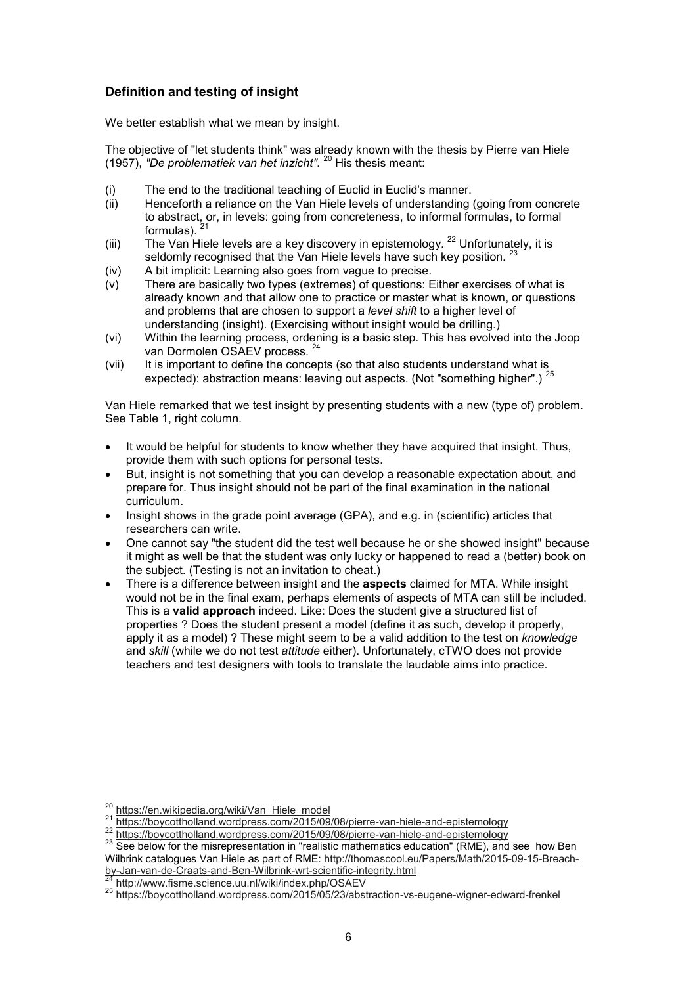## **Definition and testing of insight**

We better establish what we mean by insight.

The objective of "let students think" was already known with the thesis by Pierre van Hiele (1957), *"De problematiek van het inzicht".* <sup>20</sup> His thesis meant:

- (i) The end to the traditional teaching of Euclid in Euclid's manner.
- (ii) Henceforth a reliance on the Van Hiele levels of understanding (going from concrete to abstract, or, in levels: going from concreteness, to informal formulas, to formal formulas).  $^{21}$
- (iii) The Van Hiele levels are a key discovery in epistemology.  $^{22}$  Unfortunately, it is seldomly recognised that the Van Hiele levels have such key position.
- (iv) A bit implicit: Learning also goes from vague to precise.
- (v) There are basically two types (extremes) of questions: Either exercises of what is already known and that allow one to practice or master what is known, or questions and problems that are chosen to support a *level shift* to a higher level of understanding (insight). (Exercising without insight would be drilling.)
- (vi) Within the learning process, ordening is a basic step. This has evolved into the Joop van Dormolen OSAEV process. <sup>24</sup>
- (vii) It is important to define the concepts (so that also students understand what is expected): abstraction means: leaving out aspects. (Not "something higher".)  $^{25}$

Van Hiele remarked that we test insight by presenting students with a new (type of) problem. See Table 1, right column.

- It would be helpful for students to know whether they have acquired that insight. Thus, provide them with such options for personal tests.
- But, insight is not something that you can develop a reasonable expectation about, and prepare for. Thus insight should not be part of the final examination in the national curriculum.
- Insight shows in the grade point average (GPA), and e.g. in (scientific) articles that researchers can write.
- One cannot say "the student did the test well because he or she showed insight" because it might as well be that the student was only lucky or happened to read a (better) book on the subject. (Testing is not an invitation to cheat.)
- There is a difference between insight and the **aspects** claimed for MTA. While insight would not be in the final exam, perhaps elements of aspects of MTA can still be included. This is a **valid approach** indeed. Like: Does the student give a structured list of properties ? Does the student present a model (define it as such, develop it properly, apply it as a model) ? These might seem to be a valid addition to the test on *knowledge* and *skill* (while we do not test *attitude* either). Unfortunately, cTWO does not provide teachers and test designers with tools to translate the laudable aims into practice.

 $\overline{a}$ 

http://www.fisme.science.uu.nl/wiki/index.php/OSAEV

<sup>&</sup>lt;sup>20</sup> https://en.wikipedia.org/wiki/Van\_Hiele\_model

<sup>&</sup>lt;sup>21</sup> https://boycottholland.wordpress.com/2015/09/08/pierre-van-hiele-and-epistemology

https://boycottholland.wordpress.com/2015/09/08/pierre-van-hiele-and-epistemology

<sup>&</sup>lt;sup>23</sup> See below for the misrepresentation in "realistic mathematics education" (RME), and see how Ben Wilbrink catalogues Van Hiele as part of RME: http://thomascool.eu/Papers/Math/2015-09-15-Breachby-Jan-van-de-Craats-and-Ben-Wilbrink-wrt-scientific-integrity.html

<sup>25</sup> https://boycottholland.wordpress.com/2015/05/23/abstraction-vs-eugene-wigner-edward-frenkel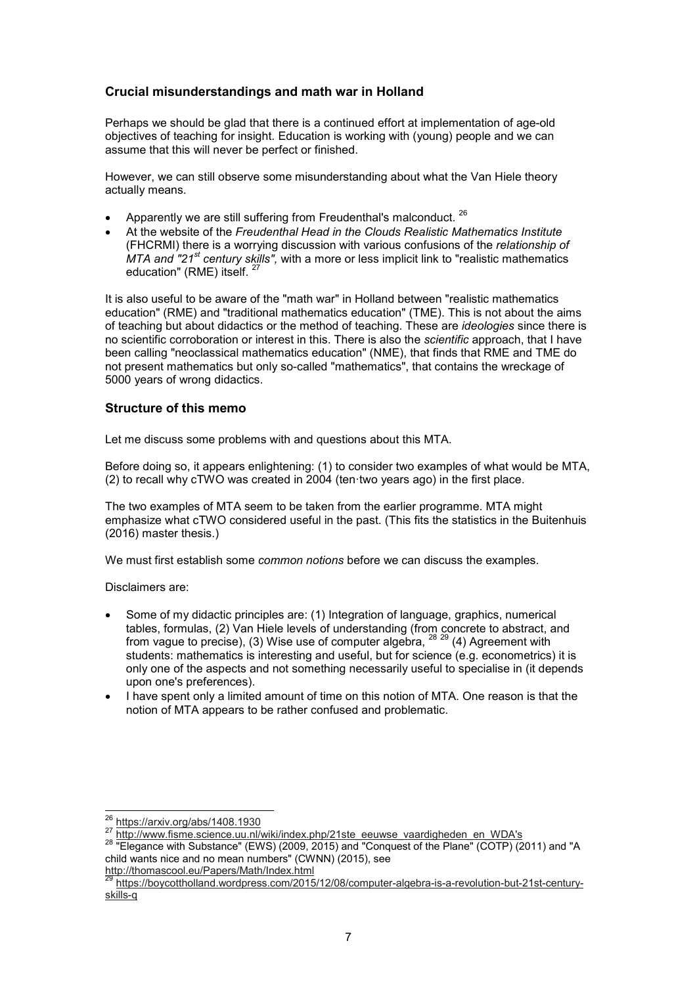#### **Crucial misunderstandings and math war in Holland**

Perhaps we should be glad that there is a continued effort at implementation of age-old objectives of teaching for insight. Education is working with (young) people and we can assume that this will never be perfect or finished.

However, we can still observe some misunderstanding about what the Van Hiele theory actually means.

- Apparently we are still suffering from Freudenthal's malconduct.  $^{26}$
- At the website of the *Freudenthal Head in the Clouds Realistic Mathematics Institute* (FHCRMI) there is a worrying discussion with various confusions of the *relationship of MTA and "21st century skills",* with a more or less implicit link to "realistic mathematics education" (RME) itself.

It is also useful to be aware of the "math war" in Holland between "realistic mathematics education" (RME) and "traditional mathematics education" (TME). This is not about the aims of teaching but about didactics or the method of teaching. These are *ideologies* since there is no scientific corroboration or interest in this. There is also the *scientific* approach, that I have been calling "neoclassical mathematics education" (NME), that finds that RME and TME do not present mathematics but only so-called "mathematics", that contains the wreckage of 5000 years of wrong didactics.

#### **Structure of this memo**

Let me discuss some problems with and questions about this MTA.

Before doing so, it appears enlightening: (1) to consider two examples of what would be MTA, (2) to recall why cTWO was created in 2004 (ten·two years ago) in the first place.

The two examples of MTA seem to be taken from the earlier programme. MTA might emphasize what cTWO considered useful in the past. (This fits the statistics in the Buitenhuis (2016) master thesis.)

We must first establish some *common notions* before we can discuss the examples.

Disclaimers are:

- Some of my didactic principles are: (1) Integration of language, graphics, numerical tables, formulas, (2) Van Hiele levels of understanding (from concrete to abstract, and from vague to precise), (3) Wise use of computer algebra,  $^{28}$   $^{29}$  (4) Agreement with students: mathematics is interesting and useful, but for science (e.g. econometrics) it is only one of the aspects and not something necessarily useful to specialise in (it depends upon one's preferences).
- I have spent only a limited amount of time on this notion of MTA. One reason is that the notion of MTA appears to be rather confused and problematic.

 $\overline{a}$ 

http://thomascool.eu/Papers/Math/Index.html

<sup>26</sup> https://arxiv.org/abs/1408.1930

<sup>&</sup>lt;sup>27</sup> http://www.fisme.science.uu.nl/wiki/index.php/21ste\_eeuwse\_vaardigheden\_en\_WDA's

<sup>&</sup>lt;sup>28</sup> "Elegance with Substance" (EWS) (2009, 2015) and "Conquest of the Plane" (COTP) (2011) and "A child wants nice and no mean numbers" (CWNN) (2015), see

<sup>29</sup> https://boycottholland.wordpress.com/2015/12/08/computer-algebra-is-a-revolution-but-21st-centuryskills-q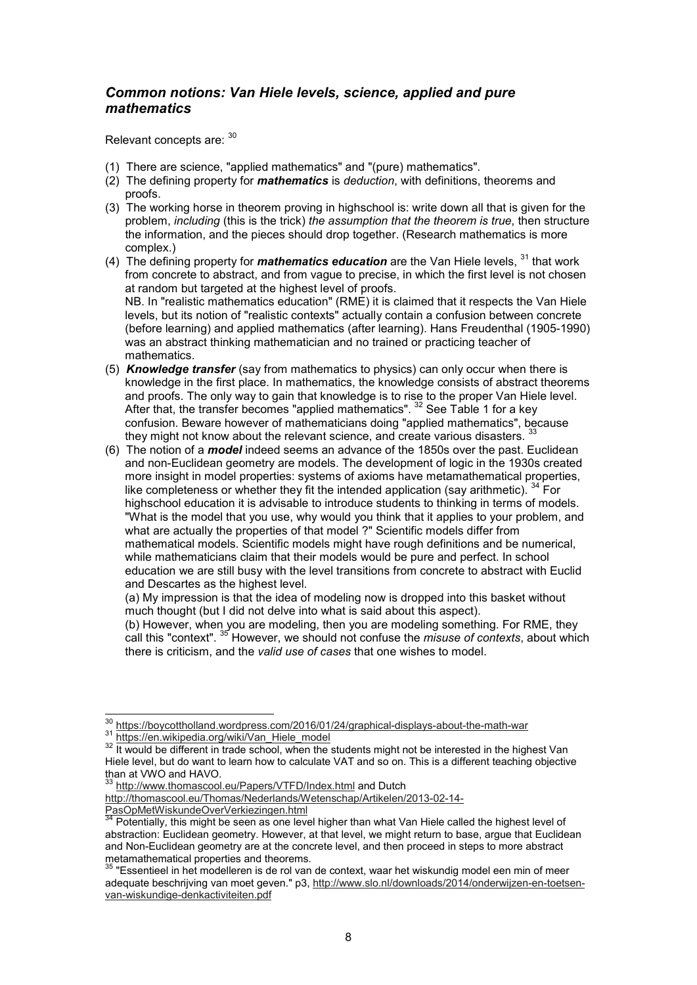## *Common notions: Van Hiele levels, science, applied and pure mathematics*

Relevant concepts are: 30

- (1) There are science, "applied mathematics" and "(pure) mathematics".
- (2) The defining property for *mathematics* is *deduction*, with definitions, theorems and proofs.
- (3) The working horse in theorem proving in highschool is: write down all that is given for the problem, *including* (this is the trick) *the assumption that the theorem is true*, then structure the information, and the pieces should drop together. (Research mathematics is more complex.)
- (4) The defining property for *mathematics education* are the Van Hiele levels, <sup>31</sup> that work from concrete to abstract, and from vague to precise, in which the first level is not chosen at random but targeted at the highest level of proofs. NB. In "realistic mathematics education" (RME) it is claimed that it respects the Van Hiele levels, but its notion of "realistic contexts" actually contain a confusion between concrete (before learning) and applied mathematics (after learning). Hans Freudenthal (1905-1990) was an abstract thinking mathematician and no trained or practicing teacher of mathematics.
- (5) *Knowledge transfer* (say from mathematics to physics) can only occur when there is knowledge in the first place. In mathematics, the knowledge consists of abstract theorems and proofs. The only way to gain that knowledge is to rise to the proper Van Hiele level. After that, the transfer becomes "applied mathematics". <sup>32</sup> See Table 1 for a key confusion. Beware however of mathematicians doing "applied mathematics", because they might not know about the relevant science, and create various disasters.
- (6) The notion of a *model* indeed seems an advance of the 1850s over the past. Euclidean and non-Euclidean geometry are models. The development of logic in the 1930s created more insight in model properties: systems of axioms have metamathematical properties, like completeness or whether they fit the intended application (say arithmetic).  $34$  For highschool education it is advisable to introduce students to thinking in terms of models. "What is the model that you use, why would you think that it applies to your problem, and what are actually the properties of that model ?" Scientific models differ from mathematical models. Scientific models might have rough definitions and be numerical, while mathematicians claim that their models would be pure and perfect. In school education we are still busy with the level transitions from concrete to abstract with Euclid and Descartes as the highest level.

(a) My impression is that the idea of modeling now is dropped into this basket without much thought (but I did not delve into what is said about this aspect).

(b) However, when you are modeling, then you are modeling something. For RME, they call this "context". <sup>35</sup> However, we should not confuse the *misuse of contexts*, about which there is criticism, and the *valid use of cases* that one wishes to model.

 $\overline{a}$ 

<sup>33</sup> http://www.thomascool.eu/Papers/VTFD/Index.html and Dutch

http://thomascool.eu/Thomas/Nederlands/Wetenschap/Artikelen/2013-02-14- PasOpMetWiskundeOverVerkiezingen.html

<sup>&</sup>lt;sup>30</sup> https://boycottholland.wordpress.com/2016/01/24/graphical-displays-about-the-math-war

<sup>31</sup> https://en.wikipedia.org/wiki/Van\_Hiele\_model

<sup>&</sup>lt;sup>32</sup> It would be different in trade school, when the students might not be interested in the highest Van Hiele level, but do want to learn how to calculate VAT and so on. This is a different teaching objective than at VWO and HAVO.<br><sup>33</sup> http://

 $34$  Potentially, this might be seen as one level higher than what Van Hiele called the highest level of abstraction: Euclidean geometry. However, at that level, we might return to base, argue that Euclidean and Non-Euclidean geometry are at the concrete level, and then proceed in steps to more abstract metamathematical properties and theorems.

 $^{\rm 35}$  "Essentieel in het modelleren is de rol van de context, waar het wiskundig model een min of meer adequate beschrijving van moet geven." p3, http://www.slo.nl/downloads/2014/onderwijzen-en-toetsenvan-wiskundige-denkactiviteiten.pdf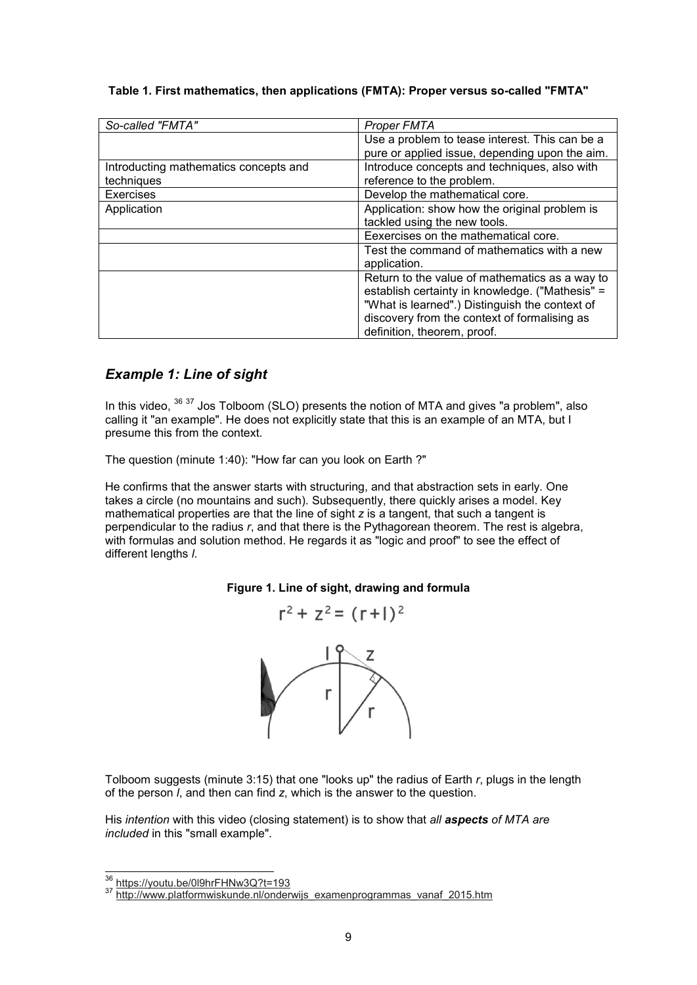#### **Table 1. First mathematics, then applications (FMTA): Proper versus so-called "FMTA"**

| So-called "FMTA"                      | <b>Proper FMTA</b>                              |
|---------------------------------------|-------------------------------------------------|
|                                       | Use a problem to tease interest. This can be a  |
|                                       | pure or applied issue, depending upon the aim.  |
| Introducting mathematics concepts and | Introduce concepts and techniques, also with    |
| techniques                            | reference to the problem.                       |
| <b>Exercises</b>                      | Develop the mathematical core.                  |
| Application                           | Application: show how the original problem is   |
|                                       | tackled using the new tools.                    |
|                                       | Eexercises on the mathematical core.            |
|                                       | Test the command of mathematics with a new      |
|                                       | application.                                    |
|                                       | Return to the value of mathematics as a way to  |
|                                       | establish certainty in knowledge. ("Mathesis" = |
|                                       | "What is learned".) Distinguish the context of  |
|                                       | discovery from the context of formalising as    |
|                                       | definition, theorem, proof.                     |

## *Example 1: Line of sight*

In this video,  $36\,37$  Jos Tolboom (SLO) presents the notion of MTA and gives "a problem", also calling it "an example". He does not explicitly state that this is an example of an MTA, but I presume this from the context.

The question (minute 1:40): "How far can you look on Earth ?"

He confirms that the answer starts with structuring, and that abstraction sets in early. One takes a circle (no mountains and such). Subsequently, there quickly arises a model. Key mathematical properties are that the line of sight *z* is a tangent, that such a tangent is perpendicular to the radius *r*, and that there is the Pythagorean theorem. The rest is algebra, with formulas and solution method. He regards it as "logic and proof" to see the effect of different lengths *l*.

#### **Figure 1. Line of sight, drawing and formula**

$$
r^2 + z^2 = (r+1)^2
$$



Tolboom suggests (minute 3:15) that one "looks up" the radius of Earth *r*, plugs in the length of the person *l*, and then can find *z*, which is the answer to the question.

His *intention* with this video (closing statement) is to show that *all aspects of MTA are included* in this "small example".

 $\overline{a}$ <sup>36</sup> https://youtu.be/0l9hrFHNw3Q?t=193

<sup>&</sup>lt;sup>37</sup> http://www.platformwiskunde.nl/onderwijs\_examenprogrammas\_vanaf\_2015.htm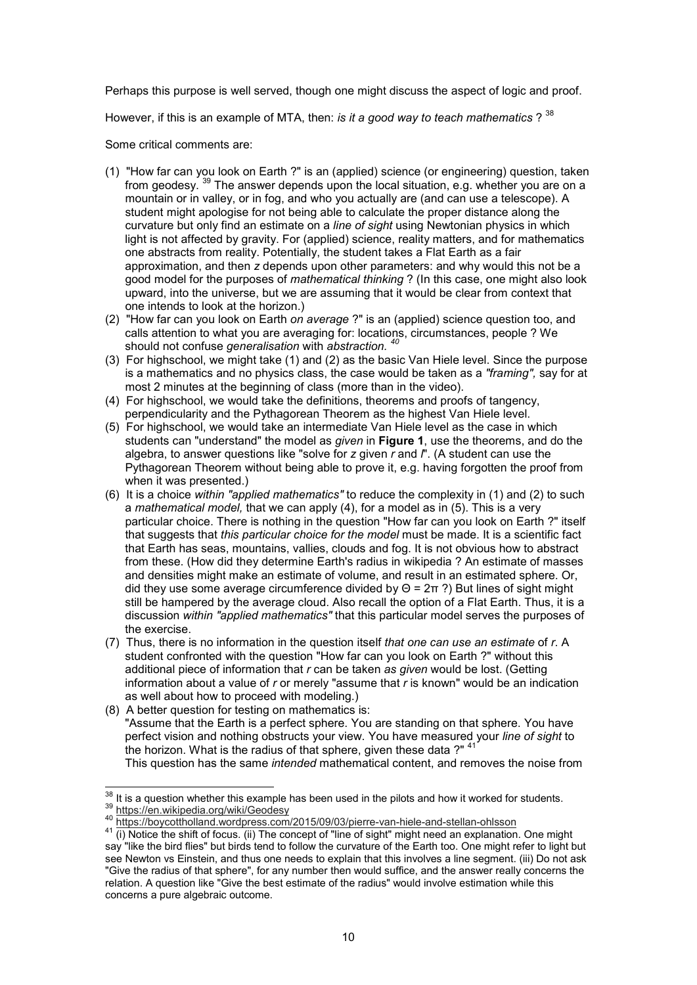Perhaps this purpose is well served, though one might discuss the aspect of logic and proof.

However, if this is an example of MTA, then: *is it a good way to teach mathematics* ?<sup>38</sup>

Some critical comments are:

- (1) "How far can you look on Earth ?" is an (applied) science (or engineering) question, taken from geodesy.<sup>39</sup> The answer depends upon the local situation, e.g. whether you are on a mountain or in valley, or in fog, and who you actually are (and can use a telescope). A student might apologise for not being able to calculate the proper distance along the curvature but only find an estimate on a *line of sight* using Newtonian physics in which light is not affected by gravity. For (applied) science, reality matters, and for mathematics one abstracts from reality. Potentially, the student takes a Flat Earth as a fair approximation, and then *z* depends upon other parameters: and why would this not be a good model for the purposes of *mathematical thinking* ? (In this case, one might also look upward, into the universe, but we are assuming that it would be clear from context that one intends to look at the horizon.)
- (2) "How far can you look on Earth *on average* ?" is an (applied) science question too, and calls attention to what you are averaging for: locations, circumstances, people ? We should not confuse *generalisation* with *abstraction. <sup>40</sup>*
- (3) For highschool, we might take (1) and (2) as the basic Van Hiele level. Since the purpose is a mathematics and no physics class, the case would be taken as a *"framing",* say for at most 2 minutes at the beginning of class (more than in the video).
- (4) For highschool, we would take the definitions, theorems and proofs of tangency, perpendicularity and the Pythagorean Theorem as the highest Van Hiele level.
- (5) For highschool, we would take an intermediate Van Hiele level as the case in which students can "understand" the model as *given* in **Figure 1**, use the theorems, and do the algebra, to answer questions like "solve for *z* given *r* and *l*". (A student can use the Pythagorean Theorem without being able to prove it, e.g. having forgotten the proof from when it was presented.)
- (6) It is a choice *within "applied mathematics"* to reduce the complexity in (1) and (2) to such a *mathematical model,* that we can apply (4), for a model as in (5). This is a very particular choice. There is nothing in the question "How far can you look on Earth ?" itself that suggests that *this particular choice for the model* must be made. It is a scientific fact that Earth has seas, mountains, vallies, clouds and fog. It is not obvious how to abstract from these. (How did they determine Earth's radius in wikipedia ? An estimate of masses and densities might make an estimate of volume, and result in an estimated sphere. Or, did they use some average circumference divided by  $Θ = 2π$ ?) But lines of sight might still be hampered by the average cloud. Also recall the option of a Flat Earth. Thus, it is a discussion *within "applied mathematics"* that this particular model serves the purposes of the exercise.
- (7) Thus, there is no information in the question itself *that one can use an estimate* of *r*. A student confronted with the question "How far can you look on Earth ?" without this additional piece of information that *r* can be taken *as given* would be lost. (Getting information about a value of *r* or merely "assume that *r* is known" would be an indication as well about how to proceed with modeling.)
- (8) A better question for testing on mathematics is: "Assume that the Earth is a perfect sphere. You are standing on that sphere. You have perfect vision and nothing obstructs your view. You have measured your *line of sight* to the horizon. What is the radius of that sphere, given these data ?" $41$ This question has the same *intended* mathematical content, and removes the noise from

 $\overline{a}$  $\frac{38}{10}$  It is a question whether this example has been used in the pilots and how it worked for students. <sup>39</sup> https://en.wikipedia.org/wiki/Geodesy

<sup>40</sup> https://boycottholland.wordpress.com/2015/09/03/pierre-van-hiele-and-stellan-ohlsson

<sup>41</sup> (i) Notice the shift of focus. (ii) The concept of "line of sight" might need an explanation. One might say "like the bird flies" but birds tend to follow the curvature of the Earth too. One might refer to light but see Newton vs Einstein, and thus one needs to explain that this involves a line segment. (iii) Do not ask "Give the radius of that sphere", for any number then would suffice, and the answer really concerns the relation. A question like "Give the best estimate of the radius" would involve estimation while this concerns a pure algebraic outcome.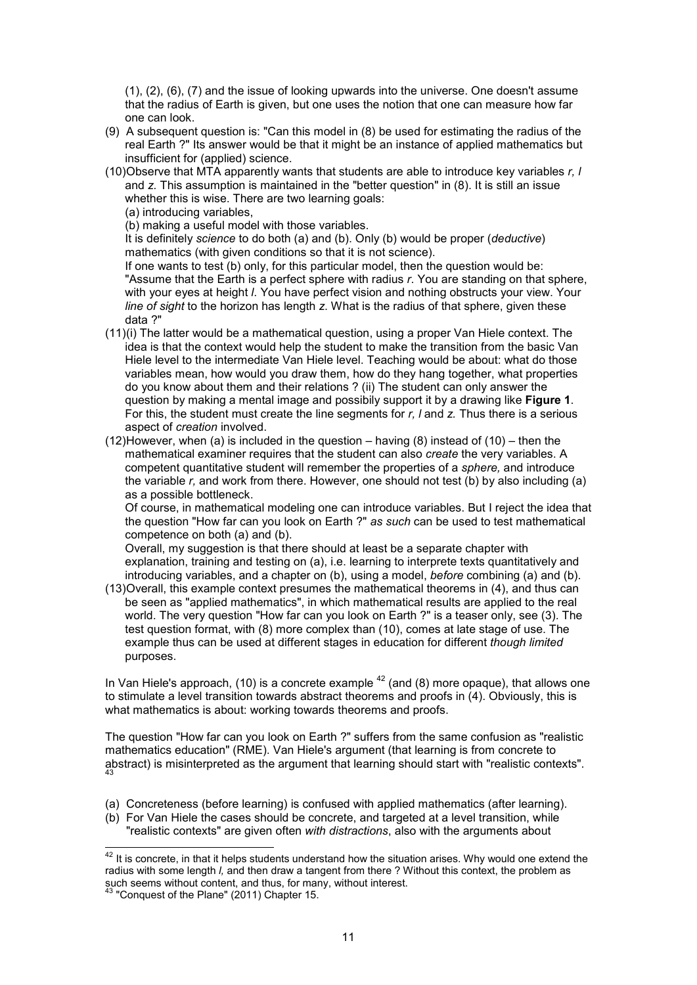(1), (2), (6), (7) and the issue of looking upwards into the universe. One doesn't assume that the radius of Earth is given, but one uses the notion that one can measure how far one can look.

- (9) A subsequent question is: "Can this model in (8) be used for estimating the radius of the real Earth ?" Its answer would be that it might be an instance of applied mathematics but insufficient for (applied) science.
- (10) Observe that MTA apparently wants that students are able to introduce key variables *r, l* and *z.* This assumption is maintained in the "better question" in (8). It is still an issue whether this is wise. There are two learning goals:
	- (a) introducing variables,

(b) making a useful model with those variables.

It is definitely *science* to do both (a) and (b). Only (b) would be proper (*deductive*) mathematics (with given conditions so that it is not science).

If one wants to test (b) only, for this particular model, then the question would be: "Assume that the Earth is a perfect sphere with radius *r*. You are standing on that sphere, with your eyes at height *l*. You have perfect vision and nothing obstructs your view. Your *line of sight* to the horizon has length *z*. What is the radius of that sphere, given these data ?"

- (11) (i) The latter would be a mathematical question, using a proper Van Hiele context. The idea is that the context would help the student to make the transition from the basic Van Hiele level to the intermediate Van Hiele level. Teaching would be about: what do those variables mean, how would you draw them, how do they hang together, what properties do you know about them and their relations ? (ii) The student can only answer the question by making a mental image and possibily support it by a drawing like **Figure 1**. For this, the student must create the line segments for *r, l* and *z.* Thus there is a serious aspect of *creation* involved.
- (12) However, when (a) is included in the question having (8) instead of (10) then the mathematical examiner requires that the student can also *create* the very variables. A competent quantitative student will remember the properties of a *sphere,* and introduce the variable *r,* and work from there. However, one should not test (b) by also including (a) as a possible bottleneck.

Of course, in mathematical modeling one can introduce variables. But I reject the idea that the question "How far can you look on Earth ?" *as such* can be used to test mathematical competence on both (a) and (b).

Overall, my suggestion is that there should at least be a separate chapter with explanation, training and testing on (a), i.e. learning to interprete texts quantitatively and introducing variables, and a chapter on (b), using a model, *before* combining (a) and (b).

(13) Overall, this example context presumes the mathematical theorems in (4), and thus can be seen as "applied mathematics", in which mathematical results are applied to the real world. The very question "How far can you look on Earth ?" is a teaser only, see (3). The test question format, with (8) more complex than (10), comes at late stage of use. The example thus can be used at different stages in education for different *though limited* purposes.

In Van Hiele's approach, (10) is a concrete example  $42$  (and (8) more opaque), that allows one to stimulate a level transition towards abstract theorems and proofs in (4). Obviously, this is what mathematics is about: working towards theorems and proofs.

The question "How far can you look on Earth ?" suffers from the same confusion as "realistic mathematics education" (RME). Van Hiele's argument (that learning is from concrete to abstract) is misinterpreted as the argument that learning should start with "realistic contexts". 43

- (a) Concreteness (before learning) is confused with applied mathematics (after learning).
- (b) For Van Hiele the cases should be concrete, and targeted at a level transition, while "realistic contexts" are given often *with distractions*, also with the arguments about

j

 $^{42}$  It is concrete, in that it helps students understand how the situation arises. Why would one extend the radius with some length *l,* and then draw a tangent from there ? Without this context, the problem as such seems without content, and thus, for many, without interest.

 $^{43}$  "Conquest of the Plane" (2011) Chapter 15.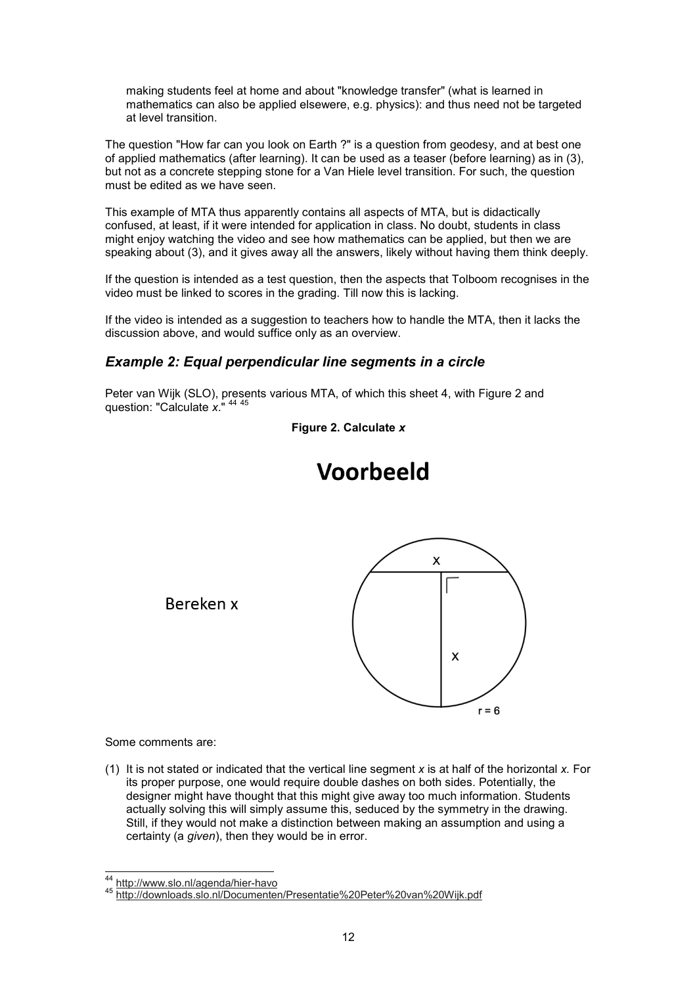making students feel at home and about "knowledge transfer" (what is learned in mathematics can also be applied elsewere, e.g. physics): and thus need not be targeted at level transition.

The question "How far can you look on Earth ?" is a question from geodesy, and at best one of applied mathematics (after learning). It can be used as a teaser (before learning) as in (3), but not as a concrete stepping stone for a Van Hiele level transition. For such, the question must be edited as we have seen.

This example of MTA thus apparently contains all aspects of MTA, but is didactically confused, at least, if it were intended for application in class. No doubt, students in class might enjoy watching the video and see how mathematics can be applied, but then we are speaking about (3), and it gives away all the answers, likely without having them think deeply.

If the question is intended as a test question, then the aspects that Tolboom recognises in the video must be linked to scores in the grading. Till now this is lacking.

If the video is intended as a suggestion to teachers how to handle the MTA, then it lacks the discussion above, and would suffice only as an overview.

## *Example 2: Equal perpendicular line segments in a circle*

Peter van Wijk (SLO), presents various MTA, of which this sheet 4, with Figure 2 and question: "Calculate *x*." <sup>44</sup> <sup>45</sup>

**Figure 2. Calculate** *x*



# Voorbeeld

Bereken x

Some comments are:

j

(1) It is not stated or indicated that the vertical line segment *x* is at half of the horizontal *x.* For its proper purpose, one would require double dashes on both sides. Potentially, the designer might have thought that this might give away too much information. Students actually solving this will simply assume this, seduced by the symmetry in the drawing. Still, if they would not make a distinction between making an assumption and using a certainty (a *given*), then they would be in error.

<sup>&</sup>lt;sup>44</sup> http://www.slo.nl/agenda/hier-havo

<sup>45</sup> http://downloads.slo.nl/Documenten/Presentatie%20Peter%20van%20Wijk.pdf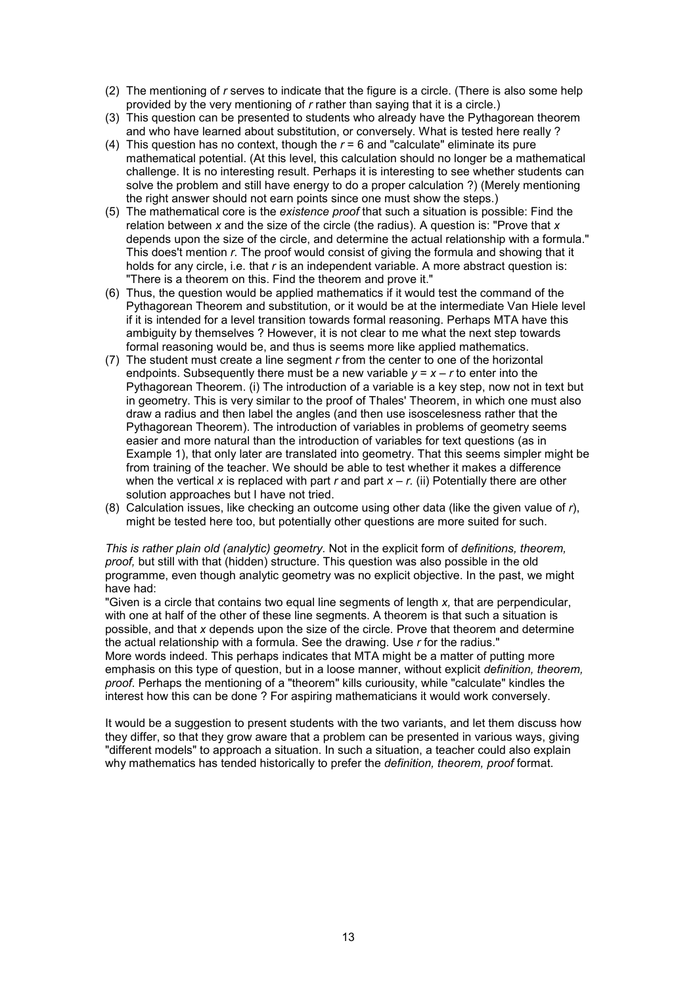- (2) The mentioning of *r* serves to indicate that the figure is a circle. (There is also some help provided by the very mentioning of *r* rather than saying that it is a circle.)
- (3) This question can be presented to students who already have the Pythagorean theorem and who have learned about substitution, or conversely. What is tested here really ?
- (4) This question has no context, though the *r* = 6 and "calculate" eliminate its pure mathematical potential. (At this level, this calculation should no longer be a mathematical challenge. It is no interesting result. Perhaps it is interesting to see whether students can solve the problem and still have energy to do a proper calculation ?) (Merely mentioning the right answer should not earn points since one must show the steps.)
- (5) The mathematical core is the *existence proof* that such a situation is possible: Find the relation between *x* and the size of the circle (the radius). A question is: "Prove that *x* depends upon the size of the circle, and determine the actual relationship with a formula." This does't mention *r.* The proof would consist of giving the formula and showing that it holds for any circle, i.e. that *r* is an independent variable. A more abstract question is: "There is a theorem on this. Find the theorem and prove it."
- (6) Thus, the question would be applied mathematics if it would test the command of the Pythagorean Theorem and substitution, or it would be at the intermediate Van Hiele level if it is intended for a level transition towards formal reasoning. Perhaps MTA have this ambiguity by themselves ? However, it is not clear to me what the next step towards formal reasoning would be, and thus is seems more like applied mathematics.
- (7) The student must create a line segment *r* from the center to one of the horizontal endpoints. Subsequently there must be a new variable  $y = x - r$  to enter into the Pythagorean Theorem. (i) The introduction of a variable is a key step, now not in text but in geometry. This is very similar to the proof of Thales' Theorem, in which one must also draw a radius and then label the angles (and then use isoscelesness rather that the Pythagorean Theorem). The introduction of variables in problems of geometry seems easier and more natural than the introduction of variables for text questions (as in Example 1), that only later are translated into geometry. That this seems simpler might be from training of the teacher. We should be able to test whether it makes a difference when the vertical *x* is replaced with part *r* and part *x* – *r.* (ii) Potentially there are other solution approaches but I have not tried.
- (8) Calculation issues, like checking an outcome using other data (like the given value of *r*), might be tested here too, but potentially other questions are more suited for such.

*This is rather plain old (analytic) geometry.* Not in the explicit form of *definitions, theorem, proof,* but still with that (hidden) structure. This question was also possible in the old programme, even though analytic geometry was no explicit objective. In the past, we might have had:

"Given is a circle that contains two equal line segments of length *x,* that are perpendicular, with one at half of the other of these line segments. A theorem is that such a situation is possible, and that *x* depends upon the size of the circle. Prove that theorem and determine the actual relationship with a formula. See the drawing. Use *r* for the radius." More words indeed. This perhaps indicates that MTA might be a matter of putting more emphasis on this type of question, but in a loose manner, without explicit *definition, theorem, proof*. Perhaps the mentioning of a "theorem" kills curiousity, while "calculate" kindles the interest how this can be done ? For aspiring mathematicians it would work conversely.

It would be a suggestion to present students with the two variants, and let them discuss how they differ, so that they grow aware that a problem can be presented in various ways, giving "different models" to approach a situation. In such a situation, a teacher could also explain why mathematics has tended historically to prefer the *definition, theorem, proof* format.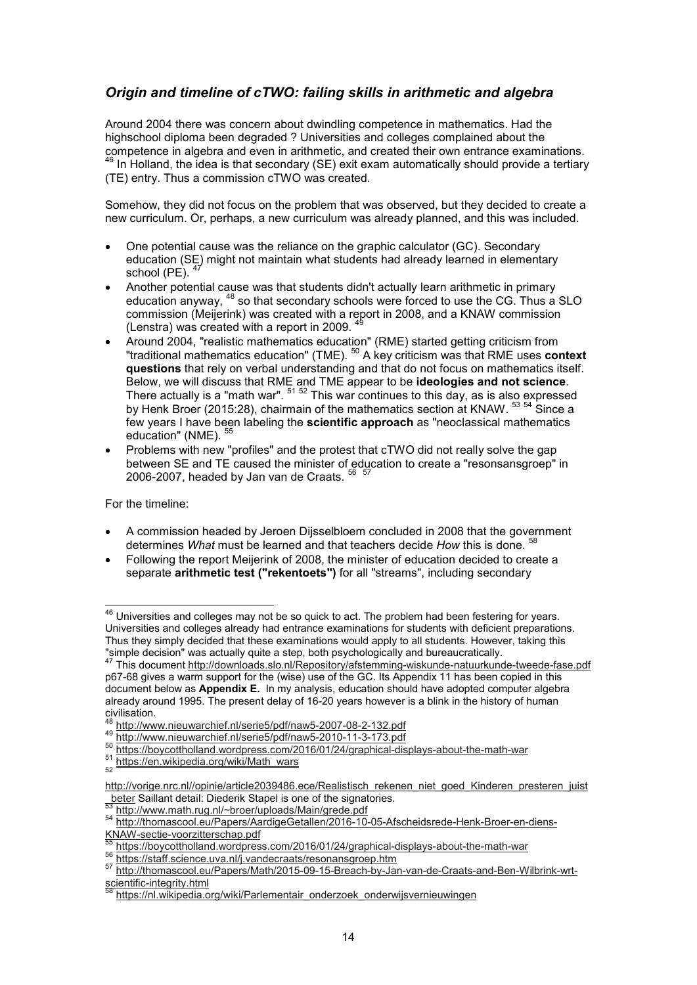## *Origin and timeline of cTWO: failing skills in arithmetic and algebra*

Around 2004 there was concern about dwindling competence in mathematics. Had the highschool diploma been degraded ? Universities and colleges complained about the competence in algebra and even in arithmetic, and created their own entrance examinations.  $^{\rm 46}$  In Holland, the idea is that secondary (SE) exit exam automatically should provide a tertiary (TE) entry. Thus a commission cTWO was created.

Somehow, they did not focus on the problem that was observed, but they decided to create a new curriculum. Or, perhaps, a new curriculum was already planned, and this was included.

- One potential cause was the reliance on the graphic calculator (GC). Secondary education (SE) might not maintain what students had already learned in elementary school (PE).
- Another potential cause was that students didn't actually learn arithmetic in primary education anyway, <sup>48</sup> so that secondary schools were forced to use the CG. Thus a SLO commission (Meijerink) was created with a report in 2008, and a KNAW commission (Lenstra) was created with a report in 2009.
- Around 2004, "realistic mathematics education" (RME) started getting criticism from "traditional mathematics education" (TME). <sup>50</sup> A key criticism was that RME uses **context questions** that rely on verbal understanding and that do not focus on mathematics itself. Below, we will discuss that RME and TME appear to be **ideologies and not science**. There actually is a "math war". <sup>51 52</sup> This war continues to this day, as is also expressed by Henk Broer (2015:28), chairmain of the mathematics section at KNAW. <sup>53</sup> <sup>54</sup> Since a few years I have been labeling the **scientific approach** as "neoclassical mathematics education" (NME). 55
- Problems with new "profiles" and the protest that cTWO did not really solve the gap between SE and TE caused the minister of education to create a "resonsansgroep" in 2006-2007, headed by Jan van de Craats.  $^{\rm 56}$   $^{\rm 57}$

For the timeline:

j

- A commission headed by Jeroen Dijsselbloem concluded in 2008 that the government determines *What* must be learned and that teachers decide *How* this is done. <sup>58</sup>
- Following the report Meijerink of 2008, the minister of education decided to create a separate **arithmetic test ("rekentoets")** for all "streams", including secondary

 $^{\rm 46}$  Universities and colleges may not be so quick to act. The problem had been festering for years. Universities and colleges already had entrance examinations for students with deficient preparations. Thus they simply decided that these examinations would apply to all students. However, taking this "simple decision" was actually quite a step, both psychologically and bureaucratically.

<sup>47</sup> This document http://downloads.slo.nl/Repository/afstemming-wiskunde-natuurkunde-tweede-fase.pdf p67-68 gives a warm support for the (wise) use of the GC. Its Appendix 11 has been copied in this document below as **Appendix E.** In my analysis, education should have adopted computer algebra already around 1995. The present delay of 16-20 years however is a blink in the history of human civilisation.

<sup>48</sup> http://www.nieuwarchief.nl/serie5/pdf/naw5-2007-08-2-132.pdf

<sup>49</sup> http://www.nieuwarchief.nl/serie5/pdf/naw5-2010-11-3-173.pdf

<sup>50</sup> http://www.nieuwarchic...ni/ochoc/paintings.com/2016/01/24/graphical-displays-about-the-math-war

<sup>&</sup>lt;sup>51</sup> https://en.wikipedia.org/wiki/Math\_wars

http://vorige.nrc.nl//opinie/article2039486.ece/Realistisch\_rekenen\_niet\_goed\_Kinderen\_presteren\_juist **beter Saillant detail: Diederik Stapel is one of the signatories.** 

http://www.math.rug.nl/~broer/uploads/Main/grede.pdf

<sup>54</sup> http://thomascool.eu/Papers/AardigeGetallen/2016-10-05-Afscheidsrede-Henk-Broer-en-diens-KNAW-sectie-voorzitterschap.pdf

<sup>55</sup> https://boycottholland.wordpress.com/2016/01/24/graphical-displays-about-the-math-war

<sup>56</sup> https://staff.science.uva.nl/j.vandecraats/resonansgroep.htm

<sup>57</sup> http://thomascool.eu/Papers/Math/2015-09-15-Breach-by-Jan-van-de-Craats-and-Ben-Wilbrink-wrtscientific-integrity.html

https://nl.wikipedia.org/wiki/Parlementair\_onderzoek\_onderwijsvernieuwingen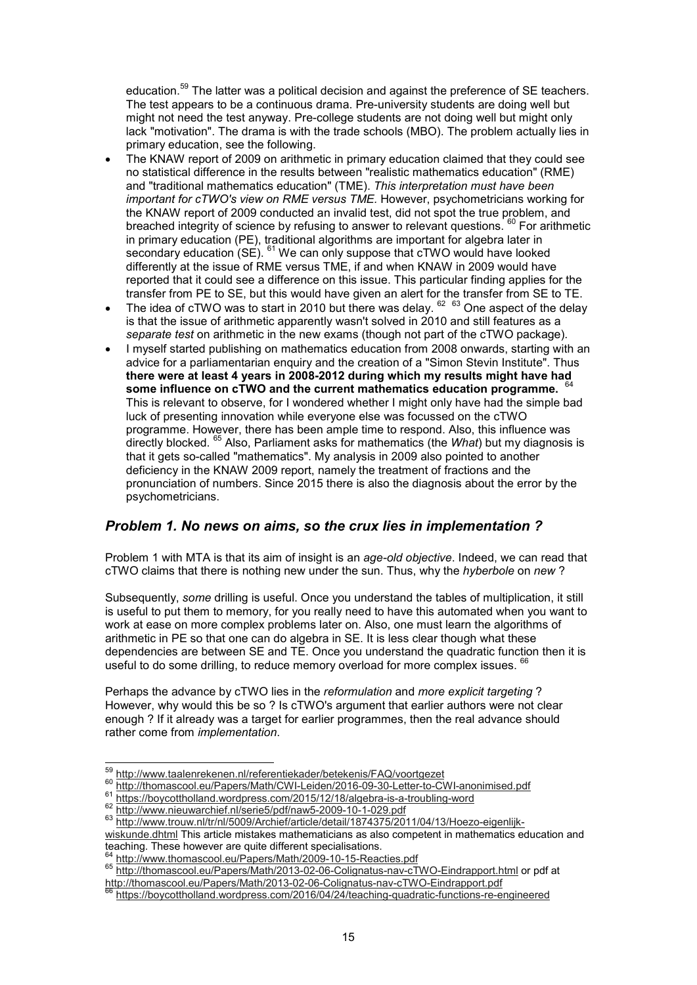education.<sup>59</sup> The latter was a political decision and against the preference of SE teachers. The test appears to be a continuous drama. Pre-university students are doing well but might not need the test anyway. Pre-college students are not doing well but might only lack "motivation". The drama is with the trade schools (MBO). The problem actually lies in primary education, see the following.

- The KNAW report of 2009 on arithmetic in primary education claimed that they could see no statistical difference in the results between "realistic mathematics education" (RME) and "traditional mathematics education" (TME). *This interpretation must have been important for cTWO's view on RME versus TME.* However, psychometricians working for the KNAW report of 2009 conducted an invalid test, did not spot the true problem, and breached integrity of science by refusing to answer to relevant questions.  $60$  For arithmetic in primary education (PE), traditional algorithms are important for algebra later in secondary education  $\widetilde{\mathsf{S}}(S)$ .  $^{61}$  We can only suppose that cTWO would have looked differently at the issue of RME versus TME, if and when KNAW in 2009 would have reported that it could see a difference on this issue. This particular finding applies for the transfer from PE to SE, but this would have given an alert for the transfer from SE to TE.
- $\bullet$  The idea of cTWO was to start in 2010 but there was delay.  $^{62}$   $^{63}$  One aspect of the delay is that the issue of arithmetic apparently wasn't solved in 2010 and still features as a *separate test* on arithmetic in the new exams (though not part of the cTWO package).
- I myself started publishing on mathematics education from 2008 onwards, starting with an advice for a parliamentarian enquiry and the creation of a "Simon Stevin Institute". Thus **there were at least 4 years in 2008-2012 during which my results might have had some influence on cTWO and the current mathematics education programme.** 64 This is relevant to observe, for I wondered whether I might only have had the simple bad luck of presenting innovation while everyone else was focussed on the cTWO programme. However, there has been ample time to respond. Also, this influence was directly blocked. <sup>65</sup> Also, Parliament asks for mathematics (the *What*) but my diagnosis is that it gets so-called "mathematics". My analysis in 2009 also pointed to another deficiency in the KNAW 2009 report, namely the treatment of fractions and the pronunciation of numbers. Since 2015 there is also the diagnosis about the error by the psychometricians.

## *Problem 1. No news on aims, so the crux lies in implementation ?*

Problem 1 with MTA is that its aim of insight is an *age-old objective*. Indeed, we can read that cTWO claims that there is nothing new under the sun. Thus, why the *hyberbole* on *new* ?

Subsequently, *some* drilling is useful. Once you understand the tables of multiplication, it still is useful to put them to memory, for you really need to have this automated when you want to work at ease on more complex problems later on. Also, one must learn the algorithms of arithmetic in PE so that one can do algebra in SE. It is less clear though what these dependencies are between SE and TE. Once you understand the quadratic function then it is useful to do some drilling, to reduce memory overload for more complex issues.

Perhaps the advance by cTWO lies in the *reformulation* and *more explicit targeting* ? However, why would this be so ? Is cTWO's argument that earlier authors were not clear enough ? If it already was a target for earlier programmes, then the real advance should rather come from *implementation*.

<sup>&</sup>lt;sup>59</sup> http://www.taalenrekenen.nl/referentiekader/betekenis/FAQ/voortgezet

<sup>60</sup> http://thomascool.eu/Papers/Math/CWI-Leiden/2016-09-30-Letter-to-CWI-anonimised.pdf

<sup>61</sup> https://boycottholland.wordpress.com/2015/12/18/algebra-is-a-troubling-word

<sup>62</sup> http://www.nieuwarchief.nl/serie5/pdf/naw5-2009-10-1-029.pdf

<sup>63</sup> http://www.trouw.nl/tr/nl/5009/Archief/article/detail/1874375/2011/04/13/Hoezo-eigenlijk-

wiskunde.dhtml This article mistakes mathematicians as also competent in mathematics education and teaching. These however are quite different specialisations.

<sup>&</sup>lt;sup>64</sup> http://www.thomascool.eu/Papers/Math/2009-10-15-Reacties.pdf

<sup>65</sup> http://thomascool.eu/Papers/Math/2013-02-06-Colignatus-nav-cTWO-Eindrapport.html or pdf at http://thomascool.eu/Papers/Math/2013-02-06-Colignatus-nav-cTWO-Eindrapport.pdf

https://boycottholland.wordpress.com/2016/04/24/teaching-quadratic-functions-re-engineered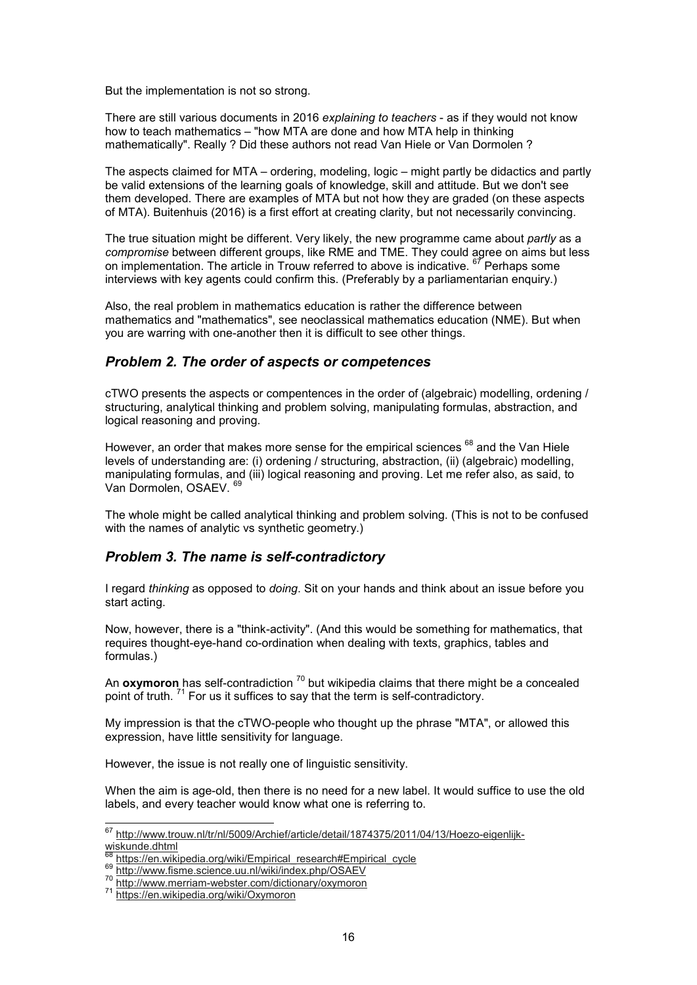But the implementation is not so strong.

There are still various documents in 2016 *explaining to teachers* - as if they would not know how to teach mathematics – "how MTA are done and how MTA help in thinking mathematically". Really ? Did these authors not read Van Hiele or Van Dormolen ?

The aspects claimed for MTA – ordering, modeling, logic – might partly be didactics and partly be valid extensions of the learning goals of knowledge, skill and attitude. But we don't see them developed. There are examples of MTA but not how they are graded (on these aspects of MTA). Buitenhuis (2016) is a first effort at creating clarity, but not necessarily convincing.

The true situation might be different. Very likely, the new programme came about *partly* as a *compromise* between different groups, like RME and TME. They could agree on aims but less on implementation. The article in Trouw referred to above is indicative.  $67$  Perhaps some interviews with key agents could confirm this. (Preferably by a parliamentarian enquiry.)

Also, the real problem in mathematics education is rather the difference between mathematics and "mathematics", see neoclassical mathematics education (NME). But when you are warring with one-another then it is difficult to see other things.

## *Problem 2. The order of aspects or competences*

cTWO presents the aspects or compentences in the order of (algebraic) modelling, ordening / structuring, analytical thinking and problem solving, manipulating formulas, abstraction, and logical reasoning and proving.

However, an order that makes more sense for the empirical sciences <sup>68</sup> and the Van Hiele levels of understanding are: (i) ordening / structuring, abstraction, (ii) (algebraic) modelling, manipulating formulas, and (iii) logical reasoning and proving. Let me refer also, as said, to Van Dormolen, OSAEV.

The whole might be called analytical thinking and problem solving. (This is not to be confused with the names of analytic vs synthetic geometry.)

## *Problem 3. The name is self-contradictory*

I regard *thinking* as opposed to *doing*. Sit on your hands and think about an issue before you start acting.

Now, however, there is a "think-activity". (And this would be something for mathematics, that requires thought-eye-hand co-ordination when dealing with texts, graphics, tables and formulas.)

An **oxymoron** has self-contradiction<sup>70</sup> but wikipedia claims that there might be a concealed point of truth.<sup>71</sup> For us it suffices to say that the term is self-contradictory.

My impression is that the cTWO-people who thought up the phrase "MTA", or allowed this expression, have little sensitivity for language.

However, the issue is not really one of linguistic sensitivity.

When the aim is age-old, then there is no need for a new label. It would suffice to use the old labels, and every teacher would know what one is referring to.

<sup>&</sup>lt;sup>67</sup> http://www.trouw.nl/tr/nl/5009/Archief/article/detail/1874375/2011/04/13/Hoezo-eigenlijk-<u>wiskunde.dhtml</u>

<sup>&</sup>lt;sup>68</sup> https://en.wikipedia.org/wiki/Empirical\_research#Empirical\_cycle

<sup>69</sup> http://www.fisme.science.uu.nl/wiki/index.php/OSAEV

<sup>70</sup> http://www.merriam-webster.com/dictionary/oxymoron

<sup>71</sup> https://en.wikipedia.org/wiki/Oxymoron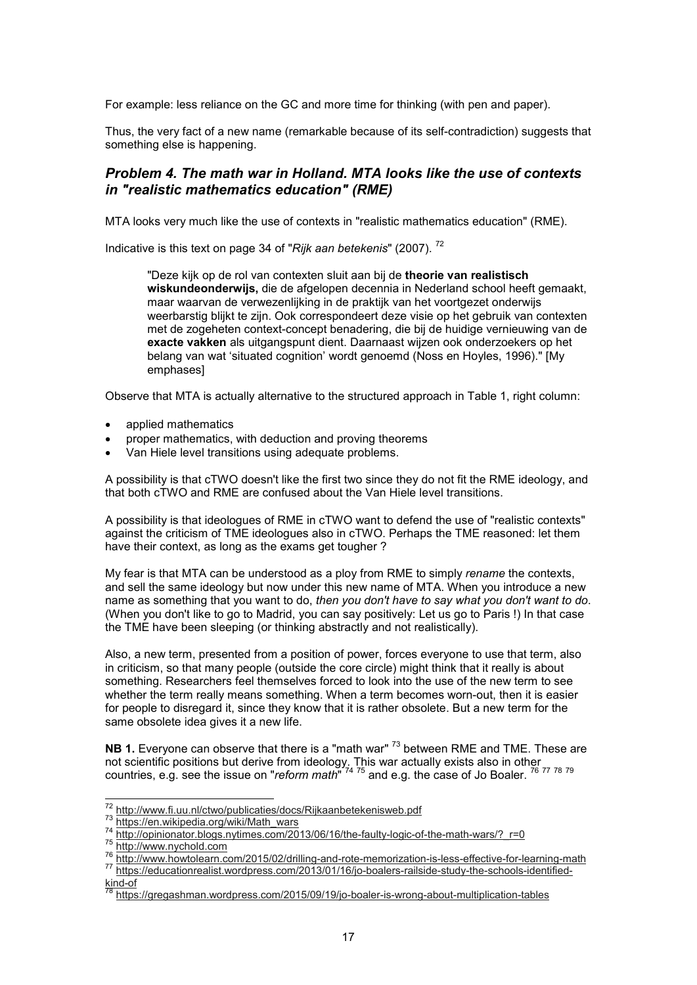For example: less reliance on the GC and more time for thinking (with pen and paper).

Thus, the very fact of a new name (remarkable because of its self-contradiction) suggests that something else is happening.

## *Problem 4. The math war in Holland. MTA looks like the use of contexts in "realistic mathematics education" (RME)*

MTA looks very much like the use of contexts in "realistic mathematics education" (RME).

Indicative is this text on page 34 of "*Rijk aan betekenis*" (2007). <sup>72</sup>

"Deze kijk op de rol van contexten sluit aan bij de **theorie van realistisch wiskundeonderwijs,** die de afgelopen decennia in Nederland school heeft gemaakt, maar waarvan de verwezenlijking in de praktijk van het voortgezet onderwijs weerbarstig blijkt te zijn. Ook correspondeert deze visie op het gebruik van contexten met de zogeheten context-concept benadering, die bij de huidige vernieuwing van de **exacte vakken** als uitgangspunt dient. Daarnaast wijzen ook onderzoekers op het belang van wat 'situated cognition' wordt genoemd (Noss en Hoyles, 1996)." [My emphases]

Observe that MTA is actually alternative to the structured approach in Table 1, right column:

- applied mathematics
- proper mathematics, with deduction and proving theorems
- Van Hiele level transitions using adequate problems.

A possibility is that cTWO doesn't like the first two since they do not fit the RME ideology, and that both cTWO and RME are confused about the Van Hiele level transitions.

A possibility is that ideologues of RME in cTWO want to defend the use of "realistic contexts" against the criticism of TME ideologues also in cTWO. Perhaps the TME reasoned: let them have their context, as long as the exams get tougher ?

My fear is that MTA can be understood as a ploy from RME to simply *rename* the contexts, and sell the same ideology but now under this new name of MTA. When you introduce a new name as something that you want to do, *then you don't have to say what you don't want to do*. (When you don't like to go to Madrid, you can say positively: Let us go to Paris !) In that case the TME have been sleeping (or thinking abstractly and not realistically).

Also, a new term, presented from a position of power, forces everyone to use that term, also in criticism, so that many people (outside the core circle) might think that it really is about something. Researchers feel themselves forced to look into the use of the new term to see whether the term really means something. When a term becomes worn-out, then it is easier for people to disregard it, since they know that it is rather obsolete. But a new term for the same obsolete idea gives it a new life.

**NB 1.** Everyone can observe that there is a "math war" <sup>73</sup> between RME and TME. These are not scientific positions but derive from ideology. This war actually exists also in other countries, e.g. see the issue on "*reform math*" <sup>74</sup> <sup>75</sup> and e.g. the case of Jo Boaler. <sup>76</sup> <sup>77</sup> <sup>78</sup> <sup>79</sup>

<sup>&</sup>lt;sup>72</sup> http://www.fi.uu.nl/ctwo/publicaties/docs/Rijkaanbetekenisweb.pdf

<sup>&</sup>lt;sup>73</sup> https://en.wikipedia.org/wiki/Math\_wars

http://opinionator.blogs.nytimes.com/2013/06/16/the-faulty-logic-of-the-math-wars/? r=0

<sup>75</sup> http://www.nychold.com

<sup>76</sup> http://www.howtolearn.com/2015/02/drilling-and-rote-memorization-is-less-effective-for-learning-math <sup>77</sup> https://educationrealist.wordpress.com/2013/01/16/jo-boalers-railside-study-the-schools-identified $rac{1}{\frac{1}{28}}$ kind-of

<sup>78</sup> https://gregashman.wordpress.com/2015/09/19/jo-boaler-is-wrong-about-multiplication-tables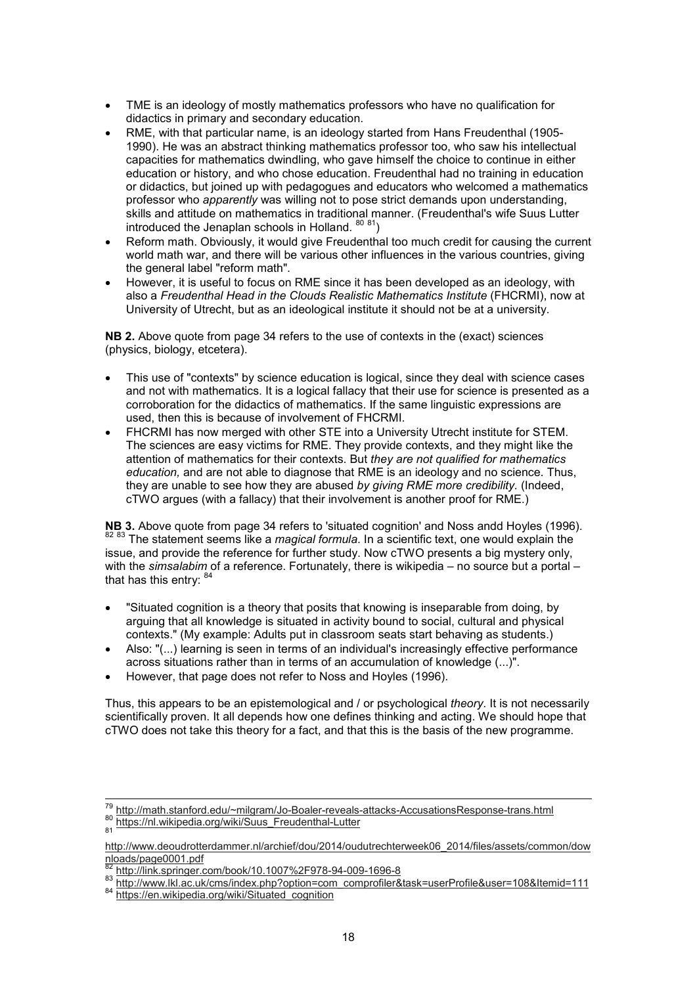- TME is an ideology of mostly mathematics professors who have no qualification for didactics in primary and secondary education.
- RME, with that particular name, is an ideology started from Hans Freudenthal (1905- 1990). He was an abstract thinking mathematics professor too, who saw his intellectual capacities for mathematics dwindling, who gave himself the choice to continue in either education or history, and who chose education. Freudenthal had no training in education or didactics, but joined up with pedagogues and educators who welcomed a mathematics professor who *apparently* was willing not to pose strict demands upon understanding, skills and attitude on mathematics in traditional manner. (Freudenthal's wife Suus Lutter introduced the Jenaplan schools in Holland.  $80\frac{81}{1}$ )
- Reform math. Obviously, it would give Freudenthal too much credit for causing the current world math war, and there will be various other influences in the various countries, giving the general label "reform math".
- However, it is useful to focus on RME since it has been developed as an ideology, with also a *Freudenthal Head in the Clouds Realistic Mathematics Institute* (FHCRMI), now at University of Utrecht, but as an ideological institute it should not be at a university.

**NB 2.** Above quote from page 34 refers to the use of contexts in the (exact) sciences (physics, biology, etcetera).

- This use of "contexts" by science education is logical, since they deal with science cases and not with mathematics. It is a logical fallacy that their use for science is presented as a corroboration for the didactics of mathematics. If the same linguistic expressions are used, then this is because of involvement of FHCRMI.
- FHCRMI has now merged with other STE into a University Utrecht institute for STEM. The sciences are easy victims for RME. They provide contexts, and they might like the attention of mathematics for their contexts. But *they are not qualified for mathematics education,* and are not able to diagnose that RME is an ideology and no science. Thus, they are unable to see how they are abused *by giving RME more credibility.* (Indeed, cTWO argues (with a fallacy) that their involvement is another proof for RME.)

**NB 3.** Above quote from page 34 refers to 'situated cognition' and Noss andd Hoyles (1996). 82 83 The statement seems like a *magical formula*. In a scientific text, one would explain the issue, and provide the reference for further study. Now cTWO presents a big mystery only, with the *simsalabim* of a reference. Fortunately, there is wikipedia – no source but a portal – that has this entry:  $84$ 

- "Situated cognition is a theory that posits that knowing is inseparable from doing, by arguing that all knowledge is situated in activity bound to social, cultural and physical contexts." (My example: Adults put in classroom seats start behaving as students.)
- Also: "(...) learning is seen in terms of an individual's increasingly effective performance across situations rather than in terms of an accumulation of knowledge (...)".
- However, that page does not refer to Noss and Hoyles (1996).

Thus, this appears to be an epistemological and / or psychological *theory*. It is not necessarily scientifically proven. It all depends how one defines thinking and acting. We should hope that cTWO does not take this theory for a fact, and that this is the basis of the new programme.

<sup>&</sup>lt;sup>79</sup> http://math.stanford.edu/~milgram/Jo-Boaler-reveals-attacks-AccusationsResponse-trans.html

<sup>&</sup>lt;sup>80</sup> https://nl.wikipedia.org/wiki/Suus\_Freudenthal-Lutter<br><sub>81</sub>

http://www.deoudrotterdammer.nl/archief/dou/2014/oudutrechterweek06\_2014/files/assets/common/dow nloads/page0001.pdf

<sup>82</sup> http://link.springer.com/book/10.1007%2F978-94-009-1696-8

<sup>83</sup> http://www.lkl.ac.uk/cms/index.php?option=com\_comprofiler&task=userProfile&user=108&Itemid=111

<sup>84</sup> https://en.wikipedia.org/wiki/Situated\_cognition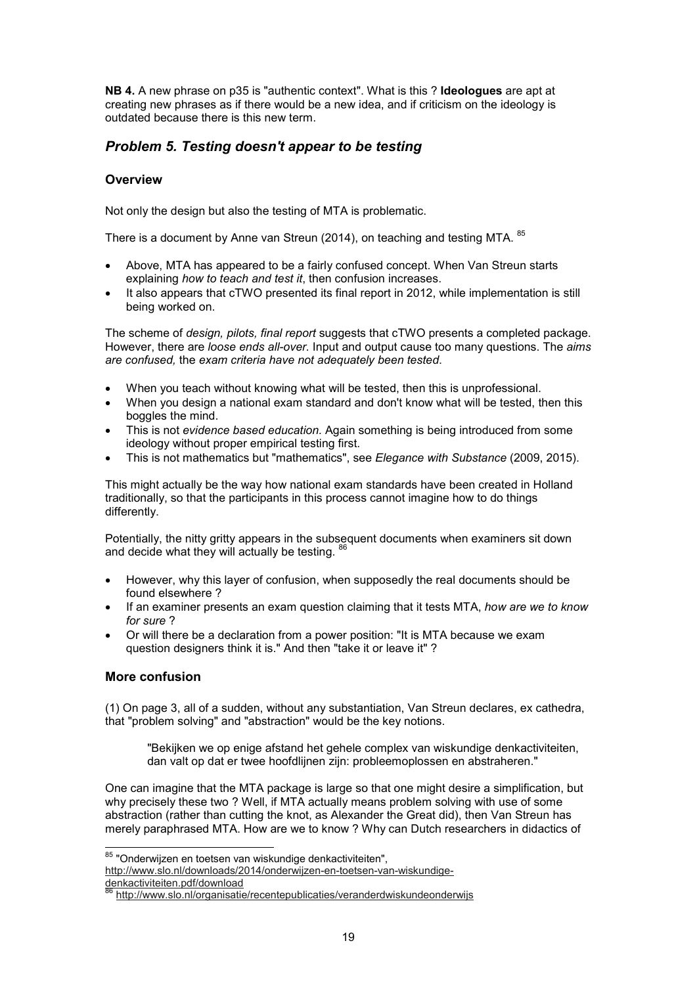**NB 4.** A new phrase on p35 is "authentic context". What is this ? **Ideologues** are apt at creating new phrases as if there would be a new idea, and if criticism on the ideology is outdated because there is this new term.

## *Problem 5. Testing doesn't appear to be testing*

#### **Overview**

Not only the design but also the testing of MTA is problematic.

There is a document by Anne van Streun (2014), on teaching and testing MTA. <sup>85</sup>

- Above, MTA has appeared to be a fairly confused concept. When Van Streun starts explaining *how to teach and test it*, then confusion increases.
- It also appears that cTWO presented its final report in 2012, while implementation is still being worked on.

The scheme of *design, pilots, final report* suggests that cTWO presents a completed package. However, there are *loose ends all-over.* Input and output cause too many questions. The *aims are confused,* the *exam criteria have not adequately been tested*.

- When you teach without knowing what will be tested, then this is unprofessional.
- When you design a national exam standard and don't know what will be tested, then this boggles the mind.
- This is not *evidence based education.* Again something is being introduced from some ideology without proper empirical testing first.
- This is not mathematics but "mathematics", see *Elegance with Substance* (2009, 2015).

This might actually be the way how national exam standards have been created in Holland traditionally, so that the participants in this process cannot imagine how to do things differently.

Potentially, the nitty gritty appears in the subsequent documents when examiners sit down and decide what they will actually be testing.

- However, why this layer of confusion, when supposedly the real documents should be found elsewhere ?
- If an examiner presents an exam question claiming that it tests MTA, *how are we to know for sure* ?
- Or will there be a declaration from a power position: "It is MTA because we exam question designers think it is." And then "take it or leave it" ?

#### **More confusion**

(1) On page 3, all of a sudden, without any substantiation, Van Streun declares, ex cathedra, that "problem solving" and "abstraction" would be the key notions.

"Bekijken we op enige afstand het gehele complex van wiskundige denkactiviteiten, dan valt op dat er twee hoofdlijnen zijn: probleemoplossen en abstraheren."

One can imagine that the MTA package is large so that one might desire a simplification, but why precisely these two ? Well, if MTA actually means problem solving with use of some abstraction (rather than cutting the knot, as Alexander the Great did), then Van Streun has merely paraphrased MTA. How are we to know ? Why can Dutch researchers in didactics of

 $^{85}$  "Onderwijzen en toetsen van wiskundige denkactiviteiten", http://www.slo.nl/downloads/2014/onderwijzen-en-toetsen-van-wiskundige-

denkactiviteiten.pdf/download

<sup>86</sup> http://www.slo.nl/organisatie/recentepublicaties/veranderdwiskundeonderwijs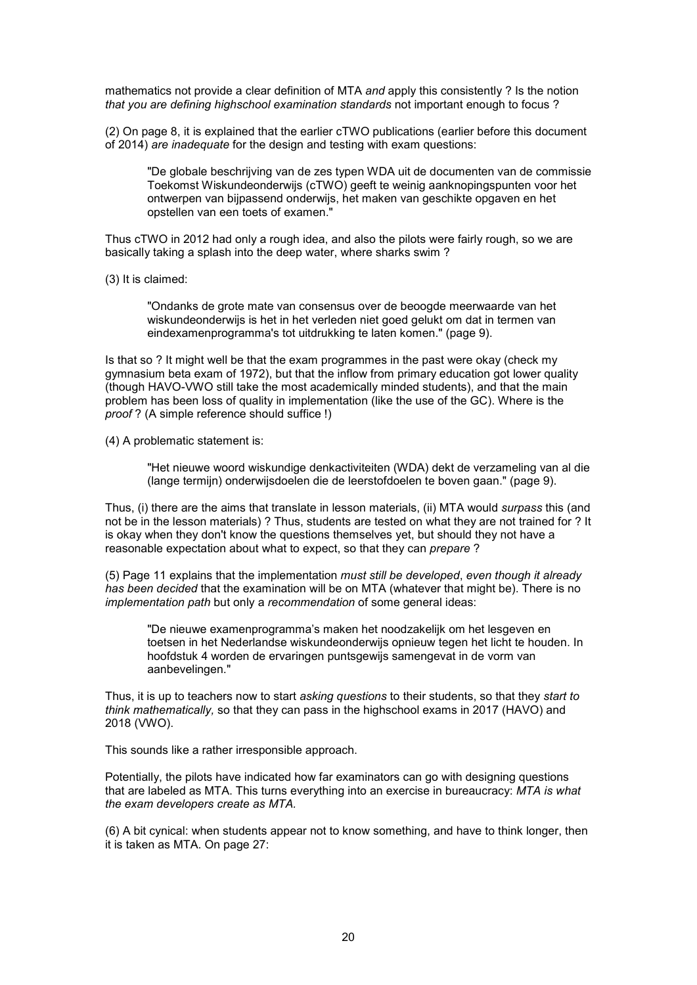mathematics not provide a clear definition of MTA *and* apply this consistently ? Is the notion *that you are defining highschool examination standards* not important enough to focus ?

(2) On page 8, it is explained that the earlier cTWO publications (earlier before this document of 2014) *are inadequate* for the design and testing with exam questions:

"De globale beschrijving van de zes typen WDA uit de documenten van de commissie Toekomst Wiskundeonderwijs (cTWO) geeft te weinig aanknopingspunten voor het ontwerpen van bijpassend onderwijs, het maken van geschikte opgaven en het opstellen van een toets of examen."

Thus cTWO in 2012 had only a rough idea, and also the pilots were fairly rough, so we are basically taking a splash into the deep water, where sharks swim ?

(3) It is claimed:

"Ondanks de grote mate van consensus over de beoogde meerwaarde van het wiskundeonderwijs is het in het verleden niet goed gelukt om dat in termen van eindexamenprogramma's tot uitdrukking te laten komen." (page 9).

Is that so ? It might well be that the exam programmes in the past were okay (check my gymnasium beta exam of 1972), but that the inflow from primary education got lower quality (though HAVO-VWO still take the most academically minded students), and that the main problem has been loss of quality in implementation (like the use of the GC). Where is the *proof* ? (A simple reference should suffice !)

(4) A problematic statement is:

"Het nieuwe woord wiskundige denkactiviteiten (WDA) dekt de verzameling van al die (lange termijn) onderwijsdoelen die de leerstofdoelen te boven gaan." (page 9).

Thus, (i) there are the aims that translate in lesson materials, (ii) MTA would *surpass* this (and not be in the lesson materials) ? Thus, students are tested on what they are not trained for ? It is okay when they don't know the questions themselves yet, but should they not have a reasonable expectation about what to expect, so that they can *prepare* ?

(5) Page 11 explains that the implementation *must still be developed*, *even though it already has been decided* that the examination will be on MTA (whatever that might be). There is no *implementation path* but only a *recommendation* of some general ideas:

"De nieuwe examenprogramma's maken het noodzakelijk om het lesgeven en toetsen in het Nederlandse wiskundeonderwijs opnieuw tegen het licht te houden. In hoofdstuk 4 worden de ervaringen puntsgewijs samengevat in de vorm van aanbevelingen."

Thus, it is up to teachers now to start *asking questions* to their students, so that they *start to think mathematically,* so that they can pass in the highschool exams in 2017 (HAVO) and 2018 (VWO).

This sounds like a rather irresponsible approach.

Potentially, the pilots have indicated how far examinators can go with designing questions that are labeled as MTA. This turns everything into an exercise in bureaucracy: *MTA is what the exam developers create as MTA.*

(6) A bit cynical: when students appear not to know something, and have to think longer, then it is taken as MTA. On page 27: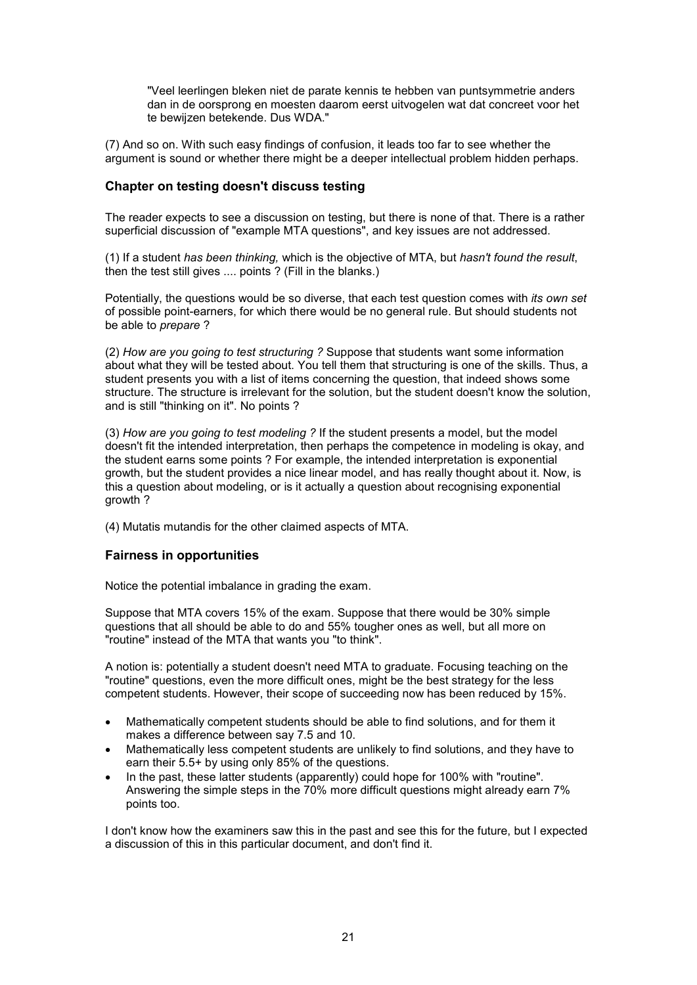"Veel leerlingen bleken niet de parate kennis te hebben van puntsymmetrie anders dan in de oorsprong en moesten daarom eerst uitvogelen wat dat concreet voor het te bewijzen betekende. Dus WDA."

(7) And so on. With such easy findings of confusion, it leads too far to see whether the argument is sound or whether there might be a deeper intellectual problem hidden perhaps.

#### **Chapter on testing doesn't discuss testing**

The reader expects to see a discussion on testing, but there is none of that. There is a rather superficial discussion of "example MTA questions", and key issues are not addressed.

(1) If a student *has been thinking,* which is the objective of MTA, but *hasn't found the result*, then the test still gives .... points ? (Fill in the blanks.)

Potentially, the questions would be so diverse, that each test question comes with *its own set* of possible point-earners, for which there would be no general rule. But should students not be able to *prepare* ?

(2) *How are you going to test structuring ?* Suppose that students want some information about what they will be tested about. You tell them that structuring is one of the skills. Thus, a student presents you with a list of items concerning the question, that indeed shows some structure. The structure is irrelevant for the solution, but the student doesn't know the solution, and is still "thinking on it". No points ?

(3) *How are you going to test modeling ?* If the student presents a model, but the model doesn't fit the intended interpretation, then perhaps the competence in modeling is okay, and the student earns some points ? For example, the intended interpretation is exponential growth, but the student provides a nice linear model, and has really thought about it. Now, is this a question about modeling, or is it actually a question about recognising exponential growth ?

(4) Mutatis mutandis for the other claimed aspects of MTA.

## **Fairness in opportunities**

Notice the potential imbalance in grading the exam.

Suppose that MTA covers 15% of the exam. Suppose that there would be 30% simple questions that all should be able to do and 55% tougher ones as well, but all more on "routine" instead of the MTA that wants you "to think".

A notion is: potentially a student doesn't need MTA to graduate. Focusing teaching on the "routine" questions, even the more difficult ones, might be the best strategy for the less competent students. However, their scope of succeeding now has been reduced by 15%.

- Mathematically competent students should be able to find solutions, and for them it makes a difference between say 7.5 and 10.
- Mathematically less competent students are unlikely to find solutions, and they have to earn their 5.5+ by using only 85% of the questions.
- In the past, these latter students (apparently) could hope for 100% with "routine". Answering the simple steps in the 70% more difficult questions might already earn 7% points too.

I don't know how the examiners saw this in the past and see this for the future, but I expected a discussion of this in this particular document, and don't find it.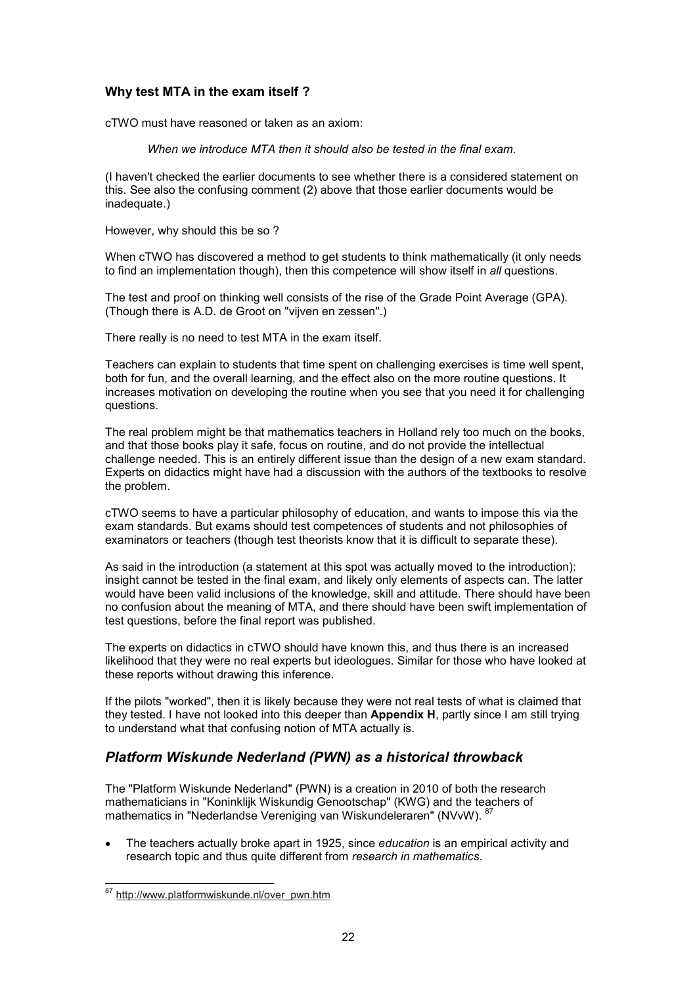#### **Why test MTA in the exam itself ?**

cTWO must have reasoned or taken as an axiom:

*When we introduce MTA then it should also be tested in the final exam.*

(I haven't checked the earlier documents to see whether there is a considered statement on this. See also the confusing comment (2) above that those earlier documents would be inadequate.)

However, why should this be so ?

When cTWO has discovered a method to get students to think mathematically (it only needs to find an implementation though), then this competence will show itself in *all* questions.

The test and proof on thinking well consists of the rise of the Grade Point Average (GPA). (Though there is A.D. de Groot on "vijven en zessen".)

There really is no need to test MTA in the exam itself.

Teachers can explain to students that time spent on challenging exercises is time well spent, both for fun, and the overall learning, and the effect also on the more routine questions. It increases motivation on developing the routine when you see that you need it for challenging questions.

The real problem might be that mathematics teachers in Holland rely too much on the books, and that those books play it safe, focus on routine, and do not provide the intellectual challenge needed. This is an entirely different issue than the design of a new exam standard. Experts on didactics might have had a discussion with the authors of the textbooks to resolve the problem.

cTWO seems to have a particular philosophy of education, and wants to impose this via the exam standards. But exams should test competences of students and not philosophies of examinators or teachers (though test theorists know that it is difficult to separate these).

As said in the introduction (a statement at this spot was actually moved to the introduction): insight cannot be tested in the final exam, and likely only elements of aspects can. The latter would have been valid inclusions of the knowledge, skill and attitude. There should have been no confusion about the meaning of MTA, and there should have been swift implementation of test questions, before the final report was published.

The experts on didactics in cTWO should have known this, and thus there is an increased likelihood that they were no real experts but ideologues. Similar for those who have looked at these reports without drawing this inference.

If the pilots "worked", then it is likely because they were not real tests of what is claimed that they tested. I have not looked into this deeper than **Appendix H**, partly since I am still trying to understand what that confusing notion of MTA actually is.

## *Platform Wiskunde Nederland (PWN) as a historical throwback*

The "Platform Wiskunde Nederland" (PWN) is a creation in 2010 of both the research mathematicians in "Koninklijk Wiskundig Genootschap" (KWG) and the teachers of mathematics in "Nederlandse Vereniging van Wiskundeleraren" (NVvW). <sup>87</sup>

• The teachers actually broke apart in 1925, since *education* is an empirical activity and research topic and thus quite different from *research in mathematics*.

 $\overline{a}$ <sup>87</sup> http://www.platformwiskunde.nl/over\_pwn.htm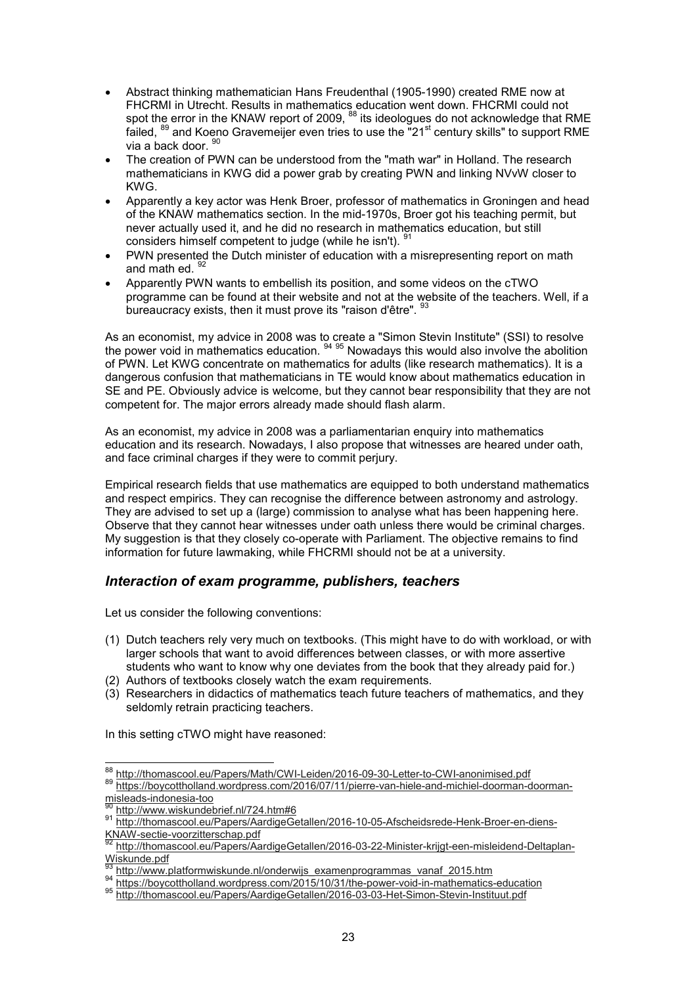- Abstract thinking mathematician Hans Freudenthal (1905-1990) created RME now at FHCRMI in Utrecht. Results in mathematics education went down. FHCRMI could not spot th<u>e</u> error in the KNAW report of 2009, <sup>88</sup> its ideologues do not acknowledge that RME failed,  $89$  and Koeno Gravemeijer even tries to use the "21 $\mathrm{^{st}}$  century skills" to support RME via a back door. 90
- The creation of PWN can be understood from the "math war" in Holland. The research mathematicians in KWG did a power grab by creating PWN and linking NVvW closer to KWG.
- Apparently a key actor was Henk Broer, professor of mathematics in Groningen and head of the KNAW mathematics section. In the mid-1970s, Broer got his teaching permit, but never actually used it, and he did no research in mathematics education, but still considers himself competent to judge (while he isn't). <sup>91</sup>
- PWN presented the Dutch minister of education with a misrepresenting report on math and math ed. 92
- Apparently PWN wants to embellish its position, and some videos on the cTWO programme can be found at their website and not at the website of the teachers. Well, if a bureaucracy exists, then it must prove its "raison d'être". <sup>93</sup>

As an economist, my advice in 2008 was to create a "Simon Stevin Institute" (SSI) to resolve the power void in mathematics education. <sup>94 95</sup> Nowadays this would also involve the abolition of PWN. Let KWG concentrate on mathematics for adults (like research mathematics). It is a dangerous confusion that mathematicians in TE would know about mathematics education in SE and PE. Obviously advice is welcome, but they cannot bear responsibility that they are not competent for. The major errors already made should flash alarm.

As an economist, my advice in 2008 was a parliamentarian enquiry into mathematics education and its research. Nowadays, I also propose that witnesses are heared under oath, and face criminal charges if they were to commit perjury.

Empirical research fields that use mathematics are equipped to both understand mathematics and respect empirics. They can recognise the difference between astronomy and astrology. They are advised to set up a (large) commission to analyse what has been happening here. Observe that they cannot hear witnesses under oath unless there would be criminal charges. My suggestion is that they closely co-operate with Parliament. The objective remains to find information for future lawmaking, while FHCRMI should not be at a university.

## *Interaction of exam programme, publishers, teachers*

Let us consider the following conventions:

- (1) Dutch teachers rely very much on textbooks. (This might have to do with workload, or with larger schools that want to avoid differences between classes, or with more assertive students who want to know why one deviates from the book that they already paid for.)
- (2) Authors of textbooks closely watch the exam requirements.
- (3) Researchers in didactics of mathematics teach future teachers of mathematics, and they seldomly retrain practicing teachers.

In this setting cTWO might have reasoned:

 $\overline{a}$  $\frac{^{88}}{^{208}}$ http://thomascool.eu/Papers/Math/CWI-Leiden/2016-09-30-Letter-to-CWI-anonimised.pdf 89 http://boycottholland.wordpress.com/2016/07/11/pierre-van-hiele-and-michiel-doorman-doormanmisleads-indonesia-too

http://www.wiskundebrief.nl/724.htm#6

<sup>91</sup> http://thomascool.eu/Papers/AardigeGetallen/2016-10-05-Afscheidsrede-Henk-Broer-en-diens-KNAW-sectie-voorzitterschap.pdf

http://thomascool.eu/Papers/AardigeGetallen/2016-03-22-Minister-krijgt-een-misleidend-Deltaplan-Wiskunde.pdf

http://www.platformwiskunde.nl/onderwijs\_examenprogrammas\_vanaf\_2015.htm

<sup>94</sup> https://boycottholland.wordpress.com/2015/10/31/the-power-void-in-mathematics-education

<sup>95</sup> http://thomascool.eu/Papers/AardigeGetallen/2016-03-03-Het-Simon-Stevin-Instituut.pdf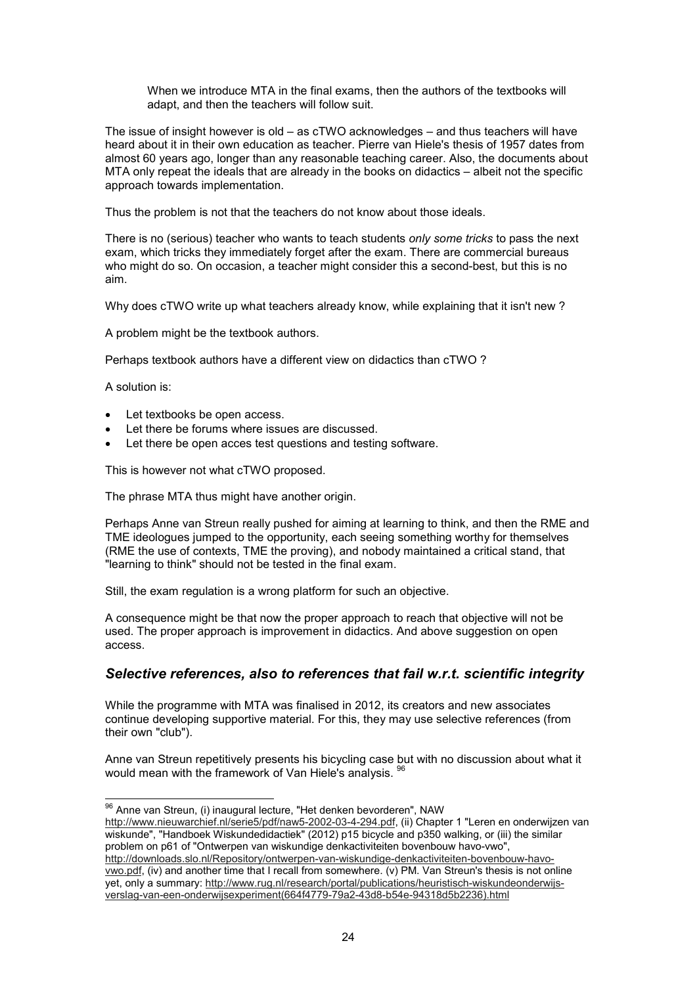When we introduce MTA in the final exams, then the authors of the textbooks will adapt, and then the teachers will follow suit.

The issue of insight however is old – as cTWO acknowledges – and thus teachers will have heard about it in their own education as teacher. Pierre van Hiele's thesis of 1957 dates from almost 60 years ago, longer than any reasonable teaching career. Also, the documents about MTA only repeat the ideals that are already in the books on didactics – albeit not the specific approach towards implementation.

Thus the problem is not that the teachers do not know about those ideals.

There is no (serious) teacher who wants to teach students *only some tricks* to pass the next exam, which tricks they immediately forget after the exam. There are commercial bureaus who might do so. On occasion, a teacher might consider this a second-best, but this is no aim.

Why does cTWO write up what teachers already know, while explaining that it isn't new ?

A problem might be the textbook authors.

Perhaps textbook authors have a different view on didactics than cTWO ?

A solution is:

- Let textbooks be open access.
- Let there be forums where issues are discussed.
- Let there be open acces test questions and testing software.

This is however not what cTWO proposed.

The phrase MTA thus might have another origin.

Perhaps Anne van Streun really pushed for aiming at learning to think, and then the RME and TME ideologues jumped to the opportunity, each seeing something worthy for themselves (RME the use of contexts, TME the proving), and nobody maintained a critical stand, that "learning to think" should not be tested in the final exam.

Still, the exam regulation is a wrong platform for such an objective.

A consequence might be that now the proper approach to reach that objective will not be used. The proper approach is improvement in didactics. And above suggestion on open access.

## *Selective references, also to references that fail w.r.t. scientific integrity*

While the programme with MTA was finalised in 2012, its creators and new associates continue developing supportive material. For this, they may use selective references (from their own "club").

Anne van Streun repetitively presents his bicycling case but with no discussion about what it would mean with the framework of Van Hiele's analysis. <sup>96</sup>

 $\overline{a}$  $^{96}$  Anne van Streun, (i) inaugural lecture, "Het denken bevorderen", NAW

http://www.nieuwarchief.nl/serie5/pdf/naw5-2002-03-4-294.pdf, (ii) Chapter 1 "Leren en onderwijzen van wiskunde", "Handboek Wiskundedidactiek" (2012) p15 bicycle and p350 walking, or (iii) the similar problem on p61 of "Ontwerpen van wiskundige denkactiviteiten bovenbouw havo-vwo",

http://downloads.slo.nl/Repository/ontwerpen-van-wiskundige-denkactiviteiten-bovenbouw-havovwo.pdf, (iv) and another time that I recall from somewhere. (v) PM. Van Streun's thesis is not online yet, only a summary: http://www.rug.nl/research/portal/publications/heuristisch-wiskundeonderwijsverslag-van-een-onderwijsexperiment(664f4779-79a2-43d8-b54e-94318d5b2236).html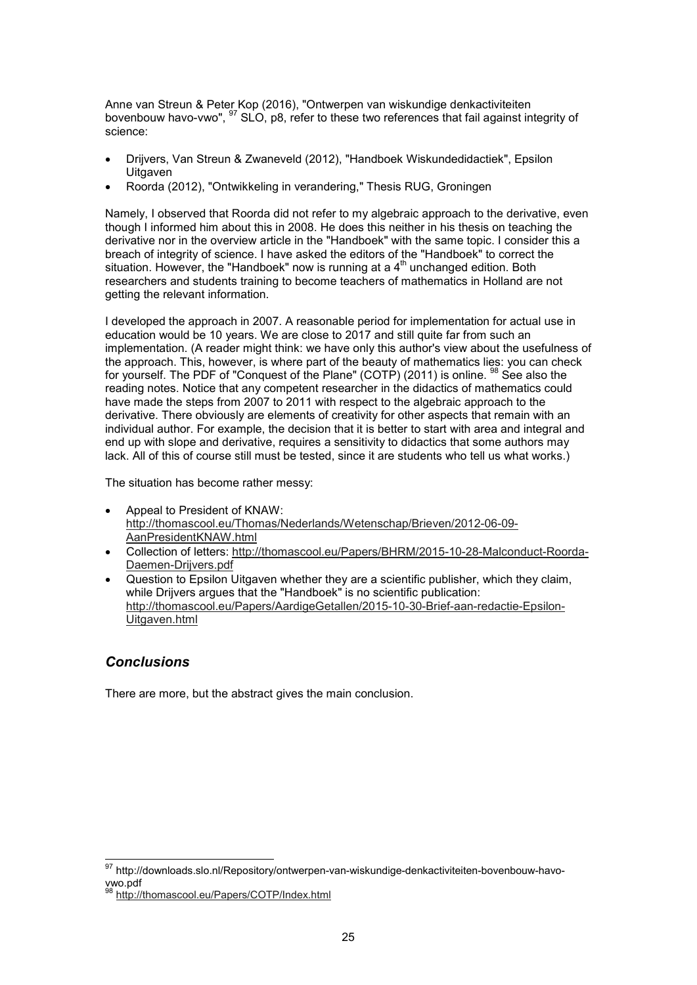Anne van Streun & Peter Kop (2016), "Ontwerpen van wiskundige denkactiviteiten bovenbouw havo-vwo", <sup>97</sup> SLO, p8, refer to these two references that fail against integrity of science:

- Drijvers, Van Streun & Zwaneveld (2012), "Handboek Wiskundedidactiek", Epsilon **Uitgaven**
- Roorda (2012), "Ontwikkeling in verandering," Thesis RUG, Groningen

Namely, I observed that Roorda did not refer to my algebraic approach to the derivative, even though I informed him about this in 2008. He does this neither in his thesis on teaching the derivative nor in the overview article in the "Handboek" with the same topic. I consider this a breach of integrity of science. I have asked the editors of the "Handboek" to correct the situation. However, the "Handboek" now is running at a  $4<sup>th</sup>$  unchanged edition. Both researchers and students training to become teachers of mathematics in Holland are not getting the relevant information.

I developed the approach in 2007. A reasonable period for implementation for actual use in education would be 10 years. We are close to 2017 and still quite far from such an implementation. (A reader might think: we have only this author's view about the usefulness of the approach. This, however, is where part of the beauty of mathematics lies: you can check for yourself. The PDF of "Conquest of the Plane" (COTP) (2011) is online. <sup>98</sup> See also the reading notes. Notice that any competent researcher in the didactics of mathematics could have made the steps from 2007 to 2011 with respect to the algebraic approach to the derivative. There obviously are elements of creativity for other aspects that remain with an individual author. For example, the decision that it is better to start with area and integral and end up with slope and derivative, requires a sensitivity to didactics that some authors may lack. All of this of course still must be tested, since it are students who tell us what works.)

The situation has become rather messy:

- Appeal to President of KNAW: http://thomascool.eu/Thomas/Nederlands/Wetenschap/Brieven/2012-06-09- AanPresidentKNAW.html
- Collection of letters: http://thomascool.eu/Papers/BHRM/2015-10-28-Malconduct-Roorda-Daemen-Drijvers.pdf
- Question to Epsilon Uitgaven whether they are a scientific publisher, which they claim, while Drijvers argues that the "Handboek" is no scientific publication: http://thomascool.eu/Papers/AardigeGetallen/2015-10-30-Brief-aan-redactie-Epsilon-Uitgaven.html

## *Conclusions*

 $\overline{a}$ 

There are more, but the abstract gives the main conclusion.

 $^\mathrm{97}$  http://downloads.slo.nl/Repository/ontwerpen-van-wiskundige-denkactiviteiten-bovenbouw-havovwo.pdf

<sup>98</sup> http://thomascool.eu/Papers/COTP/Index.html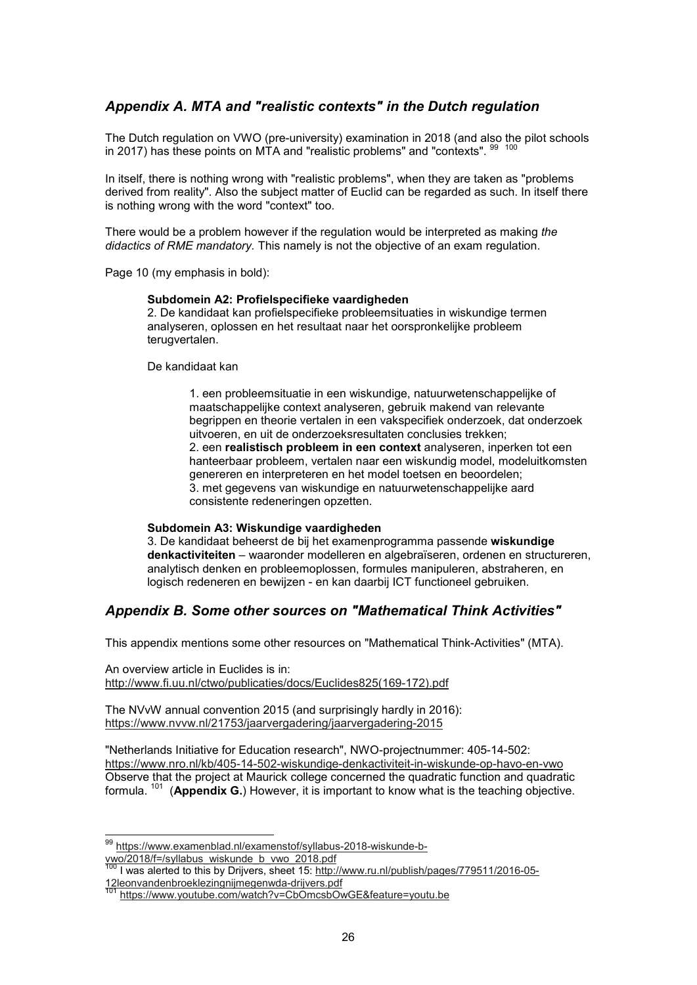## *Appendix A. MTA and "realistic contexts" in the Dutch regulation*

The Dutch regulation on VWO (pre-university) examination in 2018 (and also the pilot schools in 2017) has these points on MTA and "realistic problems" and "contexts".  $^\mathrm{99-100}$ 

In itself, there is nothing wrong with "realistic problems", when they are taken as "problems derived from reality". Also the subject matter of Euclid can be regarded as such. In itself there is nothing wrong with the word "context" too.

There would be a problem however if the regulation would be interpreted as making *the didactics of RME mandatory.* This namely is not the objective of an exam regulation.

Page 10 (my emphasis in bold):

#### **Subdomein A2: Profielspecifieke vaardigheden**

2. De kandidaat kan profielspecifieke probleemsituaties in wiskundige termen analyseren, oplossen en het resultaat naar het oorspronkelijke probleem terugvertalen.

De kandidaat kan

1. een probleemsituatie in een wiskundige, natuurwetenschappelijke of maatschappelijke context analyseren, gebruik makend van relevante begrippen en theorie vertalen in een vakspecifiek onderzoek, dat onderzoek uitvoeren, en uit de onderzoeksresultaten conclusies trekken; 2. een **realistisch probleem in een context** analyseren, inperken tot een hanteerbaar probleem, vertalen naar een wiskundig model, modeluitkomsten genereren en interpreteren en het model toetsen en beoordelen; 3. met gegevens van wiskundige en natuurwetenschappelijke aard consistente redeneringen opzetten.

#### **Subdomein A3: Wiskundige vaardigheden**

3. De kandidaat beheerst de bij het examenprogramma passende **wiskundige denkactiviteiten** – waaronder modelleren en algebraïseren, ordenen en structureren, analytisch denken en probleemoplossen, formules manipuleren, abstraheren, en logisch redeneren en bewijzen - en kan daarbij ICT functioneel gebruiken.

## *Appendix B. Some other sources on "Mathematical Think Activities"*

This appendix mentions some other resources on "Mathematical Think-Activities" (MTA).

An overview article in Euclides is in: http://www.fi.uu.nl/ctwo/publicaties/docs/Euclides825(169-172).pdf

The NVvW annual convention 2015 (and surprisingly hardly in 2016): https://www.nvvw.nl/21753/jaarvergadering/jaarvergadering-2015

"Netherlands Initiative for Education research", NWO-projectnummer: 405-14-502: https://www.nro.nl/kb/405-14-502-wiskundige-denkactiviteit-in-wiskunde-op-havo-en-vwo Observe that the project at Maurick college concerned the quadratic function and quadratic formula. <sup>101</sup> (**Appendix G.**) However, it is important to know what is the teaching objective.

<sup>&</sup>lt;sup>99</sup> https://www.examenblad.nl/examenstof/syllabus-2018-wiskunde-bvwo/2018/f=/syllabus\_wiskunde\_b\_vwo\_2018.pdf

<sup>100</sup> Livis Street Community of the Universe of the third of the Universe of the Universe of the Universe of the Universe of the Universe of the Universe of the Universe of the Universe of the Universe of the Universe of the 12leonvandenbroeklezingnijmegenwda-drijvers.pdf

https://www.youtube.com/watch?v=CbOmcsbOwGE&feature=youtu.be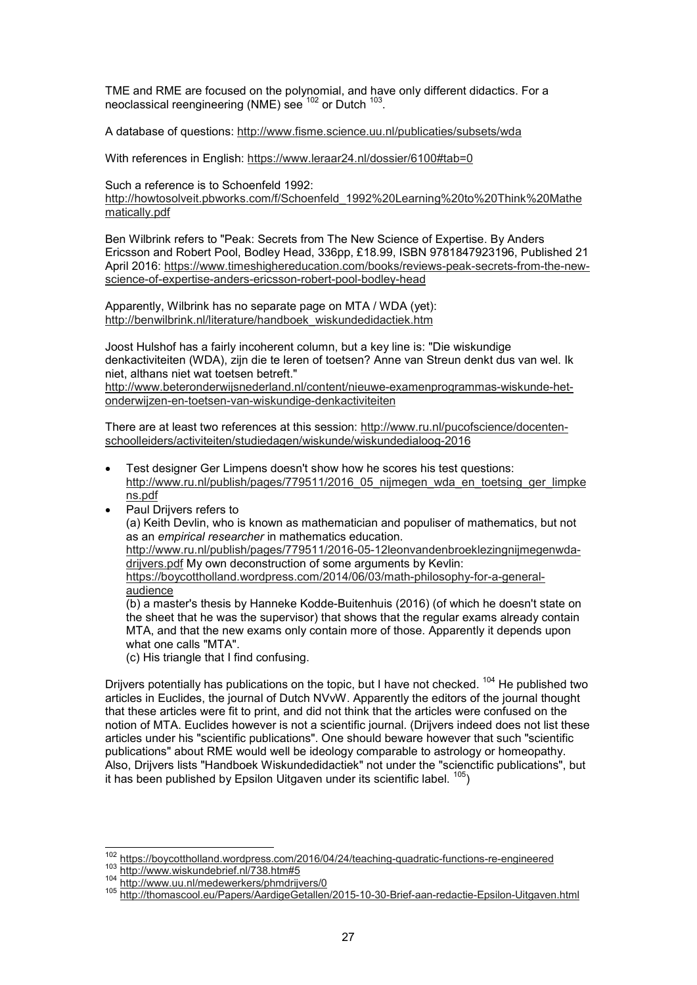TME and RME are focused on the polynomial, and have only different didactics. For a neoclassical reengineering (NME) see  $^{102}$  or Dutch  $^{103}\!.$ 

A database of questions: http://www.fisme.science.uu.nl/publicaties/subsets/wda

With references in English: https://www.leraar24.nl/dossier/6100#tab=0

Such a reference is to Schoenfeld 1992:

http://howtosolveit.pbworks.com/f/Schoenfeld\_1992%20Learning%20to%20Think%20Mathe matically.pdf

Ben Wilbrink refers to "Peak: Secrets from The New Science of Expertise. By Anders Ericsson and Robert Pool, Bodley Head, 336pp, £18.99, ISBN 9781847923196, Published 21 April 2016: https://www.timeshighereducation.com/books/reviews-peak-secrets-from-the-newscience-of-expertise-anders-ericsson-robert-pool-bodley-head

Apparently, Wilbrink has no separate page on MTA / WDA (yet): http://benwilbrink.nl/literature/handboek\_wiskundedidactiek.htm

Joost Hulshof has a fairly incoherent column, but a key line is: "Die wiskundige denkactiviteiten (WDA), zijn die te leren of toetsen? Anne van Streun denkt dus van wel. Ik niet, althans niet wat toetsen betreft."

http://www.beteronderwijsnederland.nl/content/nieuwe-examenprogrammas-wiskunde-hetonderwijzen-en-toetsen-van-wiskundige-denkactiviteiten

There are at least two references at this session: http://www.ru.nl/pucofscience/docentenschoolleiders/activiteiten/studiedagen/wiskunde/wiskundedialoog-2016

- Test designer Ger Limpens doesn't show how he scores his test questions: http://www.ru.nl/publish/pages/779511/2016\_05\_nijmegen\_wda\_en\_toetsing\_ger\_limpke ns.pdf
- Paul Drijvers refers to (a) Keith Devlin, who is known as mathematician and populiser of mathematics, but not as an *empirical researcher* in mathematics education. http://www.ru.nl/publish/pages/779511/2016-05-12leonvandenbroeklezingnijmegenwdadrijvers.pdf My own deconstruction of some arguments by Kevlin: https://boycottholland.wordpress.com/2014/06/03/math-philosophy-for-a-generalaudience

(b) a master's thesis by Hanneke Kodde-Buitenhuis (2016) (of which he doesn't state on the sheet that he was the supervisor) that shows that the regular exams already contain MTA, and that the new exams only contain more of those. Apparently it depends upon what one calls "MTA".

(c) His triangle that I find confusing.

Drijvers potentially has publications on the topic, but I have not checked. <sup>104</sup> He published two articles in Euclides, the journal of Dutch NVvW. Apparently the editors of the journal thought that these articles were fit to print, and did not think that the articles were confused on the notion of MTA. Euclides however is not a scientific journal. (Drijvers indeed does not list these articles under his "scientific publications". One should beware however that such "scientific publications" about RME would well be ideology comparable to astrology or homeopathy. Also, Drijvers lists "Handboek Wiskundedidactiek" not under the "scienctific publications", but it has been published by Epsilon Uitgaven under its scientific label.  $^{105}$ )

 $\overline{\phantom{a}}$ 

<sup>&</sup>lt;sup>102</sup> https://boycottholland.wordpress.com/2016/04/24/teaching-quadratic-functions-re-engineered

<sup>103</sup> http://www.wiskundebrief.nl/738.htm#5

<sup>104</sup> http://www.uu.nl/medewerkers/phmdrijvers/0

<sup>105</sup> http://thomascool.eu/Papers/AardigeGetallen/2015-10-30-Brief-aan-redactie-Epsilon-Uitgaven.html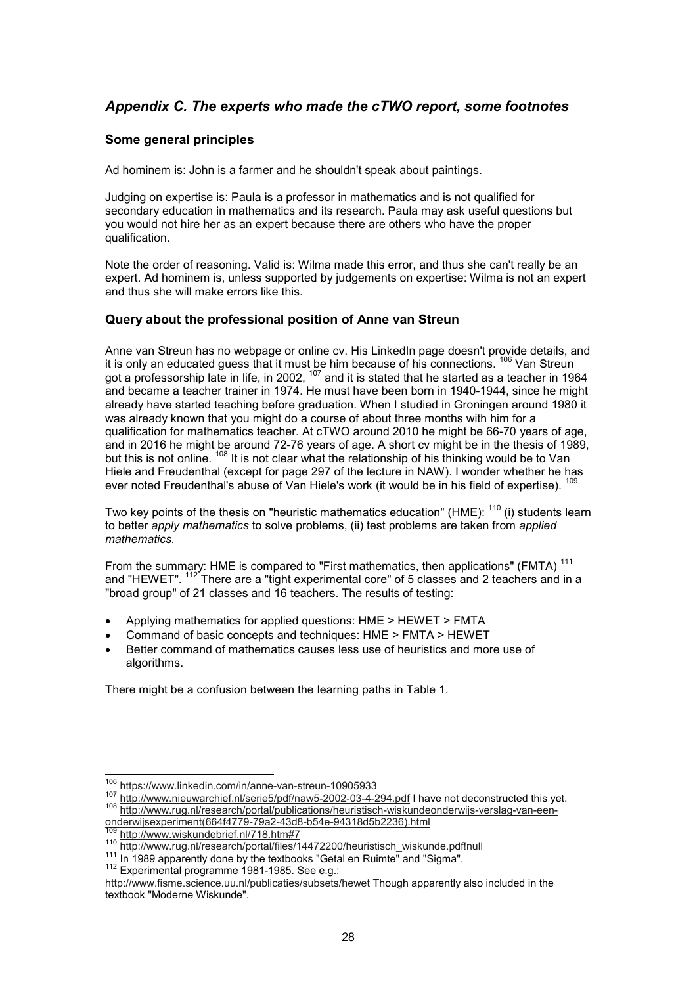## *Appendix C. The experts who made the cTWO report, some footnotes*

#### **Some general principles**

Ad hominem is: John is a farmer and he shouldn't speak about paintings.

Judging on expertise is: Paula is a professor in mathematics and is not qualified for secondary education in mathematics and its research. Paula may ask useful questions but you would not hire her as an expert because there are others who have the proper qualification.

Note the order of reasoning. Valid is: Wilma made this error, and thus she can't really be an expert. Ad hominem is, unless supported by judgements on expertise: Wilma is not an expert and thus she will make errors like this.

#### **Query about the professional position of Anne van Streun**

Anne van Streun has no webpage or online cv. His LinkedIn page doesn't provide details, and it is only an educated guess that it must be him because of his connections. <sup>106</sup> Van Streun got a professorship late in life, in 2002, <sup>107</sup> and it is stated that he started as a teacher in 1964 and became a teacher trainer in 1974. He must have been born in 1940-1944, since he might already have started teaching before graduation. When I studied in Groningen around 1980 it was already known that you might do a course of about three months with him for a qualification for mathematics teacher. At cTWO around 2010 he might be 66-70 years of age, and in 2016 he might be around 72-76 years of age. A short cv might be in the thesis of 1989, but this is not online. <sup>108</sup> It is not clear what the relationship of his thinking would be to Van Hiele and Freudenthal (except for page 297 of the lecture in NAW). I wonder whether he has ever noted Freudenthal's abuse of Van Hiele's work (it would be in his field of expertise).

Two key points of the thesis on "heuristic mathematics education" (HME): <sup>110</sup> (i) students learn to better *apply mathematics* to solve problems, (ii) test problems are taken from *applied mathematics.*

From the summary: HME is compared to "First mathematics, then applications" (FMTA)<sup>111</sup> and "HEWET". <sup>112</sup> There are a "tight experimental core" of 5 classes and 2 teachers and in a "broad group" of 21 classes and 16 teachers. The results of testing:

- Applying mathematics for applied questions: HME > HEWET > FMTA
- Command of basic concepts and techniques: HME > FMTA > HEWET
- Better command of mathematics causes less use of heuristics and more use of algorithms.

There might be a confusion between the learning paths in Table 1.

onderwijsexperiment(664f4779-79a2-43d8-b54e-94318d5b2236).html

 $\overline{\phantom{a}}$ 

<sup>&</sup>lt;sup>106</sup> https://www.linkedin.com/in/anne-van-streun-10905933

<sup>107</sup> http://www.nieuwarchief.nl/serie5/pdf/naw5-2002-03-4-294.pdf I have not deconstructed this yet. <sup>108</sup> http://www.rug.nl/research/portal/publications/heuristisch-wiskundeonderwijs-verslag-van-een-

<sup>&</sup>lt;sup>109</sup> http://www.wiskundebrief.nl/718.htm#7

<sup>110</sup> http://www.rug.nl/research/portal/files/14472200/heuristisch\_wiskunde.pdf!null

<sup>111</sup> In 1989 apparently done by the textbooks "Getal en Ruimte" and "Sigma".

<sup>112</sup> Experimental programme 1981-1985. See e.g.:

http://www.fisme.science.uu.nl/publicaties/subsets/hewet Though apparently also included in the textbook "Moderne Wiskunde".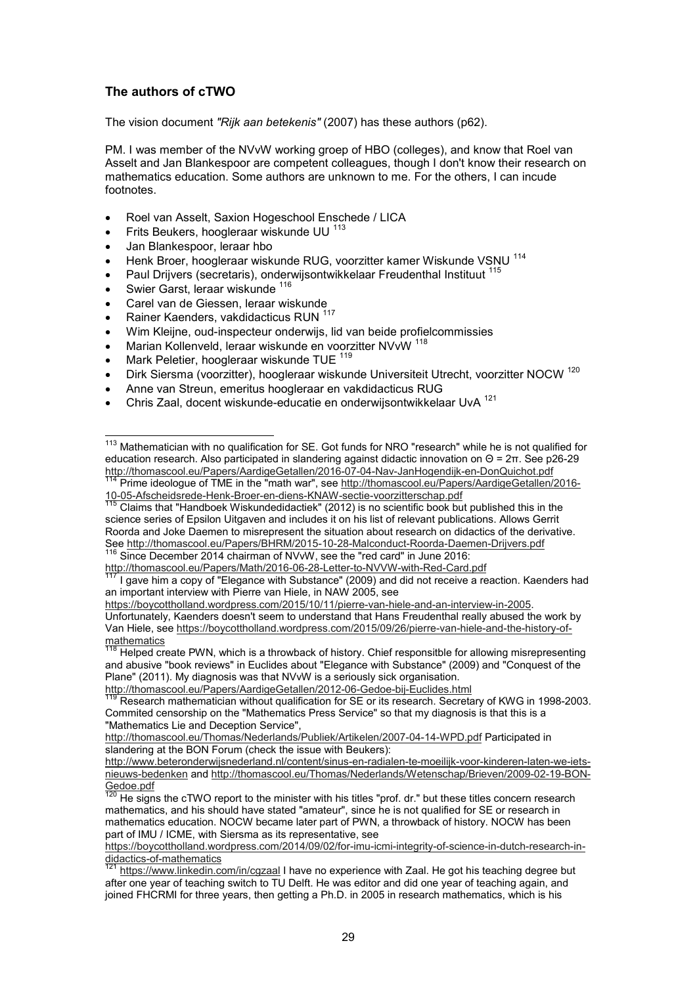#### **The authors of cTWO**

The vision document *"Rijk aan betekenis"* (2007) has these authors (p62).

PM. I was member of the NVvW working groep of HBO (colleges), and know that Roel van Asselt and Jan Blankespoor are competent colleagues, though I don't know their research on mathematics education. Some authors are unknown to me. For the others, I can incude footnotes.

- Roel van Asselt, Saxion Hogeschool Enschede / LICA
- Frits Beukers, hoogleraar wiskunde UU  $^{113}$
- Jan Blankespoor, leraar hbo
- Henk Broer, hoogleraar wiskunde RUG, voorzitter kamer Wiskunde VSNU<sup>114</sup>
- Paul Drijvers (secretaris), onderwijsontwikkelaar Freudenthal Instituut <sup>115</sup>
- Swier Garst, leraar wiskunde 116

 $\overline{a}$ 

- Carel van de Giessen, leraar wiskunde
- Rainer Kaenders, vakdidacticus RUN <sup>117</sup>
- Wim Kleijne, oud-inspecteur onderwijs, lid van beide profielcommissies
- Marian Kollenveld, leraar wiskunde en voorzitter NVvW <sup>118</sup>
- Mark Peletier, hoogleraar wiskunde TUE<sup>119</sup>
- Dirk Siersma (voorzitter), hoogleraar wiskunde Universiteit Utrecht, voorzitter NOCW <sup>120</sup>
- Anne van Streun, emeritus hoogleraar en vakdidacticus RUG
- Chris Zaal, docent wiskunde-educatie en onderwijsontwikkelaar UvA <sup>121</sup>

 $115$  Claims that "Handboek Wiskundedidactiek" (2012) is no scientific book but published this in the science series of Epsilon Uitgaven and includes it on his list of relevant publications. Allows Gerrit Roorda and Joke Daemen to misrepresent the situation about research on didactics of the derivative. See http://thomascool.eu/Papers/BHRM/2015-10-28-Malconduct-Roorda-Daemen-Drijvers.pdf <sup>116</sup> Since December 2014 chairman of NVvW, see the "red card" in June 2016:

http://thomascool.eu/Papers/Math/2016-06-28-Letter-to-NVVW-with-Red-Card.pdf

I gave him a copy of "Elegance with Substance" (2009) and did not receive a reaction. Kaenders had an important interview with Pierre van Hiele, in NAW 2005, see

https://boycottholland.wordpress.com/2015/10/11/pierre-van-hiele-and-an-interview-in-2005. Unfortunately, Kaenders doesn't seem to understand that Hans Freudenthal really abused the work by Van Hiele, see https://boycottholland.wordpress.com/2015/09/26/pierre-van-hiele-and-the-history-ofmathematics

Helped create PWN, which is a throwback of history. Chief responsitble for allowing misrepresenting and abusive "book reviews" in Euclides about "Elegance with Substance" (2009) and "Conquest of the Plane" (2011). My diagnosis was that NVvW is a seriously sick organisation.

http://thomascool.eu/Papers/AardigeGetallen/2012-06-Gedoe-bij-Euclides.html<br>119 Bossesse mathematic was well with the contract of the contract of the contract of the contract of the contract of the contract of the contract

 $113$  Mathematician with no qualification for SE. Got funds for NRO "research" while he is not qualified for education research. Also participated in slandering against didactic innovation on Θ = 2π. See p26-29 http://thomascool.eu/Papers/AardigeGetallen/2016-07-04-Nav-JanHogendijk-en-DonQuichot.pdf

<sup>&</sup>lt;sup>114</sup> Prime ideologue of TME in the "math war", see http://thomascool.eu/Papers/AardigeGetallen/2016-10-05-Afscheidsrede-Henk-Broer-en-diens-KNAW-sectie-voorzitterschap.pdf

Research mathematician without qualification for SE or its research. Secretary of KWG in 1998-2003. Commited censorship on the "Mathematics Press Service" so that my diagnosis is that this is a "Mathematics Lie and Deception Service",

http://thomascool.eu/Thomas/Nederlands/Publiek/Artikelen/2007-04-14-WPD.pdf Participated in slandering at the BON Forum (check the issue with Beukers):

http://www.beteronderwijsnederland.nl/content/sinus-en-radialen-te-moeilijk-voor-kinderen-laten-we-ietsnieuws-bedenken and http://thomascool.eu/Thomas/Nederlands/Wetenschap/Brieven/2009-02-19-BON- $\frac{\text{Gedoe.pdf}}{120 \text{Ha cian}}$ 

He signs the cTWO report to the minister with his titles "prof. dr." but these titles concern research mathematics, and his should have stated "amateur", since he is not qualified for SE or research in mathematics education. NOCW became later part of PWN, a throwback of history. NOCW has been part of IMU / ICME, with Siersma as its representative, see

https://boycottholland.wordpress.com/2014/09/02/for-imu-icmi-integrity-of-science-in-dutch-research-indidactics-of-mathematics

https://www.linkedin.com/in/cqzaal I have no experience with Zaal. He got his teaching degree but after one year of teaching switch to TU Delft. He was editor and did one year of teaching again, and joined FHCRMI for three years, then getting a Ph.D. in 2005 in research mathematics, which is his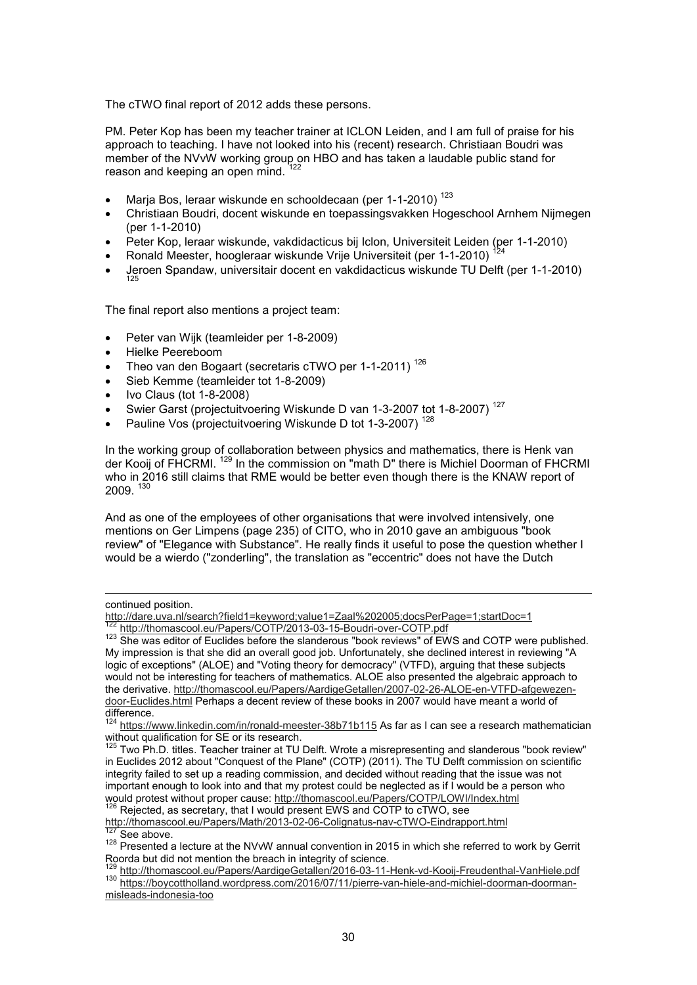The cTWO final report of 2012 adds these persons.

PM. Peter Kop has been my teacher trainer at ICLON Leiden, and I am full of praise for his approach to teaching. I have not looked into his (recent) research. Christiaan Boudri was member of the NVvW working group on HBO and has taken a laudable public stand for reason and keeping an open mind.

- Marja Bos, leraar wiskunde en schooldecaan (per 1-1-2010)<sup>123</sup>
- Christiaan Boudri, docent wiskunde en toepassingsvakken Hogeschool Arnhem Nijmegen (per 1-1-2010)
- Peter Kop, leraar wiskunde, vakdidacticus bij Iclon, Universiteit Leiden (per 1-1-2010)
- Ronald Meester, hoogleraar wiskunde Vrije Universiteit (per 1-1-2010)
- Jeroen Spandaw, universitair docent en vakdidacticus wiskunde TU Delft (per 1-1-2010)

The final report also mentions a project team:

- Peter van Wijk (teamleider per 1-8-2009)
- Hielke Peereboom
- Theo van den Bogaart (secretaris cTWO per 1-1-2011)<sup>126</sup>
- Sieb Kemme (teamleider tot 1-8-2009)
- Ivo Claus (tot 1-8-2008)
- Swier Garst (projectuitvoering Wiskunde D van 1-3-2007 tot 1-8-2007)<sup>127</sup>
- Pauline Vos (projectuitvoering Wiskunde D tot 1-3-2007)<sup>128</sup>

In the working group of collaboration between physics and mathematics, there is Henk van der Kooij of FHCRMI. <sup>129</sup> In the commission on "math D" there is Michiel Doorman of FHCRMI who in 2016 still claims that RME would be better even though there is the KNAW report of 2009

And as one of the employees of other organisations that were involved intensively, one mentions on Ger Limpens (page 235) of CITO, who in 2010 gave an ambiguous "book review" of "Elegance with Substance". He really finds it useful to pose the question whether I would be a wierdo ("zonderling", the translation as "eccentric" does not have the Dutch

-

http://thomascool.eu/Papers/Math/2013-02-06-Colignatus-nav-cTWO-Eindrapport.html See above.

misleads-indonesia-too

continued position.

http://dare.uva.nl/search?field1=keyword;value1=Zaal%202005;docsPerPage=1;startDoc=1 http://thomascool.eu/Papers/COTP/2013-03-15-Boudri-over-COTP.pdf

<sup>123</sup> She was editor of Euclides before the slanderous "book reviews" of EWS and COTP were published. My impression is that she did an overall good job. Unfortunately, she declined interest in reviewing "A logic of exceptions" (ALOE) and "Voting theory for democracy" (VTFD), arguing that these subjects would not be interesting for teachers of mathematics. ALOE also presented the algebraic approach to the derivative. http://thomascool.eu/Papers/AardigeGetallen/2007-02-26-ALOE-en-VTFD-afgewezendoor-Euclides.html Perhaps a decent review of these books in 2007 would have meant a world of difference.

 $^{24}$  https://www.linkedin.com/in/ronald-meester-38b71b115 As far as I can see a research mathematician without qualification for SE or its research.

 $125$  Two Ph.D. titles. Teacher trainer at TU Delft. Wrote a misrepresenting and slanderous "book review" in Euclides 2012 about "Conquest of the Plane" (COTP) (2011). The TU Delft commission on scientific integrity failed to set up a reading commission, and decided without reading that the issue was not important enough to look into and that my protest could be neglected as if I would be a person who would protest without proper cause: <u>http://thomascool.eu/Papers/COTP/LOWI/Index.html</u> <sup>126</sup> Rejected, as secretary, that I would present EWS and COTP to cTWO, see

<sup>128</sup> Presented a lecture at the NVvW annual convention in 2015 in which she referred to work by Gerrit Roorda but did not mention the breach in integrity of science.

<sup>129</sup> http://thomascool.eu/Papers/AardigeGetallen/2016-03-11-Henk-vd-Kooij-Freudenthal-VanHiele.pdf <sup>130</sup> https://boycottholland.wordpress.com/2016/07/11/pierre-van-hiele-and-michiel-doorman-doorman-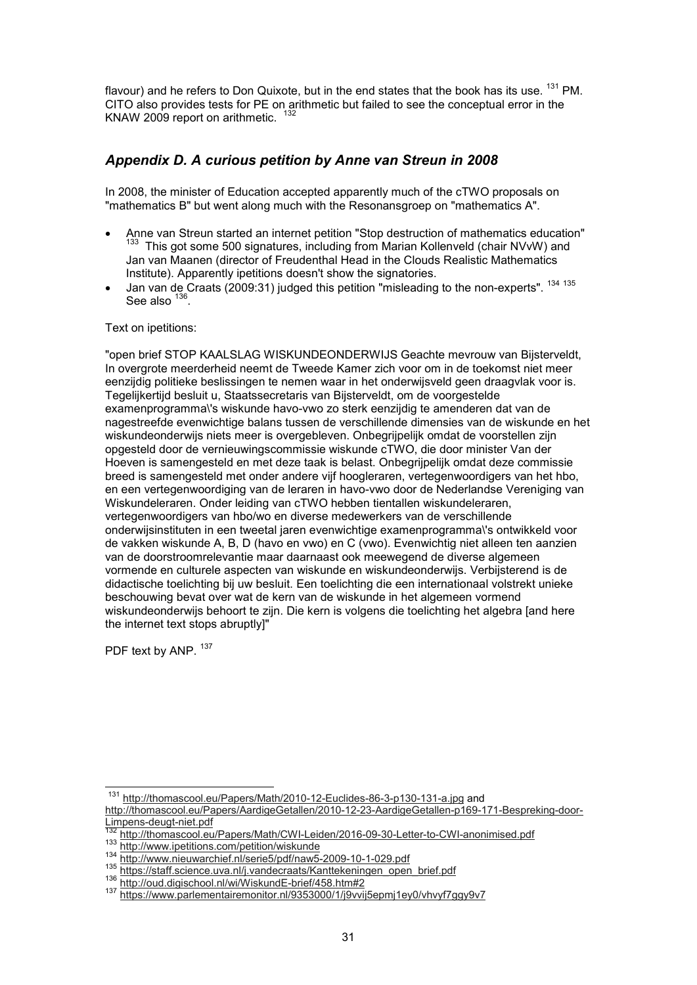flavour) and he refers to Don Quixote, but in the end states that the book has its use.  $^{131}$  PM. CITO also provides tests for PE on arithmetic but failed to see the conceptual error in the KNAW 2009 report on arithmetic.

## *Appendix D. A curious petition by Anne van Streun in 2008*

In 2008, the minister of Education accepted apparently much of the cTWO proposals on "mathematics B" but went along much with the Resonansgroep on "mathematics A".

- Anne van Streun started an internet petition "Stop destruction of mathematics education" <sup>133</sup> This got some 500 signatures, including from Marian Kollenveld (chair NVvW) and Jan van Maanen (director of Freudenthal Head in the Clouds Realistic Mathematics Institute). Apparently ipetitions doesn't show the signatories.
- Jan van de Craats (2009:31) judged this petition "misleading to the non-experts". <sup>134 135</sup> See also  $^{136}$ .

#### Text on ipetitions:

"open brief STOP KAALSLAG WISKUNDEONDERWIJS Geachte mevrouw van Bijsterveldt, In overgrote meerderheid neemt de Tweede Kamer zich voor om in de toekomst niet meer eenzijdig politieke beslissingen te nemen waar in het onderwijsveld geen draagvlak voor is. Tegelijkertijd besluit u, Staatssecretaris van Bijsterveldt, om de voorgestelde examenprogramma\'s wiskunde havo-vwo zo sterk eenzijdig te amenderen dat van de nagestreefde evenwichtige balans tussen de verschillende dimensies van de wiskunde en het wiskundeonderwijs niets meer is overgebleven. Onbegrijpelijk omdat de voorstellen zijn opgesteld door de vernieuwingscommissie wiskunde cTWO, die door minister Van der Hoeven is samengesteld en met deze taak is belast. Onbegrijpelijk omdat deze commissie breed is samengesteld met onder andere vijf hoogleraren, vertegenwoordigers van het hbo, en een vertegenwoordiging van de leraren in havo-vwo door de Nederlandse Vereniging van Wiskundeleraren. Onder leiding van cTWO hebben tientallen wiskundeleraren, vertegenwoordigers van hbo/wo en diverse medewerkers van de verschillende onderwijsinstituten in een tweetal jaren evenwichtige examenprogramma\'s ontwikkeld voor de vakken wiskunde A, B, D (havo en vwo) en C (vwo). Evenwichtig niet alleen ten aanzien van de doorstroomrelevantie maar daarnaast ook meewegend de diverse algemeen vormende en culturele aspecten van wiskunde en wiskundeonderwijs. Verbijsterend is de didactische toelichting bij uw besluit. Een toelichting die een internationaal volstrekt unieke beschouwing bevat over wat de kern van de wiskunde in het algemeen vormend wiskundeonderwijs behoort te zijn. Die kern is volgens die toelichting het algebra [and here the internet text stops abruptly]"

PDF text by ANP. 137

l

<sup>&</sup>lt;sup>131</sup> http://thomascool.eu/Papers/Math/2010-12-Euclides-86-3-p130-131-a.jpg and http://thomascool.eu/Papers/AardigeGetallen/2010-12-23-AardigeGetallen-p169-171-Bespreking-door-Limpens-deugt-niet.pdf

<sup>132</sup> http://thomascool.eu/Papers/Math/CWI-Leiden/2016-09-30-Letter-to-CWI-anonimised.pdf

<sup>133</sup> http://www.ipetitions.com/petition/wiskunder

<sup>134</sup> http://www.nieuwarchief.nl/serie5/pdf/naw5-2009-10-1-029.pdf

<sup>135</sup> https://staff.science.uva.nl/j.vandecraats/Kanttekeningen\_open\_brief.pdf

<sup>136</sup> http://oud.digischool.nl/wi/WiskundE-brief/458.htm#2

<sup>137</sup> https://www.parlementairemonitor.nl/9353000/1/j9vvij5epmj1ey0/vhvyf7ggy9v7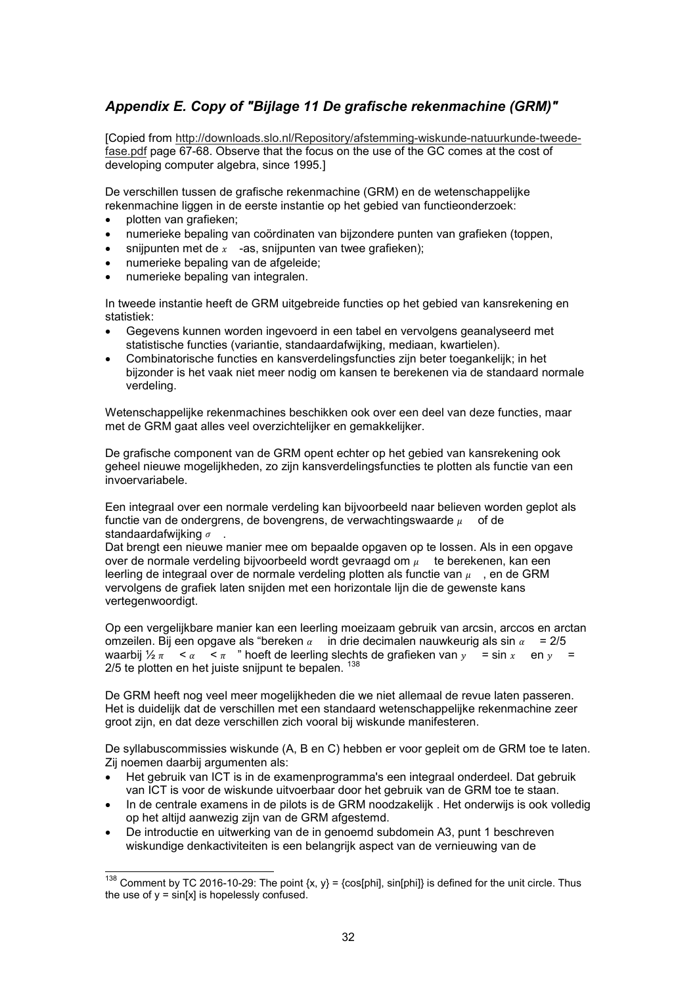## *Appendix E. Copy of "Bijlage 11 De grafische rekenmachine (GRM)"*

[Copied from http://downloads.slo.nl/Repository/afstemming-wiskunde-natuurkunde-tweedefase.pdf page 67-68. Observe that the focus on the use of the GC comes at the cost of developing computer algebra, since 1995.]

De verschillen tussen de grafische rekenmachine (GRM) en de wetenschappelijke rekenmachine liggen in de eerste instantie op het gebied van functieonderzoek:

• plotten van grafieken;

 $\overline{\phantom{a}}$ 

- numerieke bepaling van coördinaten van bijzondere punten van grafieken (toppen,
- snijpunten met de  $x -$ as, snijpunten van twee grafieken);
- numerieke bepaling van de afgeleide;
- numerieke bepaling van integralen.

In tweede instantie heeft de GRM uitgebreide functies op het gebied van kansrekening en statistiek:

- Gegevens kunnen worden ingevoerd in een tabel en vervolgens geanalyseerd met statistische functies (variantie, standaardafwijking, mediaan, kwartielen).
- Combinatorische functies en kansverdelingsfuncties zijn beter toegankelijk; in het bijzonder is het vaak niet meer nodig om kansen te berekenen via de standaard normale verdeling.

Wetenschappelijke rekenmachines beschikken ook over een deel van deze functies, maar met de GRM gaat alles veel overzichtelijker en gemakkelijker.

De grafische component van de GRM opent echter op het gebied van kansrekening ook geheel nieuwe mogelijkheden, zo zijn kansverdelingsfuncties te plotten als functie van een invoervariabele.

Een integraal over een normale verdeling kan bijvoorbeeld naar believen worden geplot als functie van de ondergrens, de bovengrens, de verwachtingswaarde  $\mu-\,$  of de standaardafwiiking  $\sigma$ .

Dat brengt een nieuwe manier mee om bepaalde opgaven op te lossen. Als in een opgave over de normale verdeling bijvoorbeeld wordt gevraagd om  $_{\mu}$   $\;$  te berekenen, kan een leerling de integraal over de normale verdeling plotten als functie van  $\mu^-$  , en de GRM vervolgens de grafiek laten snijden met een horizontale lijn die de gewenste kans vertegenwoordigt.

Op een vergelijkbare manier kan een leerling moeizaam gebruik van arcsin, arccos en arctan omzeilen. Bij een opgave als "bereken  $\alpha$  in drie decimalen nauwkeurig als sin  $\alpha = 2/5$ waarbij  $\frac{1}{2} \pi \leq \alpha \leq \pi$  " hoeft de leerling slechts de grafieken van  $y = \sin x$  en  $y =$ 2/5 te plotten en het juiste snijpunt te bepalen. <sup>138</sup>

De GRM heeft nog veel meer mogelijkheden die we niet allemaal de revue laten passeren. Het is duidelijk dat de verschillen met een standaard wetenschappelijke rekenmachine zeer groot zijn, en dat deze verschillen zich vooral bij wiskunde manifesteren.

De syllabuscommissies wiskunde (A, B en C) hebben er voor gepleit om de GRM toe te laten. Zij noemen daarbij argumenten als:

- Het gebruik van ICT is in de examenprogramma's een integraal onderdeel. Dat gebruik van ICT is voor de wiskunde uitvoerbaar door het gebruik van de GRM toe te staan.
- In de centrale examens in de pilots is de GRM noodzakelijk . Het onderwijs is ook volledig op het altijd aanwezig zijn van de GRM afgestemd.
- De introductie en uitwerking van de in genoemd subdomein A3, punt 1 beschreven wiskundige denkactiviteiten is een belangrijk aspect van de vernieuwing van de

 $^{138}$  Comment by TC 2016-10-29: The point {x, y} = {cos[phi], sin[phi]} is defined for the unit circle. Thus the use of  $y = \sin[x]$  is hopelessly confused.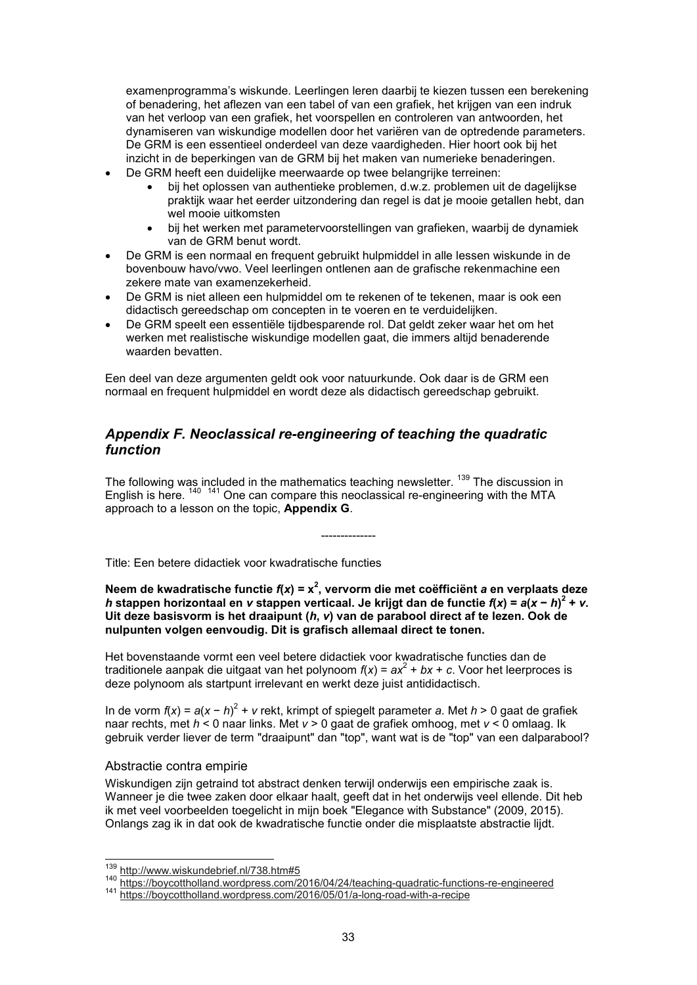examenprogramma's wiskunde. Leerlingen leren daarbij te kiezen tussen een berekening of benadering, het aflezen van een tabel of van een grafiek, het krijgen van een indruk van het verloop van een grafiek, het voorspellen en controleren van antwoorden, het dynamiseren van wiskundige modellen door het variëren van de optredende parameters. De GRM is een essentieel onderdeel van deze vaardigheden. Hier hoort ook bij het inzicht in de beperkingen van de GRM bij het maken van numerieke benaderingen.

- De GRM heeft een duidelijke meerwaarde op twee belangrijke terreinen:
	- bij het oplossen van authentieke problemen, d.w.z. problemen uit de dagelijkse praktijk waar het eerder uitzondering dan regel is dat je mooie getallen hebt, dan wel mooie uitkomsten
	- bij het werken met parametervoorstellingen van grafieken, waarbij de dynamiek van de GRM benut wordt.
- De GRM is een normaal en frequent gebruikt hulpmiddel in alle lessen wiskunde in de bovenbouw havo/vwo. Veel leerlingen ontlenen aan de grafische rekenmachine een zekere mate van examenzekerheid.
- De GRM is niet alleen een hulpmiddel om te rekenen of te tekenen, maar is ook een didactisch gereedschap om concepten in te voeren en te verduidelijken.
- De GRM speelt een essentiële tijdbesparende rol. Dat geldt zeker waar het om het werken met realistische wiskundige modellen gaat, die immers altijd benaderende waarden bevatten.

Een deel van deze argumenten geldt ook voor natuurkunde. Ook daar is de GRM een normaal en frequent hulpmiddel en wordt deze als didactisch gereedschap gebruikt.

## *Appendix F. Neoclassical re-engineering of teaching the quadratic function*

The following was included in the mathematics teaching newsletter. <sup>139</sup> The discussion in English is here. <sup>140</sup> <sup>141</sup> One can compare this neoclassical re-engineering with the MTA approach to a lesson on the topic, **Appendix G**.

Title: Een betere didactiek voor kwadratische functies

**Neem de kwadratische functie** *f***(***x***) = x<sup>2</sup> , vervorm die met coëfficiënt** *a* **en verplaats deze** *h* **stappen horizontaal en** *v* **stappen verticaal. Je krijgt dan de functie** *f***(***x***) =** *a***(***x* **−** *h***) 2 +** *v***. Uit deze basisvorm is het draaipunt (***h***,** *v***) van de parabool direct af te lezen. Ook de nulpunten volgen eenvoudig. Dit is grafisch allemaal direct te tonen.**

--------------

Het bovenstaande vormt een veel betere didactiek voor kwadratische functies dan de traditionele aanpak die uitgaat van het polynoom  $f(x)$  =  $ax^2 + bx + c$ . Voor het leerproces is deze polynoom als startpunt irrelevant en werkt deze juist antididactisch.

In de vorm *f*(*x*) = *a*(*x* − *h*) 2 + *v* rekt, krimpt of spiegelt parameter *a*. Met *h* > 0 gaat de grafiek naar rechts, met *h* < 0 naar links. Met *v* > 0 gaat de grafiek omhoog, met *v* < 0 omlaag. Ik gebruik verder liever de term "draaipunt" dan "top", want wat is de "top" van een dalparabool?

#### Abstractie contra empirie

 $\overline{a}$ 

Wiskundigen zijn getraind tot abstract denken terwijl onderwijs een empirische zaak is. Wanneer je die twee zaken door elkaar haalt, geeft dat in het onderwijs veel ellende. Dit heb ik met veel voorbeelden toegelicht in mijn boek "Elegance with Substance" (2009, 2015). Onlangs zag ik in dat ook de kwadratische functie onder die misplaatste abstractie lijdt.

<sup>139</sup> http://www.wiskundebrief.nl/738.htm#5

<sup>140</sup> https://boycottholland.wordpress.com/2016/04/24/teaching-quadratic-functions-re-engineered

<sup>141</sup> https://boycottholland.wordpress.com/2016/05/01/a-long-road-with-a-recipe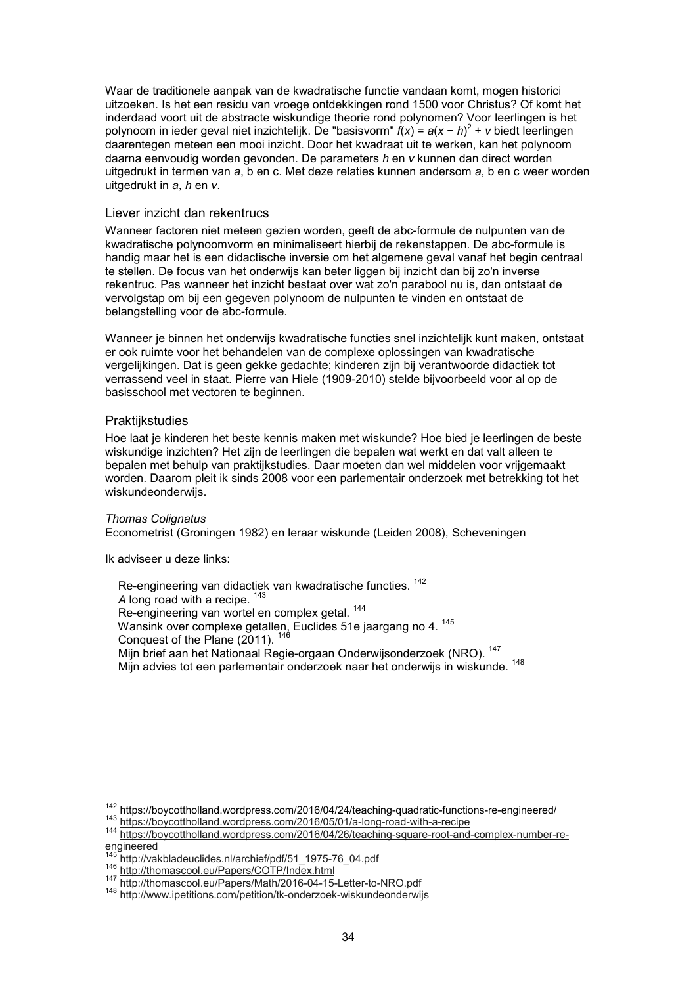Waar de traditionele aanpak van de kwadratische functie vandaan komt, mogen historici uitzoeken. Is het een residu van vroege ontdekkingen rond 1500 voor Christus? Of komt het inderdaad voort uit de abstracte wiskundige theorie rond polynomen? Voor leerlingen is het polynoom in ieder geval niet inzichtelijk. De "basisvorm" *f*(*x*) = *a*(*x* − *h*) 2 + *v* biedt leerlingen daarentegen meteen een mooi inzicht. Door het kwadraat uit te werken, kan het polynoom daarna eenvoudig worden gevonden. De parameters *h* en *v* kunnen dan direct worden uitgedrukt in termen van *a*, b en c. Met deze relaties kunnen andersom *a*, b en c weer worden uitgedrukt in *a*, *h* en *v*.

#### Liever inzicht dan rekentrucs

Wanneer factoren niet meteen gezien worden, geeft de abc-formule de nulpunten van de kwadratische polynoomvorm en minimaliseert hierbij de rekenstappen. De abc-formule is handig maar het is een didactische inversie om het algemene geval vanaf het begin centraal te stellen. De focus van het onderwijs kan beter liggen bij inzicht dan bij zo'n inverse rekentruc. Pas wanneer het inzicht bestaat over wat zo'n parabool nu is, dan ontstaat de vervolgstap om bij een gegeven polynoom de nulpunten te vinden en ontstaat de belangstelling voor de abc-formule.

Wanneer je binnen het onderwijs kwadratische functies snel inzichtelijk kunt maken, ontstaat er ook ruimte voor het behandelen van de complexe oplossingen van kwadratische vergelijkingen. Dat is geen gekke gedachte; kinderen zijn bij verantwoorde didactiek tot verrassend veel in staat. Pierre van Hiele (1909-2010) stelde bijvoorbeeld voor al op de basisschool met vectoren te beginnen.

#### Praktijkstudies

Hoe laat je kinderen het beste kennis maken met wiskunde? Hoe bied je leerlingen de beste wiskundige inzichten? Het zijn de leerlingen die bepalen wat werkt en dat valt alleen te bepalen met behulp van praktijkstudies. Daar moeten dan wel middelen voor vrijgemaakt worden. Daarom pleit ik sinds 2008 voor een parlementair onderzoek met betrekking tot het wiskundeonderwijs.

#### *Thomas Colignatus*

 $\overline{a}$ 

Econometrist (Groningen 1982) en leraar wiskunde (Leiden 2008), Scheveningen

Ik adviseer u deze links:

Re-engineering van didactiek van kwadratische functies. <sup>142</sup> A long road with a recipe. <sup>143</sup> Re-engineering van wortel en complex getal.<sup>144</sup> Wansink over complexe getallen, Euclides 51e jaargang no 4. <sup>145</sup> Conquest of the Plane  $(2011)$ .  $146$ Mijn brief aan het Nationaal Regie-orgaan Onderwijsonderzoek (NRO). <sup>147</sup> Mijn advies tot een parlementair onderzoek naar het onderwijs in wiskunde. <sup>148</sup>

<sup>142</sup> https://boycottholland.wordpress.com/2016/04/24/teaching-quadratic-functions-re-engineered/

<sup>143</sup> https://boycottholland.wordpress.com/2016/05/01/a-long-road-with-a-recipe

<sup>144</sup> https://boycottholland.wordpress.com/2016/04/26/teaching-square-root-and-complex-number-reengineered

http://vakbladeuclides.nl/archief/pdf/51\_1975-76\_04.pdf

<sup>146</sup> http://thomascool.eu/Papers/COTP/Index.html

<sup>147</sup> http://thomascool.eu/Papers/Math/2016-04-15-Letter-to-NRO.pdf

<sup>148</sup> http://www.ipetitions.com/petition/tk-onderzoek-wiskundeonderwijs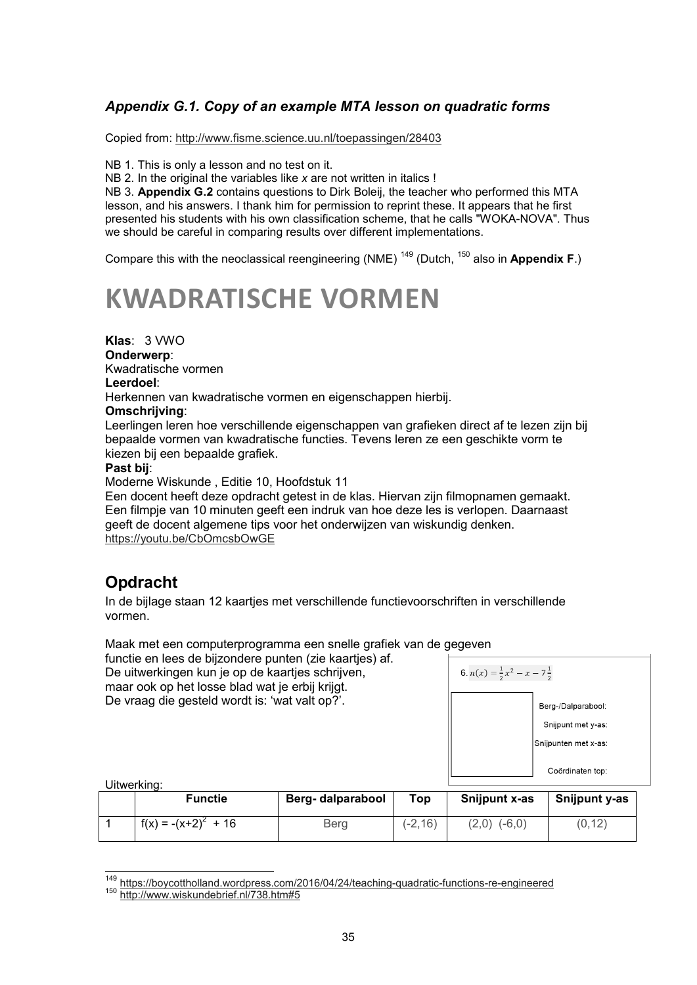## *Appendix G.1. Copy of an example MTA lesson on quadratic forms*

Copied from: http://www.fisme.science.uu.nl/toepassingen/28403

NB 1. This is only a lesson and no test on it.

NB 2. In the original the variables like *x* are not written in italics !

NB 3. **Appendix G.2** contains questions to Dirk Boleij, the teacher who performed this MTA lesson, and his answers. I thank him for permission to reprint these. It appears that he first presented his students with his own classification scheme, that he calls "WOKA-NOVA". Thus we should be careful in comparing results over different implementations.

Compare this with the neoclassical reengineering (NME) <sup>149</sup> (Dutch, <sup>150</sup> also in **Appendix F**.)

# **KWADRATISCHE VORMEN**

**Klas**: 3 VWO

**Onderwerp**: Kwadratische vormen

## **Leerdoel**:

Herkennen van kwadratische vormen en eigenschappen hierbij.

#### **Omschrijving**:

Leerlingen leren hoe verschillende eigenschappen van grafieken direct af te lezen zijn bij bepaalde vormen van kwadratische functies. Tevens leren ze een geschikte vorm te kiezen bij een bepaalde grafiek.

## **Past bij**:

Moderne Wiskunde , Editie 10, Hoofdstuk 11

Een docent heeft deze opdracht getest in de klas. Hiervan zijn filmopnamen gemaakt. Een filmpje van 10 minuten geeft een indruk van hoe deze les is verlopen. Daarnaast geeft de docent algemene tips voor het onderwijzen van wiskundig denken. https://youtu.be/CbOmcsbOwGE

## **Opdracht**

In de bijlage staan 12 kaartjes met verschillende functievoorschriften in verschillende vormen.

Maak met een computerprogramma een snelle grafiek van de gegeven

functie en lees de bijzondere punten (zie kaartjes) af. De uitwerkingen kun je op de kaartjes schrijven,

maar ook op het losse blad wat je erbij krijgt. De vraag die gesteld wordt is: 'wat valt op?'.

| 6. $n(x) = \frac{1}{2}x^2 - x - 7\frac{1}{2}$ |                                                                  |  |  |  |
|-----------------------------------------------|------------------------------------------------------------------|--|--|--|
|                                               | Berg-/Dalparabool:<br>Snijpunt met y-as:<br>Snijpunten met x-as: |  |  |  |
|                                               | Coördinaten top:                                                 |  |  |  |

Uitwerking:

 $\overline{\phantom{a}}$ 

| <b>Functie</b>         | Berg- dalparabool | Top        | Snijpunt x-as    | Snijpunt y-as |
|------------------------|-------------------|------------|------------------|---------------|
| $f(x) = -(x+2)^2 + 16$ | Berg              | $(-2, 16)$ | $(2,0)$ $(-6,0)$ | (0, 12)       |

<sup>149</sup> https://boycottholland.wordpress.com/2016/04/24/teaching-quadratic-functions-re-engineered

<sup>150</sup> http://www.wiskundebrief.nl/738.htm#5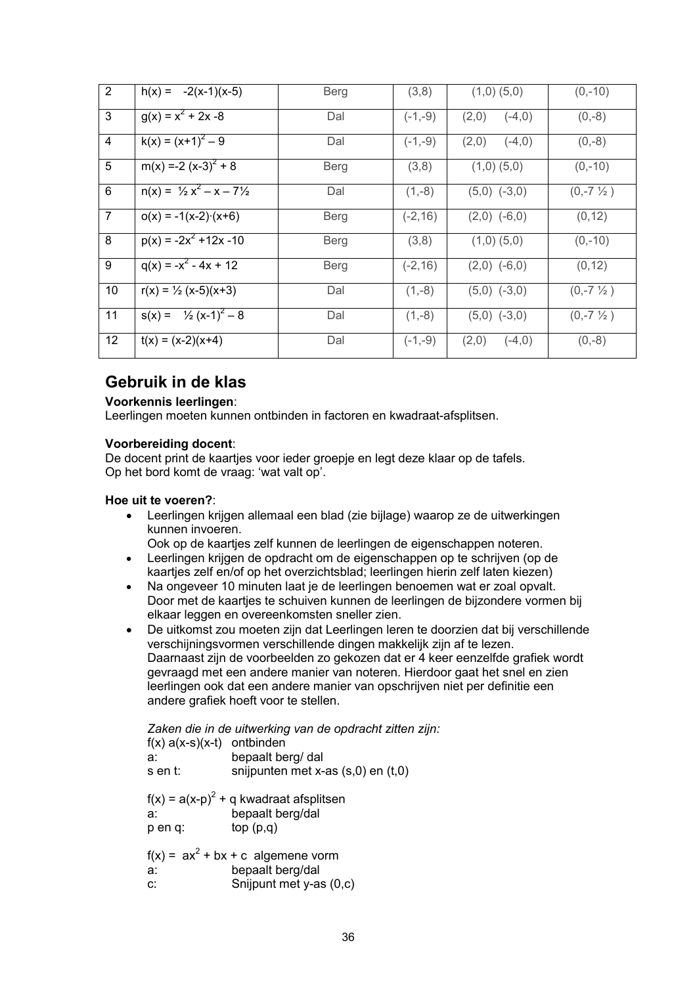| $\overline{2}$ | $h(x) = -2(x-1)(x-5)$                      | <b>Berg</b> | (3,8)      | $(1,0)$ $(5,0)$   | $(0,-10)$           |
|----------------|--------------------------------------------|-------------|------------|-------------------|---------------------|
| 3              | $g(x) = x^2 + 2x -8$                       | Dal         | $(-1,-9)$  | $(-4,0)$<br>(2,0) | $(0,-8)$            |
| 4              | $k(x) = (x+1)^2 - 9$                       | Dal         | $(-1,-9)$  | (2,0)<br>$(-4,0)$ | $(0,-8)$            |
| 5              | $m(x) = -2 (x-3)^{2} + 8$                  | Berg        | (3,8)      | $(1,0)$ $(5,0)$   | $(0,-10)$           |
| 6              | $n(x) = \frac{1}{2}x^2 - x - 7\frac{1}{2}$ | Dal         | $(1,-8)$   | $(5,0)$ $(-3,0)$  | $(0,-7\frac{1}{2})$ |
| $\overline{7}$ | $o(x) = -1(x-2) (x+6)$                     | Berg        | $(-2, 16)$ | $(2,0)$ $(-6,0)$  | (0, 12)             |
| 8              | $p(x) = -2x^2 + 12x - 10$                  | <b>Berg</b> | (3,8)      | $(1,0)$ $(5,0)$   | $(0,-10)$           |
| 9              | $q(x) = -x^2 - 4x + 12$                    | Berg        | $(-2, 16)$ | $(2,0)$ $(-6,0)$  | (0, 12)             |
| 10             | $r(x) = \frac{1}{2}(x-5)(x+3)$             | Dal         | $(1,-8)$   | $(5,0)$ $(-3,0)$  | $(0,-7\frac{1}{2})$ |
| 11             | $s(x) = \frac{1}{2}(x-1)^2 - 8$            | Dal         | $(1,-8)$   | $(5,0)$ $(-3,0)$  | $(0,-7\frac{1}{2})$ |
| 12             | $t(x) = (x-2)(x+4)$                        | Dal         | $(-1,-9)$  | (2,0)<br>$(-4,0)$ | $(0,-8)$            |

## **Gebruik in de klas**

## **Voorkennis leerlingen**:

Leerlingen moeten kunnen ontbinden in factoren en kwadraat-afsplitsen.

## **Voorbereiding docent**:

De docent print de kaartjes voor ieder groepje en legt deze klaar op de tafels. Op het bord komt de vraag: 'wat valt op'.

## **Hoe uit te voeren?**:

• Leerlingen krijgen allemaal een blad (zie bijlage) waarop ze de uitwerkingen kunnen invoeren.

Ook op de kaartjes zelf kunnen de leerlingen de eigenschappen noteren.

- Leerlingen krijgen de opdracht om de eigenschappen op te schrijven (op de kaartjes zelf en/of op het overzichtsblad; leerlingen hierin zelf laten kiezen)
- Na ongeveer 10 minuten laat je de leerlingen benoemen wat er zoal opvalt. Door met de kaartjes te schuiven kunnen de leerlingen de bijzondere vormen bij elkaar leggen en overeenkomsten sneller zien.
- De uitkomst zou moeten zijn dat Leerlingen leren te doorzien dat bij verschillende verschijningsvormen verschillende dingen makkelijk zijn af te lezen. Daarnaast zijn de voorbeelden zo gekozen dat er 4 keer eenzelfde grafiek wordt gevraagd met een andere manier van noteren. Hierdoor gaat het snel en zien leerlingen ook dat een andere manier van opschrijven niet per definitie een andere grafiek hoeft voor te stellen.

| $f(x) a(x-s)(x-t)$ ontbinden<br>a:<br>s en t: | Zaken die in de uitwerking van de opdracht zitten zijn:<br>bepaalt berg/ dal<br>snijpunten met x-as $(s,0)$ en $(t,0)$ |
|-----------------------------------------------|------------------------------------------------------------------------------------------------------------------------|
| a:<br>p en q:                                 | $f(x) = a(x-p)^2 + q$ kwadraat afsplitsen<br>bepaalt berg/dal<br>top(p,q)                                              |
| a:<br>C.                                      | $f(x) = ax^2 + bx + c$ algemene vorm<br>bepaalt berg/dal<br>Snijpunt met y-as (0,c)                                    |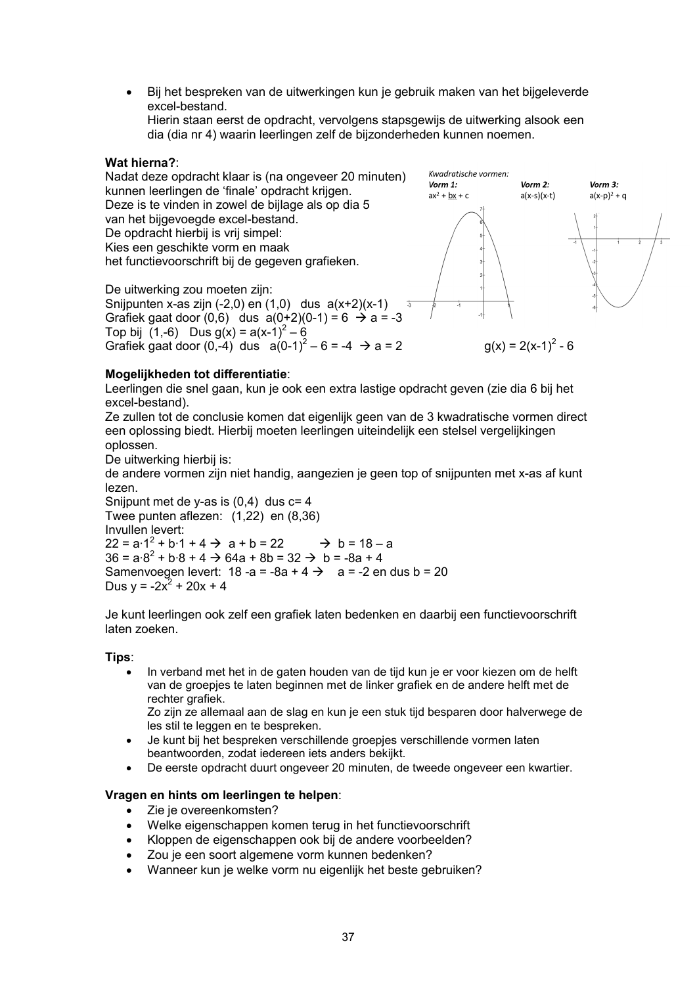• Bij het bespreken van de uitwerkingen kun je gebruik maken van het bijgeleverde excel-bestand. Hierin staan eerst de opdracht, vervolgens stapsgewijs de uitwerking alsook een

dia (dia nr 4) waarin leerlingen zelf de bijzonderheden kunnen noemen.

## **Wat hierna?**:



## **Mogelijkheden tot differentiatie**:

Leerlingen die snel gaan, kun je ook een extra lastige opdracht geven (zie dia 6 bij het excel-bestand).

Ze zullen tot de conclusie komen dat eigenlijk geen van de 3 kwadratische vormen direct een oplossing biedt. Hierbij moeten leerlingen uiteindelijk een stelsel vergelijkingen oplossen.

De uitwerking hierbij is:

de andere vormen zijn niet handig, aangezien je geen top of snijpunten met x-as af kunt lezen.

Snijpunt met de y-as is  $(0,4)$  dus  $c=4$ Twee punten aflezen: (1,22) en (8,36) Invullen levert:  $22 = a \cdot 1^2 + b \cdot 1 + 4 \rightarrow a + b = 22 \rightarrow b = 18 - a$  $36 = a·8<sup>2</sup> + b·8 + 4 \rightarrow 64a + 8b = 32 \rightarrow b = -8a + 4$ Samenvoegen levert:  $18 - a = -8a + 4 \rightarrow a = -2$  en dus b = 20 Dus  $y = -2x^2 + 20x + 4$ 

Je kunt leerlingen ook zelf een grafiek laten bedenken en daarbij een functievoorschrift laten zoeken.

#### **Tips**:

• In verband met het in de gaten houden van de tijd kun je er voor kiezen om de helft van de groepjes te laten beginnen met de linker grafiek en de andere helft met de rechter grafiek.

Zo zijn ze allemaal aan de slag en kun je een stuk tijd besparen door halverwege de les stil te leggen en te bespreken.

- Je kunt bij het bespreken verschillende groepjes verschillende vormen laten beantwoorden, zodat iedereen iets anders bekijkt.
- De eerste opdracht duurt ongeveer 20 minuten, de tweede ongeveer een kwartier.

## **Vragen en hints om leerlingen te helpen**:

- Zie je overeenkomsten?
- Welke eigenschappen komen terug in het functievoorschrift
- Kloppen de eigenschappen ook bij de andere voorbeelden?
- Zou je een soort algemene vorm kunnen bedenken?
- Wanneer kun je welke vorm nu eigenlijk het beste gebruiken?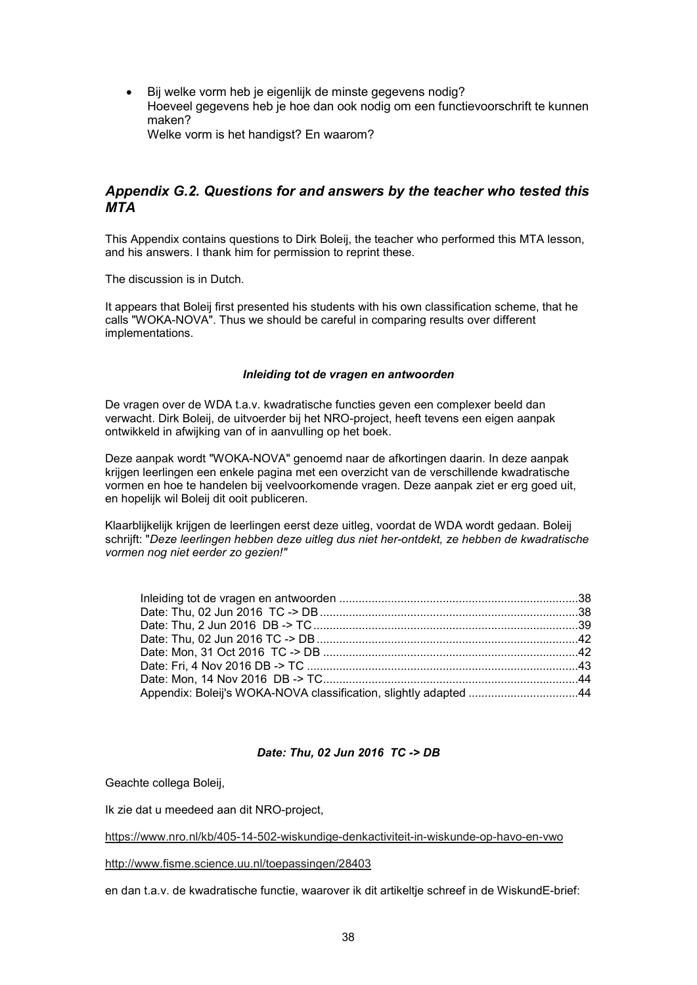Bij welke vorm heb je eigenlijk de minste gegevens nodig? Hoeveel gegevens heb je hoe dan ook nodig om een functievoorschrift te kunnen maken? Welke vorm is het handigst? En waarom?

## *Appendix G.2. Questions for and answers by the teacher who tested this MTA*

This Appendix contains questions to Dirk Boleij, the teacher who performed this MTA lesson, and his answers. I thank him for permission to reprint these.

The discussion is in Dutch.

It appears that Boleij first presented his students with his own classification scheme, that he calls "WOKA-NOVA". Thus we should be careful in comparing results over different implementations.

#### *Inleiding tot de vragen en antwoorden*

De vragen over de WDA t.a.v. kwadratische functies geven een complexer beeld dan verwacht. Dirk Boleij, de uitvoerder bij het NRO-project, heeft tevens een eigen aanpak ontwikkeld in afwijking van of in aanvulling op het boek.

Deze aanpak wordt "WOKA-NOVA" genoemd naar de afkortingen daarin. In deze aanpak krijgen leerlingen een enkele pagina met een overzicht van de verschillende kwadratische vormen en hoe te handelen bij veelvoorkomende vragen. Deze aanpak ziet er erg goed uit, en hopelijk wil Boleij dit ooit publiceren.

Klaarblijkelijk krijgen de leerlingen eerst deze uitleg, voordat de WDA wordt gedaan. Boleij schrijft: "*Deze leerlingen hebben deze uitleg dus niet her-ontdekt, ze hebben de kwadratische vormen nog niet eerder zo gezien!"*

| Appendix: Boleij's WOKA-NOVA classification, slightly adapted 44 |  |
|------------------------------------------------------------------|--|

#### *Date: Thu, 02 Jun 2016 TC -> DB*

Geachte collega Boleij,

Ik zie dat u meedeed aan dit NRO-project,

https://www.nro.nl/kb/405-14-502-wiskundige-denkactiviteit-in-wiskunde-op-havo-en-vwo

http://www.fisme.science.uu.nl/toepassingen/28403

en dan t.a.v. de kwadratische functie, waarover ik dit artikeltje schreef in de WiskundE-brief: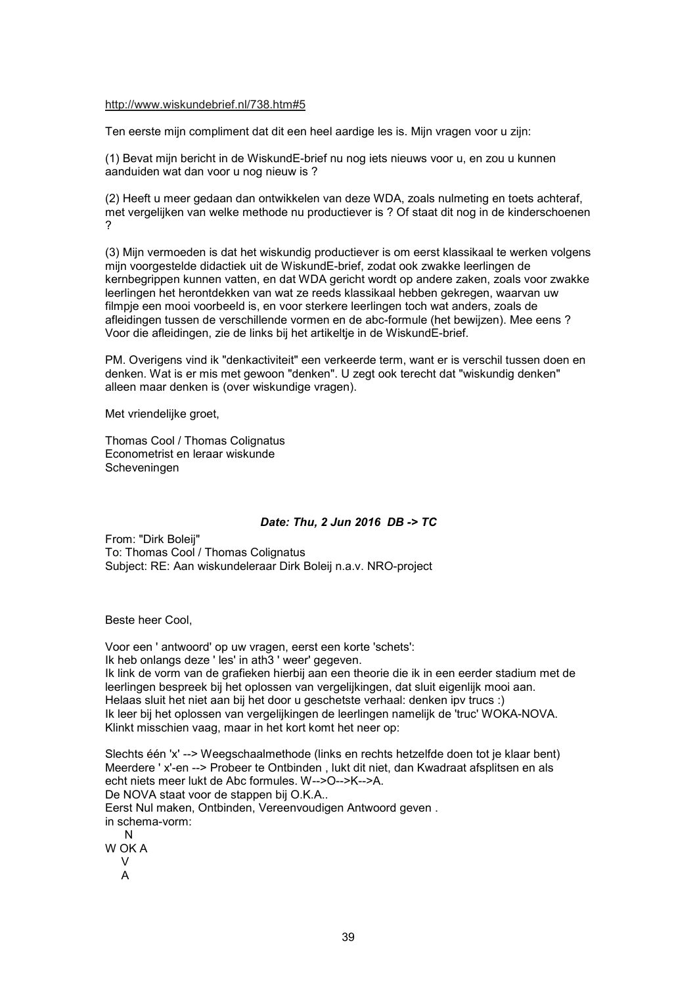#### http://www.wiskundebrief.nl/738.htm#5

Ten eerste mijn compliment dat dit een heel aardige les is. Mijn vragen voor u zijn:

(1) Bevat mijn bericht in de WiskundE-brief nu nog iets nieuws voor u, en zou u kunnen aanduiden wat dan voor u nog nieuw is ?

(2) Heeft u meer gedaan dan ontwikkelen van deze WDA, zoals nulmeting en toets achteraf, met vergelijken van welke methode nu productiever is ? Of staat dit nog in de kinderschoenen ?

(3) Mijn vermoeden is dat het wiskundig productiever is om eerst klassikaal te werken volgens mijn voorgestelde didactiek uit de WiskundE-brief, zodat ook zwakke leerlingen de kernbegrippen kunnen vatten, en dat WDA gericht wordt op andere zaken, zoals voor zwakke leerlingen het herontdekken van wat ze reeds klassikaal hebben gekregen, waarvan uw filmpje een mooi voorbeeld is, en voor sterkere leerlingen toch wat anders, zoals de afleidingen tussen de verschillende vormen en de abc-formule (het bewijzen). Mee eens ? Voor die afleidingen, zie de links bij het artikeltje in de WiskundE-brief.

PM. Overigens vind ik "denkactiviteit" een verkeerde term, want er is verschil tussen doen en denken. Wat is er mis met gewoon "denken". U zegt ook terecht dat "wiskundig denken" alleen maar denken is (over wiskundige vragen).

Met vriendelijke groet,

Thomas Cool / Thomas Colignatus Econometrist en leraar wiskunde Scheveningen

#### *Date: Thu, 2 Jun 2016 DB -> TC*

From: "Dirk Boleij" To: Thomas Cool / Thomas Colignatus Subject: RE: Aan wiskundeleraar Dirk Boleij n.a.v. NRO-project

Beste heer Cool,

Voor een ' antwoord' op uw vragen, eerst een korte 'schets': Ik heb onlangs deze ' les' in ath3 ' weer' gegeven. Ik link de vorm van de grafieken hierbij aan een theorie die ik in een eerder stadium met de leerlingen bespreek bij het oplossen van vergelijkingen, dat sluit eigenlijk mooi aan. Helaas sluit het niet aan bij het door u geschetste verhaal: denken ipv trucs :) Ik leer bij het oplossen van vergelijkingen de leerlingen namelijk de 'truc' WOKA-NOVA. Klinkt misschien vaag, maar in het kort komt het neer op:

Slechts één 'x' --> Weegschaalmethode (links en rechts hetzelfde doen tot je klaar bent) Meerdere ' x'-en --> Probeer te Ontbinden , lukt dit niet, dan Kwadraat afsplitsen en als echt niets meer lukt de Abc formules. W-->O-->K-->A. De NOVA staat voor de stappen bij O.K.A.. Eerst Nul maken, Ontbinden, Vereenvoudigen Antwoord geven . in schema-vorm: N W OK A  $\overline{V}$ 

A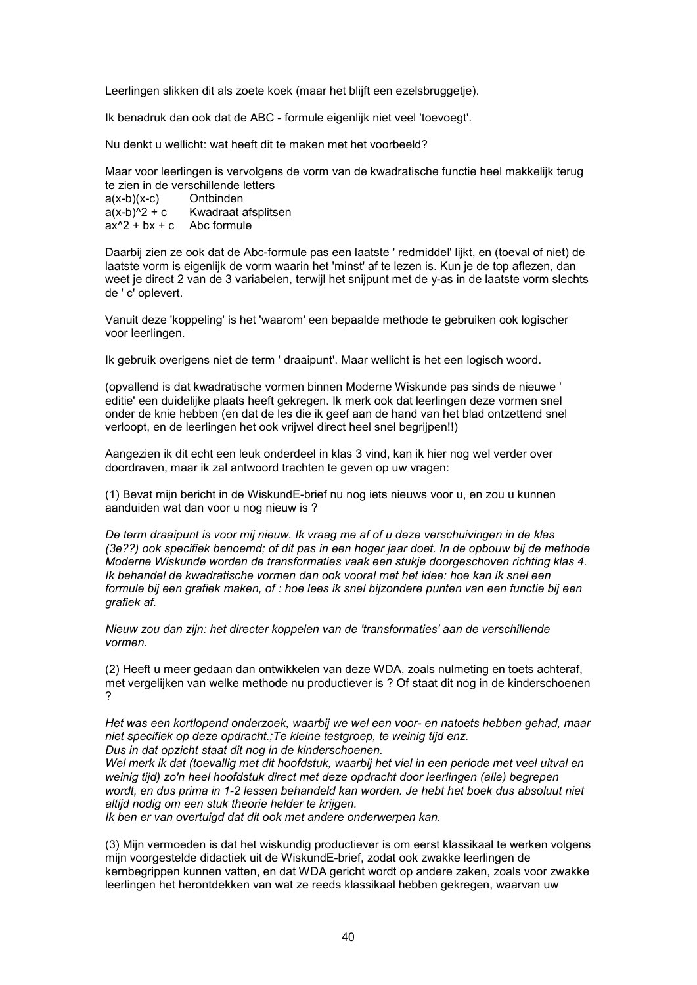Leerlingen slikken dit als zoete koek (maar het blijft een ezelsbruggetje).

Ik benadruk dan ook dat de ABC - formule eigenlijk niet veel 'toevoegt'.

Nu denkt u wellicht: wat heeft dit te maken met het voorbeeld?

Maar voor leerlingen is vervolgens de vorm van de kwadratische functie heel makkelijk terug te zien in de verschillende letters<br> $a(x-b)(x-c)$  Ontbinden  $a(x-b)(x-c)$  $a(x-b)^2 + c$  Kwadraat afsplitsen  $ax^2 + bx + c$  Abc formule

Daarbij zien ze ook dat de Abc-formule pas een laatste ' redmiddel' lijkt, en (toeval of niet) de laatste vorm is eigenlijk de vorm waarin het 'minst' af te lezen is. Kun je de top aflezen, dan weet je direct 2 van de 3 variabelen, terwijl het snijpunt met de y-as in de laatste vorm slechts de ' c' oplevert.

Vanuit deze 'koppeling' is het 'waarom' een bepaalde methode te gebruiken ook logischer voor leerlingen.

Ik gebruik overigens niet de term ' draaipunt'. Maar wellicht is het een logisch woord.

(opvallend is dat kwadratische vormen binnen Moderne Wiskunde pas sinds de nieuwe ' editie' een duidelijke plaats heeft gekregen. Ik merk ook dat leerlingen deze vormen snel onder de knie hebben (en dat de les die ik geef aan de hand van het blad ontzettend snel verloopt, en de leerlingen het ook vrijwel direct heel snel begrijpen!!)

Aangezien ik dit echt een leuk onderdeel in klas 3 vind, kan ik hier nog wel verder over doordraven, maar ik zal antwoord trachten te geven op uw vragen:

(1) Bevat mijn bericht in de WiskundE-brief nu nog iets nieuws voor u, en zou u kunnen aanduiden wat dan voor u nog nieuw is ?

*De term draaipunt is voor mij nieuw. Ik vraag me af of u deze verschuivingen in de klas (3e??) ook specifiek benoemd; of dit pas in een hoger jaar doet. In de opbouw bij de methode Moderne Wiskunde worden de transformaties vaak een stukje doorgeschoven richting klas 4. Ik behandel de kwadratische vormen dan ook vooral met het idee: hoe kan ik snel een formule bij een grafiek maken, of : hoe lees ik snel bijzondere punten van een functie bij een grafiek af.*

*Nieuw zou dan zijn: het directer koppelen van de 'transformaties' aan de verschillende vormen.*

(2) Heeft u meer gedaan dan ontwikkelen van deze WDA, zoals nulmeting en toets achteraf, met vergelijken van welke methode nu productiever is ? Of staat dit nog in de kinderschoenen ?

*Het was een kortlopend onderzoek, waarbij we wel een voor- en natoets hebben gehad, maar niet specifiek op deze opdracht.;Te kleine testgroep, te weinig tijd enz. Dus in dat opzicht staat dit nog in de kinderschoenen.*

*Wel merk ik dat (toevallig met dit hoofdstuk, waarbij het viel in een periode met veel uitval en weinig tijd) zo'n heel hoofdstuk direct met deze opdracht door leerlingen (alle) begrepen wordt, en dus prima in 1-2 lessen behandeld kan worden. Je hebt het boek dus absoluut niet altijd nodig om een stuk theorie helder te krijgen.*

*Ik ben er van overtuigd dat dit ook met andere onderwerpen kan.*

(3) Mijn vermoeden is dat het wiskundig productiever is om eerst klassikaal te werken volgens mijn voorgestelde didactiek uit de WiskundE-brief, zodat ook zwakke leerlingen de kernbegrippen kunnen vatten, en dat WDA gericht wordt op andere zaken, zoals voor zwakke leerlingen het herontdekken van wat ze reeds klassikaal hebben gekregen, waarvan uw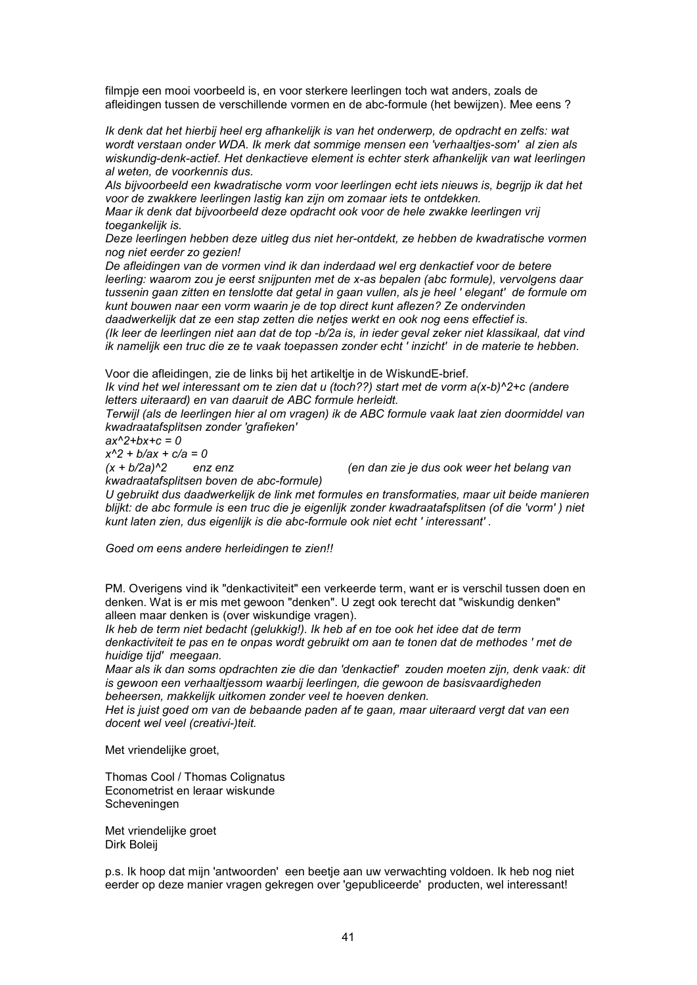filmpje een mooi voorbeeld is, en voor sterkere leerlingen toch wat anders, zoals de afleidingen tussen de verschillende vormen en de abc-formule (het bewijzen). Mee eens ?

*Ik denk dat het hierbij heel erg afhankelijk is van het onderwerp, de opdracht en zelfs: wat wordt verstaan onder WDA. Ik merk dat sommige mensen een 'verhaaltjes-som' al zien als wiskundig-denk-actief. Het denkactieve element is echter sterk afhankelijk van wat leerlingen al weten, de voorkennis dus.*

*Als bijvoorbeeld een kwadratische vorm voor leerlingen echt iets nieuws is, begrijp ik dat het voor de zwakkere leerlingen lastig kan zijn om zomaar iets te ontdekken.*

*Maar ik denk dat bijvoorbeeld deze opdracht ook voor de hele zwakke leerlingen vrij toegankelijk is.*

*Deze leerlingen hebben deze uitleg dus niet her-ontdekt, ze hebben de kwadratische vormen nog niet eerder zo gezien!*

*De afleidingen van de vormen vind ik dan inderdaad wel erg denkactief voor de betere leerling: waarom zou je eerst snijpunten met de x-as bepalen (abc formule), vervolgens daar tussenin gaan zitten en tenslotte dat getal in gaan vullen, als je heel ' elegant' de formule om kunt bouwen naar een vorm waarin je de top direct kunt aflezen? Ze ondervinden*

*daadwerkelijk dat ze een stap zetten die netjes werkt en ook nog eens effectief is. (Ik leer de leerlingen niet aan dat de top -b/2a is, in ieder geval zeker niet klassikaal, dat vind ik namelijk een truc die ze te vaak toepassen zonder echt ' inzicht' in de materie te hebben.*

Voor die afleidingen, zie de links bij het artikeltje in de WiskundE-brief.

*Ik vind het wel interessant om te zien dat u (toch??) start met de vorm a(x-b)^2+c (andere letters uiteraard) en van daaruit de ABC formule herleidt.*

*Terwijl (als de leerlingen hier al om vragen) ik de ABC formule vaak laat zien doormiddel van kwadraatafsplitsen zonder 'grafieken'*

*ax^2+bx+c = 0*

*x^2 + b/ax + c/a = 0*

*kwadraatafsplitsen boven de abc-formule)*

*(x + b/2a)^2 enz enz (en dan zie je dus ook weer het belang van*

*U gebruikt dus daadwerkelijk de link met formules en transformaties, maar uit beide manieren blijkt: de abc formule is een truc die je eigenlijk zonder kwadraatafsplitsen (of die 'vorm' ) niet kunt laten zien, dus eigenlijk is die abc-formule ook niet echt ' interessant' .*

*Goed om eens andere herleidingen te zien!!*

PM. Overigens vind ik "denkactiviteit" een verkeerde term, want er is verschil tussen doen en denken. Wat is er mis met gewoon "denken". U zegt ook terecht dat "wiskundig denken" alleen maar denken is (over wiskundige vragen).

*Ik heb de term niet bedacht (gelukkig!). Ik heb af en toe ook het idee dat de term denkactiviteit te pas en te onpas wordt gebruikt om aan te tonen dat de methodes ' met de huidige tijd' meegaan.*

*Maar als ik dan soms opdrachten zie die dan 'denkactief' zouden moeten zijn, denk vaak: dit is gewoon een verhaaltjessom waarbij leerlingen, die gewoon de basisvaardigheden beheersen, makkelijk uitkomen zonder veel te hoeven denken.*

*Het is juist goed om van de bebaande paden af te gaan, maar uiteraard vergt dat van een docent wel veel (creativi-)teit.*

Met vriendelijke groet,

Thomas Cool / Thomas Colignatus Econometrist en leraar wiskunde Scheveningen

Met vriendelijke groet Dirk Boleij

p.s. Ik hoop dat mijn 'antwoorden' een beetje aan uw verwachting voldoen. Ik heb nog niet eerder op deze manier vragen gekregen over 'gepubliceerde' producten, wel interessant!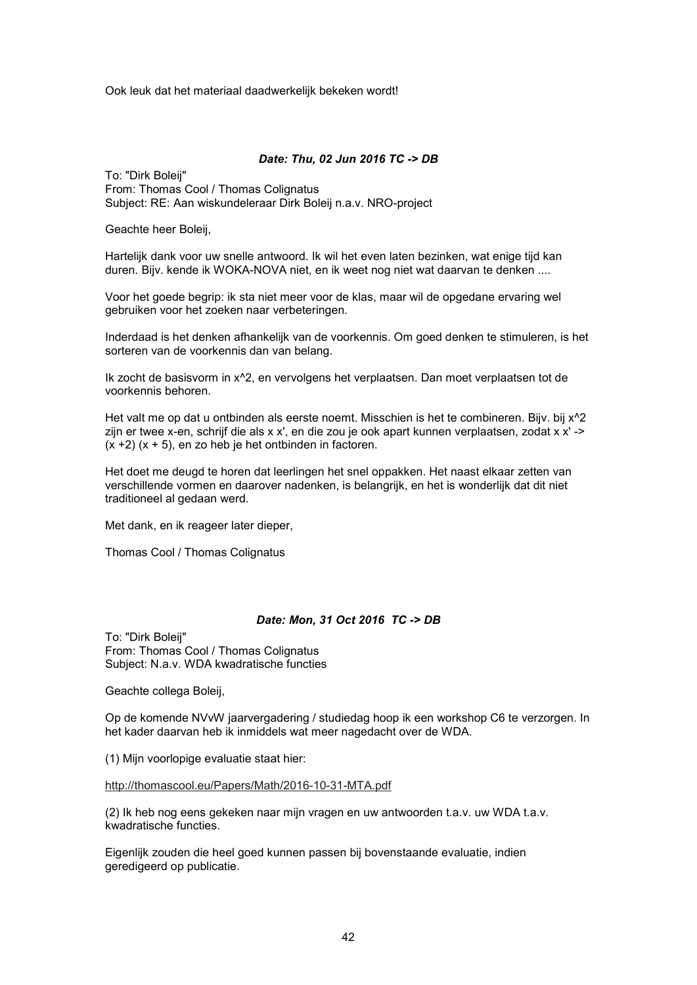Ook leuk dat het materiaal daadwerkelijk bekeken wordt!

#### *Date: Thu, 02 Jun 2016 TC -> DB*

To: "Dirk Boleij" From: Thomas Cool / Thomas Colignatus Subject: RE: Aan wiskundeleraar Dirk Boleij n.a.v. NRO-project

Geachte heer Boleij,

Hartelijk dank voor uw snelle antwoord. Ik wil het even laten bezinken, wat enige tijd kan duren. Bijv. kende ik WOKA-NOVA niet, en ik weet nog niet wat daarvan te denken ....

Voor het goede begrip: ik sta niet meer voor de klas, maar wil de opgedane ervaring wel gebruiken voor het zoeken naar verbeteringen.

Inderdaad is het denken afhankelijk van de voorkennis. Om goed denken te stimuleren, is het sorteren van de voorkennis dan van belang.

Ik zocht de basisvorm in x^2, en vervolgens het verplaatsen. Dan moet verplaatsen tot de voorkennis behoren.

Het valt me op dat u ontbinden als eerste noemt. Misschien is het te combineren. Bijv. bij x^2 zijn er twee x-en, schrijf die als x x', en die zou je ook apart kunnen verplaatsen, zodat x x' ->  $(x + 2)$   $(x + 5)$ , en zo heb je het ontbinden in factoren.

Het doet me deugd te horen dat leerlingen het snel oppakken. Het naast elkaar zetten van verschillende vormen en daarover nadenken, is belangrijk, en het is wonderlijk dat dit niet traditioneel al gedaan werd.

Met dank, en ik reageer later dieper,

Thomas Cool / Thomas Colignatus

#### *Date: Mon, 31 Oct 2016 TC -> DB*

To: "Dirk Boleij" From: Thomas Cool / Thomas Colignatus Subject: N.a.v. WDA kwadratische functies

Geachte collega Boleij,

Op de komende NVvW jaarvergadering / studiedag hoop ik een workshop C6 te verzorgen. In het kader daarvan heb ik inmiddels wat meer nagedacht over de WDA.

(1) Mijn voorlopige evaluatie staat hier:

http://thomascool.eu/Papers/Math/2016-10-31-MTA.pdf

(2) Ik heb nog eens gekeken naar mijn vragen en uw antwoorden t.a.v. uw WDA t.a.v. kwadratische functies.

Eigenlijk zouden die heel goed kunnen passen bij bovenstaande evaluatie, indien geredigeerd op publicatie.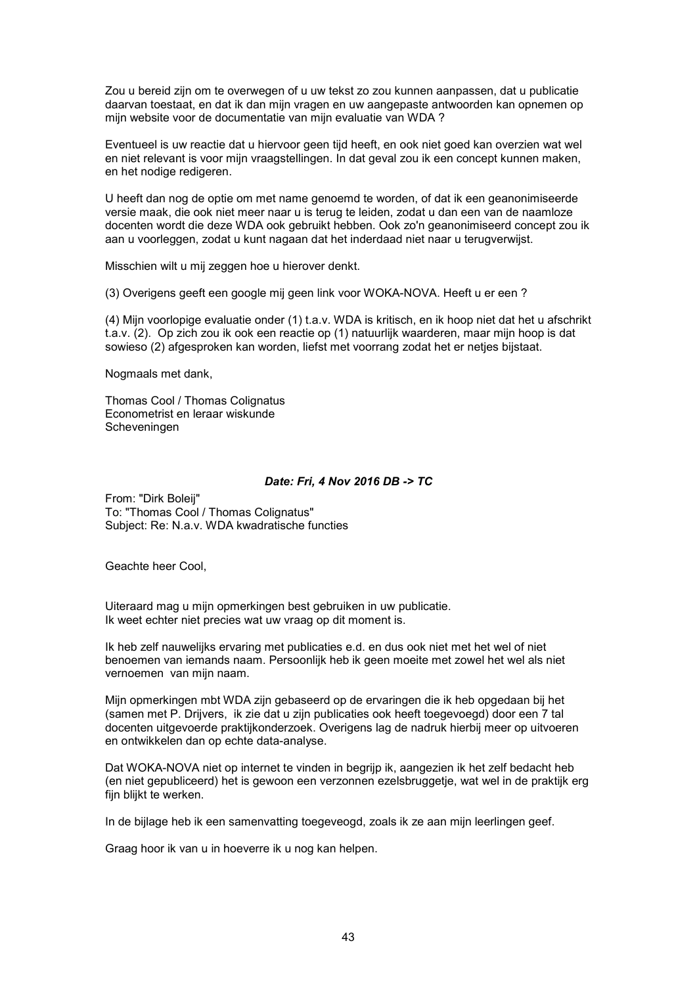Zou u bereid zijn om te overwegen of u uw tekst zo zou kunnen aanpassen, dat u publicatie daarvan toestaat, en dat ik dan mijn vragen en uw aangepaste antwoorden kan opnemen op mijn website voor de documentatie van mijn evaluatie van WDA ?

Eventueel is uw reactie dat u hiervoor geen tijd heeft, en ook niet goed kan overzien wat wel en niet relevant is voor mijn vraagstellingen. In dat geval zou ik een concept kunnen maken, en het nodige redigeren.

U heeft dan nog de optie om met name genoemd te worden, of dat ik een geanonimiseerde versie maak, die ook niet meer naar u is terug te leiden, zodat u dan een van de naamloze docenten wordt die deze WDA ook gebruikt hebben. Ook zo'n geanonimiseerd concept zou ik aan u voorleggen, zodat u kunt nagaan dat het inderdaad niet naar u terugverwijst.

Misschien wilt u mij zeggen hoe u hierover denkt.

(3) Overigens geeft een google mij geen link voor WOKA-NOVA. Heeft u er een ?

(4) Mijn voorlopige evaluatie onder (1) t.a.v. WDA is kritisch, en ik hoop niet dat het u afschrikt t.a.v. (2). Op zich zou ik ook een reactie op (1) natuurlijk waarderen, maar mijn hoop is dat sowieso (2) afgesproken kan worden, liefst met voorrang zodat het er netjes bijstaat.

Nogmaals met dank,

Thomas Cool / Thomas Colignatus Econometrist en leraar wiskunde Scheveningen

#### *Date: Fri, 4 Nov 2016 DB -> TC*

From: "Dirk Boleij" To: "Thomas Cool / Thomas Colignatus" Subject: Re: N.a.v. WDA kwadratische functies

Geachte heer Cool,

Uiteraard mag u mijn opmerkingen best gebruiken in uw publicatie. Ik weet echter niet precies wat uw vraag op dit moment is.

Ik heb zelf nauwelijks ervaring met publicaties e.d. en dus ook niet met het wel of niet benoemen van iemands naam. Persoonlijk heb ik geen moeite met zowel het wel als niet vernoemen van mijn naam.

Mijn opmerkingen mbt WDA zijn gebaseerd op de ervaringen die ik heb opgedaan bij het (samen met P. Drijvers, ik zie dat u zijn publicaties ook heeft toegevoegd) door een 7 tal docenten uitgevoerde praktijkonderzoek. Overigens lag de nadruk hierbij meer op uitvoeren en ontwikkelen dan op echte data-analyse.

Dat WOKA-NOVA niet op internet te vinden in begrijp ik, aangezien ik het zelf bedacht heb (en niet gepubliceerd) het is gewoon een verzonnen ezelsbruggetje, wat wel in de praktijk erg fijn blijkt te werken.

In de bijlage heb ik een samenvatting toegeveogd, zoals ik ze aan mijn leerlingen geef.

Graag hoor ik van u in hoeverre ik u nog kan helpen.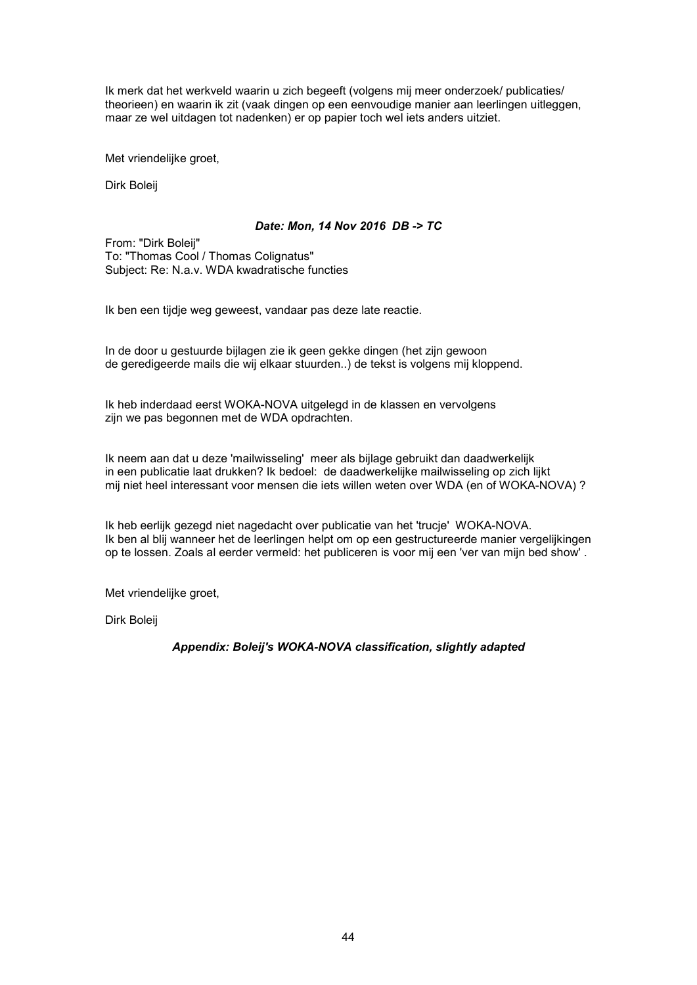Ik merk dat het werkveld waarin u zich begeeft (volgens mij meer onderzoek/ publicaties/ theorieen) en waarin ik zit (vaak dingen op een eenvoudige manier aan leerlingen uitleggen, maar ze wel uitdagen tot nadenken) er op papier toch wel iets anders uitziet.

Met vriendelijke groet,

Dirk Boleij

#### *Date: Mon, 14 Nov 2016 DB -> TC*

From: "Dirk Boleij" To: "Thomas Cool / Thomas Colignatus" Subject: Re: N.a.v. WDA kwadratische functies

Ik ben een tijdje weg geweest, vandaar pas deze late reactie.

In de door u gestuurde bijlagen zie ik geen gekke dingen (het zijn gewoon de geredigeerde mails die wij elkaar stuurden..) de tekst is volgens mij kloppend.

Ik heb inderdaad eerst WOKA-NOVA uitgelegd in de klassen en vervolgens zijn we pas begonnen met de WDA opdrachten.

Ik neem aan dat u deze 'mailwisseling' meer als bijlage gebruikt dan daadwerkelijk in een publicatie laat drukken? Ik bedoel: de daadwerkelijke mailwisseling op zich lijkt mij niet heel interessant voor mensen die iets willen weten over WDA (en of WOKA-NOVA) ?

Ik heb eerlijk gezegd niet nagedacht over publicatie van het 'trucje' WOKA-NOVA. Ik ben al blij wanneer het de leerlingen helpt om op een gestructureerde manier vergelijkingen op te lossen. Zoals al eerder vermeld: het publiceren is voor mij een 'ver van mijn bed show' .

Met vriendelijke groet,

Dirk Boleij

#### *Appendix: Boleij's WOKA-NOVA classification, slightly adapted*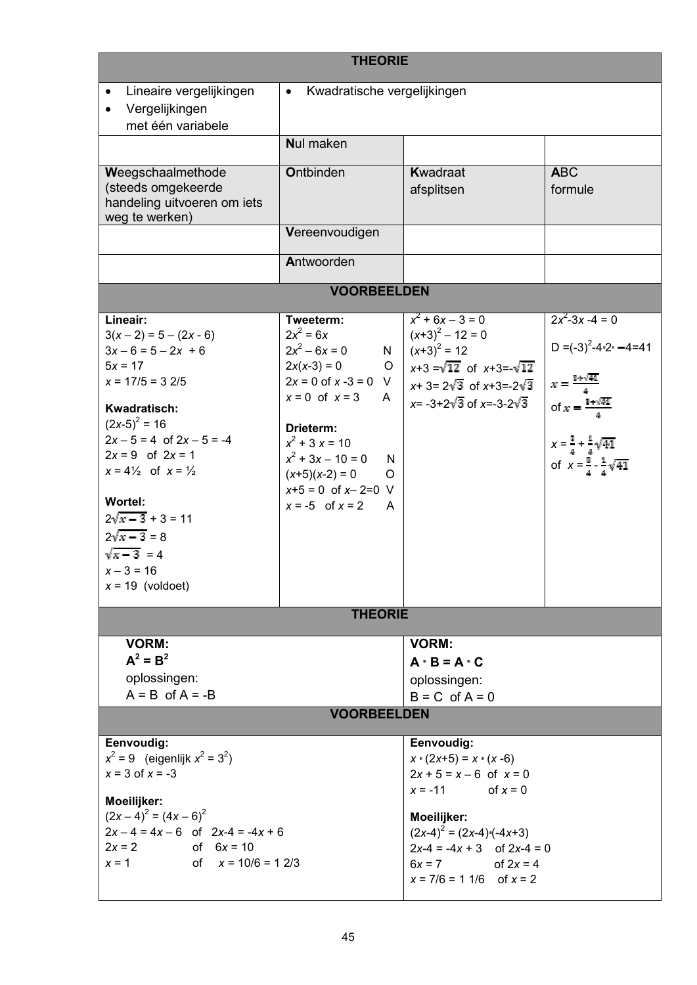| <b>THEORIE</b>                                                                                                                                                                                                                                                                                                                                               |                                                                                                                                                                                                                                                                         |                                                                                                                                                                                            |                                                                                                                                                                                                                |  |  |
|--------------------------------------------------------------------------------------------------------------------------------------------------------------------------------------------------------------------------------------------------------------------------------------------------------------------------------------------------------------|-------------------------------------------------------------------------------------------------------------------------------------------------------------------------------------------------------------------------------------------------------------------------|--------------------------------------------------------------------------------------------------------------------------------------------------------------------------------------------|----------------------------------------------------------------------------------------------------------------------------------------------------------------------------------------------------------------|--|--|
| Lineaire vergelijkingen<br>$\bullet$<br>Vergelijkingen<br>$\bullet$<br>met één variabele                                                                                                                                                                                                                                                                     | Kwadratische vergelijkingen<br>$\bullet$                                                                                                                                                                                                                                |                                                                                                                                                                                            |                                                                                                                                                                                                                |  |  |
|                                                                                                                                                                                                                                                                                                                                                              | <b>Nul maken</b>                                                                                                                                                                                                                                                        |                                                                                                                                                                                            |                                                                                                                                                                                                                |  |  |
| Weegschaalmethode<br>(steeds omgekeerde<br>handeling uitvoeren om iets<br>weg te werken)                                                                                                                                                                                                                                                                     | <b>Ontbinden</b>                                                                                                                                                                                                                                                        | Kwadraat<br>afsplitsen                                                                                                                                                                     | <b>ABC</b><br>formule                                                                                                                                                                                          |  |  |
|                                                                                                                                                                                                                                                                                                                                                              | Vereenvoudigen                                                                                                                                                                                                                                                          |                                                                                                                                                                                            |                                                                                                                                                                                                                |  |  |
|                                                                                                                                                                                                                                                                                                                                                              | Antwoorden                                                                                                                                                                                                                                                              |                                                                                                                                                                                            |                                                                                                                                                                                                                |  |  |
|                                                                                                                                                                                                                                                                                                                                                              | <b>VOORBEELDEN</b>                                                                                                                                                                                                                                                      |                                                                                                                                                                                            |                                                                                                                                                                                                                |  |  |
| Lineair:<br>$3(x-2) = 5 - (2x - 6)$<br>$3x - 6 = 5 - 2x + 6$<br>$5x = 17$<br>$x = 17/5 = 32/5$<br>Kwadratisch:<br>$(2x-5)^2 = 16$<br>$2x - 5 = 4$ of $2x - 5 = -4$<br>$2x = 9$ of $2x = 1$<br>$x = 4\frac{1}{2}$ of $x = \frac{1}{2}$<br><b>Wortel:</b><br>$2\sqrt{x-3}+3=11$<br>$2\sqrt{x-3} = 8$<br>$\sqrt{x-3}$ = 4<br>$x - 3 = 16$<br>$x = 19$ (voldoet) | Tweeterm:<br>$2x^2 = 6x$<br>$2x^2 - 6x = 0$<br>$2x(x-3) = 0$<br>$\circ$<br>$2x = 0$ of $x -3 = 0$ V<br>$x = 0$ of $x = 3$ A<br>Drieterm:<br>$x^2$ + 3 x = 10<br>$x^2$ + 3x – 10 = 0<br>N<br>$(x+5)(x-2) = 0$<br>O<br>$x+5 = 0$ of $x-2=0$ V<br>$x = -5$ of $x = 2$<br>A | $x^2$ + 6x – 3 = 0<br>$(x+3)^2 - 12 = 0$<br>N $(x+3)^2 = 12$<br>$x+3=\sqrt{12}$ of $x+3=-\sqrt{12}$<br>$x+3=2\sqrt{3}$ of $x+3=-2\sqrt{3}$<br>$x = -3 + 2\sqrt{3}$ of $x = -3 - 2\sqrt{3}$ | $2x^2-3x-4=0$<br>D = $(-3)^2 - 4 - 2 - 4 = 41$<br>$x = \frac{2 + \sqrt{41}}{4}$<br>of $x = \frac{2 + \sqrt{41}}{4}$<br>$x = \frac{3}{4} + \frac{1}{4}\sqrt{41}$<br>of $x = \frac{3}{4} - \frac{1}{4}\sqrt{41}$ |  |  |
|                                                                                                                                                                                                                                                                                                                                                              | <b>THEORIE</b>                                                                                                                                                                                                                                                          |                                                                                                                                                                                            |                                                                                                                                                                                                                |  |  |
| <b>VORM:</b><br>$\mathbf{A}^2 = \mathbf{B}^2$<br>oplossingen:<br>$A = B$ of $A = -B$                                                                                                                                                                                                                                                                         | <b>VOORBEELDEN</b>                                                                                                                                                                                                                                                      | <b>VORM:</b><br>$A \cdot B = A \cdot C$<br>oplossingen:<br>$B = C$ of $A = 0$                                                                                                              |                                                                                                                                                                                                                |  |  |
| Eenvoudig:<br>Eenvoudig:                                                                                                                                                                                                                                                                                                                                     |                                                                                                                                                                                                                                                                         |                                                                                                                                                                                            |                                                                                                                                                                                                                |  |  |
| $x^2 = 9$ (eigenlijk $x^2 = 3^2$ )<br>$x = 3$ of $x = -3$                                                                                                                                                                                                                                                                                                    |                                                                                                                                                                                                                                                                         | $x \cdot (2x+5) = x \cdot (x-6)$<br>$2x + 5 = x - 6$ of $x = 0$<br>$x = -11$ of $x = 0$                                                                                                    |                                                                                                                                                                                                                |  |  |
| Moeilijker:<br>$(2x-4)^2 = (4x-6)^2$<br>$2x - 4 = 4x - 6$ of $2x-4 = -4x + 6$<br>$2x = 2$ of $6x = 10$<br>$x = 1$ of $x = 10/6 = 12/3$                                                                                                                                                                                                                       |                                                                                                                                                                                                                                                                         | Moeilijker:<br>$(2x-4)^{2} = (2x-4)(-4x+3)$<br>$2x-4 = -4x + 3$ of $2x-4 = 0$<br>$6x = 7$ of $2x = 4$<br>$x = 7/6 = 11/6$ of $x = 2$                                                       |                                                                                                                                                                                                                |  |  |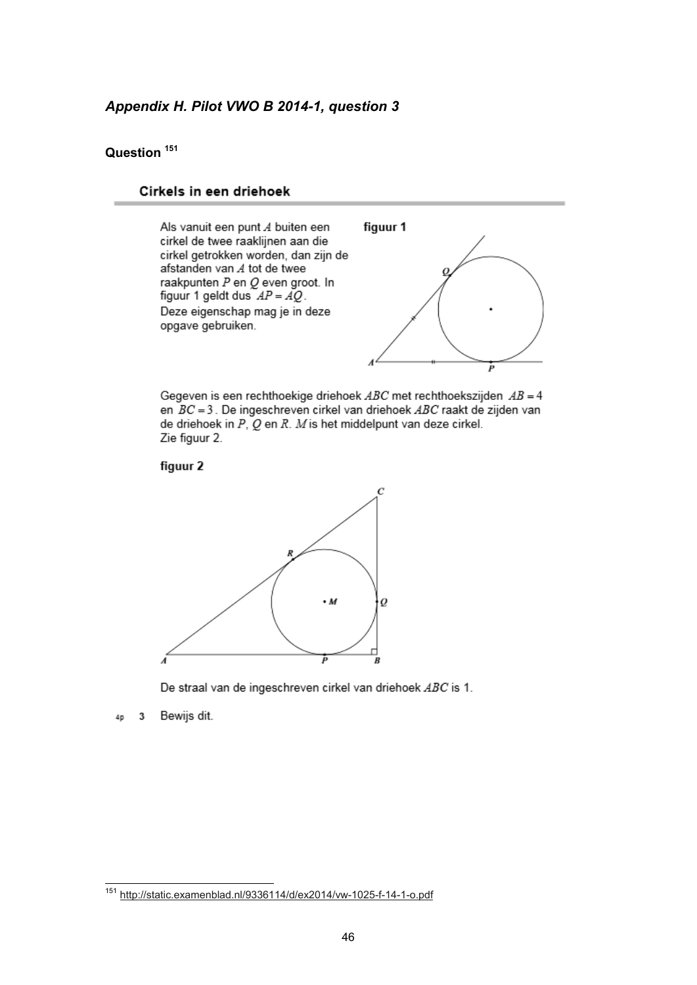### *Appendix H. Pilot VWO B 2014-1, question 3*

#### **Question <sup>151</sup>**

#### Cirkels in een driehoek



Gegeven is een rechthoekige driehoek  $ABC$  met rechthoekszijden  $AB = 4$ en  $BC = 3$ . De ingeschreven cirkel van driehoek  $ABC$  raakt de zijden van de driehoek in  $P$ ,  $Q$  en  $R$ .  $M$  is het middelpunt van deze cirkel. Zie figuur 2.





De straal van de ingeschreven cirkel van driehoek ABC is 1.

Bewijs dit.  $\overline{\mathbf{3}}$ 40

 $\overline{\phantom{a}}$ 

<sup>&</sup>lt;sup>151</sup> http://static.examenblad.nl/9336114/d/ex2014/vw-1025-f-14-1-o.pdf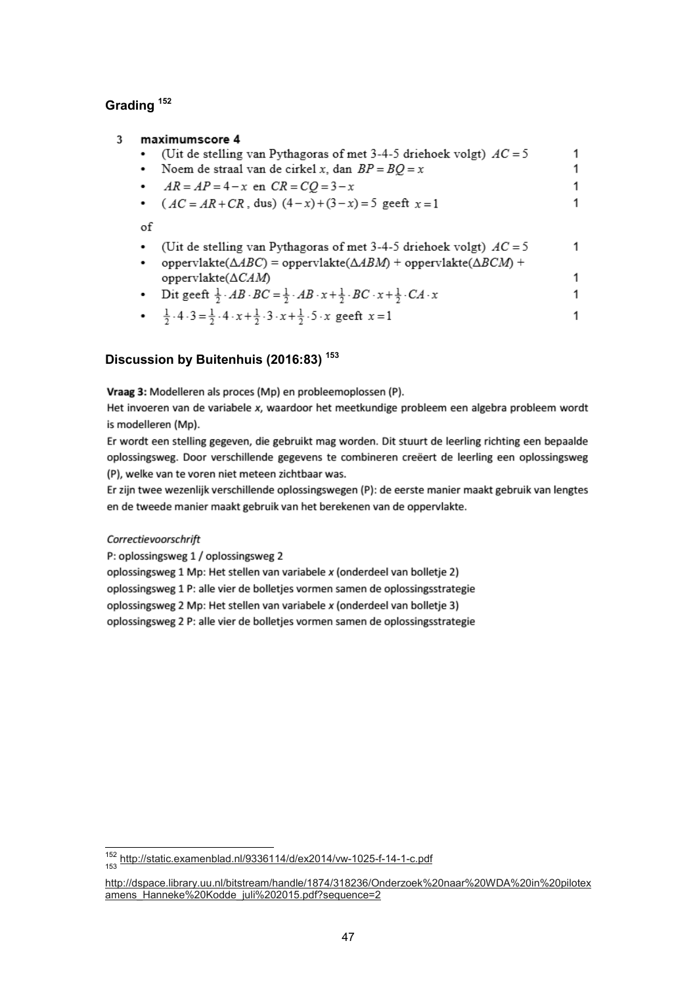## **Grading <sup>152</sup>**

| 3 | maximumscore 4                                                                                                                                                                        |  |
|---|---------------------------------------------------------------------------------------------------------------------------------------------------------------------------------------|--|
|   | (Uit de stelling van Pythagoras of met 3-4-5 driehoek volgt) $AC = 5$                                                                                                                 |  |
|   | Noem de straal van de cirkel x, dan $BP = BQ = x$<br>٠                                                                                                                                |  |
|   | $AR = AP = 4 - x$ en $CR = CO = 3 - x$                                                                                                                                                |  |
|   | • $(AC = AR + CR, \text{ dus}) (4-x) + (3-x) = 5 \text{ geeft } x = 1$                                                                                                                |  |
|   | of                                                                                                                                                                                    |  |
|   | (Uit de stelling van Pythagoras of met 3-4-5 driehoek volgt) $AC = 5$<br>٠<br>oppervlakte( $\triangle ABC$ ) = oppervlakte( $\triangle ABM$ ) + oppervlakte( $\triangle BCM$ ) +<br>٠ |  |
|   | oppervlakte $(\Delta CAM)$                                                                                                                                                            |  |
|   | Dit geeft $\frac{1}{2} \cdot AB \cdot BC = \frac{1}{2} \cdot AB \cdot x + \frac{1}{2} \cdot BC \cdot x + \frac{1}{2} \cdot CA \cdot x$<br>٠                                           |  |
|   | • $\frac{1}{2} \cdot 4 \cdot 3 = \frac{1}{2} \cdot 4 \cdot x + \frac{1}{2} \cdot 3 \cdot x + \frac{1}{2} \cdot 5 \cdot x$ geeft $x = 1$                                               |  |

## **Discussion by Buitenhuis (2016:83) <sup>153</sup>**

Vraag 3: Modelleren als proces (Mp) en probleemoplossen (P).

Het invoeren van de variabele x, waardoor het meetkundige probleem een algebra probleem wordt is modelleren (Mp).

Er wordt een stelling gegeven, die gebruikt mag worden. Dit stuurt de leerling richting een bepaalde oplossingsweg. Door verschillende gegevens te combineren creëert de leerling een oplossingsweg (P), welke van te voren niet meteen zichtbaar was.

Er zijn twee wezenlijk verschillende oplossingswegen (P): de eerste manier maakt gebruik van lengtes en de tweede manier maakt gebruik van het berekenen van de oppervlakte.

#### Correctievoorschrift

 $\overline{\phantom{a}}$ 

P: oplossingsweg 1 / oplossingsweg 2

oplossingsweg 1 Mp: Het stellen van variabele x (onderdeel van bolletje 2) oplossingsweg 1 P: alle vier de bolletjes vormen samen de oplossingsstrategie oplossingsweg 2 Mp: Het stellen van variabele x (onderdeel van bolletje 3) oplossingsweg 2 P: alle vier de bolletjes vormen samen de oplossingsstrategie

<sup>152</sup> http://static.examenblad.nl/9336114/d/ex2014/vw-1025-f-14-1-c.pdf 153

http://dspace.library.uu.nl/bitstream/handle/1874/318236/Onderzoek%20naar%20WDA%20in%20pilotex amens\_Hanneke%20Kodde\_juli%202015.pdf?sequence=2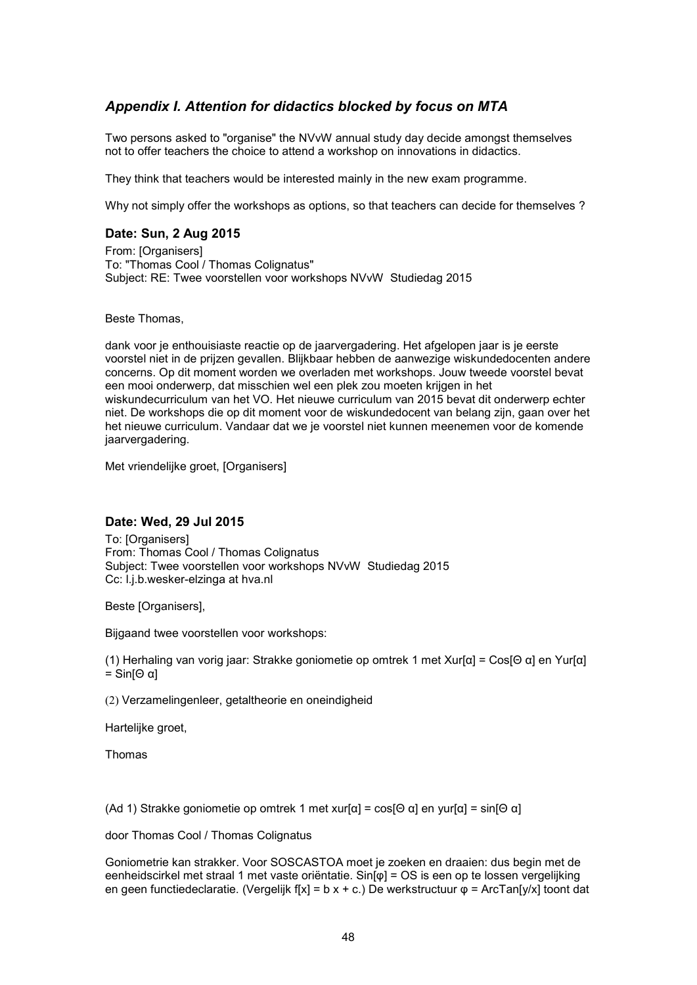## *Appendix I. Attention for didactics blocked by focus on MTA*

Two persons asked to "organise" the NVvW annual study day decide amongst themselves not to offer teachers the choice to attend a workshop on innovations in didactics.

They think that teachers would be interested mainly in the new exam programme.

Why not simply offer the workshops as options, so that teachers can decide for themselves ?

#### **Date: Sun, 2 Aug 2015**

From: [Organisers] To: "Thomas Cool / Thomas Colignatus" Subject: RE: Twee voorstellen voor workshops NVvW Studiedag 2015

Beste Thomas,

dank voor je enthouisiaste reactie op de jaarvergadering. Het afgelopen jaar is je eerste voorstel niet in de prijzen gevallen. Blijkbaar hebben de aanwezige wiskundedocenten andere concerns. Op dit moment worden we overladen met workshops. Jouw tweede voorstel bevat een mooi onderwerp, dat misschien wel een plek zou moeten krijgen in het wiskundecurriculum van het VO. Het nieuwe curriculum van 2015 bevat dit onderwerp echter niet. De workshops die op dit moment voor de wiskundedocent van belang zijn, gaan over het het nieuwe curriculum. Vandaar dat we je voorstel niet kunnen meenemen voor de komende jaarvergadering.

Met vriendelijke groet, [Organisers]

#### **Date: Wed, 29 Jul 2015**

To: [Organisers] From: Thomas Cool / Thomas Colignatus Subject: Twee voorstellen voor workshops NVvW Studiedag 2015 Cc: l.j.b.wesker-elzinga at hva.nl

Beste [Organisers],

Bijgaand twee voorstellen voor workshops:

(1) Herhaling van vorig jaar: Strakke goniometie op omtrek 1 met Xur[α] = Cos[Θ α] en Yur[α] = Sin[Θ α]

(2) Verzamelingenleer, getaltheorie en oneindigheid

Hartelijke groet,

Thomas

(Ad 1) Strakke goniometie op omtrek 1 met xur[α] = cos[Θ α] en yur[α] = sin[Θ α]

door Thomas Cool / Thomas Colignatus

Goniometrie kan strakker. Voor SOSCASTOA moet je zoeken en draaien: dus begin met de eenheidscirkel met straal 1 met vaste oriëntatie. Sin[φ] = OS is een op te lossen vergelijking en geen functiedeclaratie. (Vergelijk f[x] = b x + c.) De werkstructuur φ = ArcTan[y/x] toont dat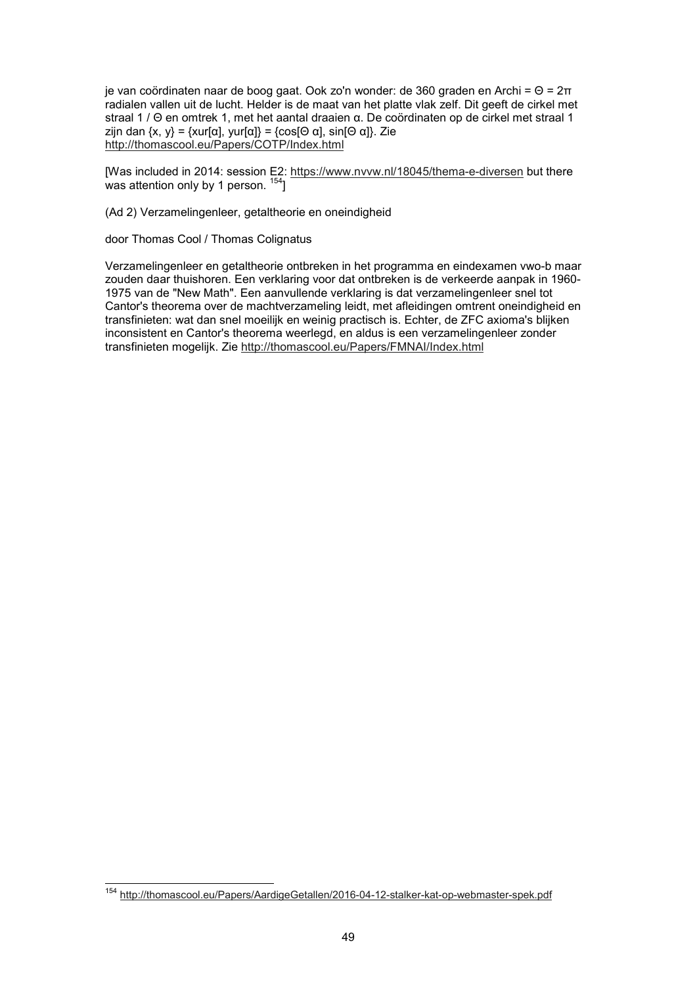je van coördinaten naar de boog gaat. Ook zo'n wonder: de 360 graden en Archi = Θ = 2π radialen vallen uit de lucht. Helder is de maat van het platte vlak zelf. Dit geeft de cirkel met straal 1 / Θ en omtrek 1, met het aantal draaien α. De coördinaten op de cirkel met straal 1 zijn dan  $\{x, y\} = \{xur[\alpha], yur[\alpha]\} = \{cos[Θ α], sin[Θ α]\}$ . Zie http://thomascool.eu/Papers/COTP/Index.html

[Was included in 2014: session E2: <u>https://www.nvvw.nl/18045/thema-e-diversen</u> but there was attention only by 1 person.  $^{154}$ ]

(Ad 2) Verzamelingenleer, getaltheorie en oneindigheid

door Thomas Cool / Thomas Colignatus

Verzamelingenleer en getaltheorie ontbreken in het programma en eindexamen vwo-b maar zouden daar thuishoren. Een verklaring voor dat ontbreken is de verkeerde aanpak in 1960- 1975 van de "New Math". Een aanvullende verklaring is dat verzamelingenleer snel tot Cantor's theorema over de machtverzameling leidt, met afleidingen omtrent oneindigheid en transfinieten: wat dan snel moeilijk en weinig practisch is. Echter, de ZFC axioma's blijken inconsistent en Cantor's theorema weerlegd, en aldus is een verzamelingenleer zonder transfinieten mogelijk. Zie http://thomascool.eu/Papers/FMNAI/Index.html

 $\overline{\phantom{a}}$ 

<sup>&</sup>lt;sup>154</sup> http://thomascool.eu/Papers/AardigeGetallen/2016-04-12-stalker-kat-op-webmaster-spek.pdf